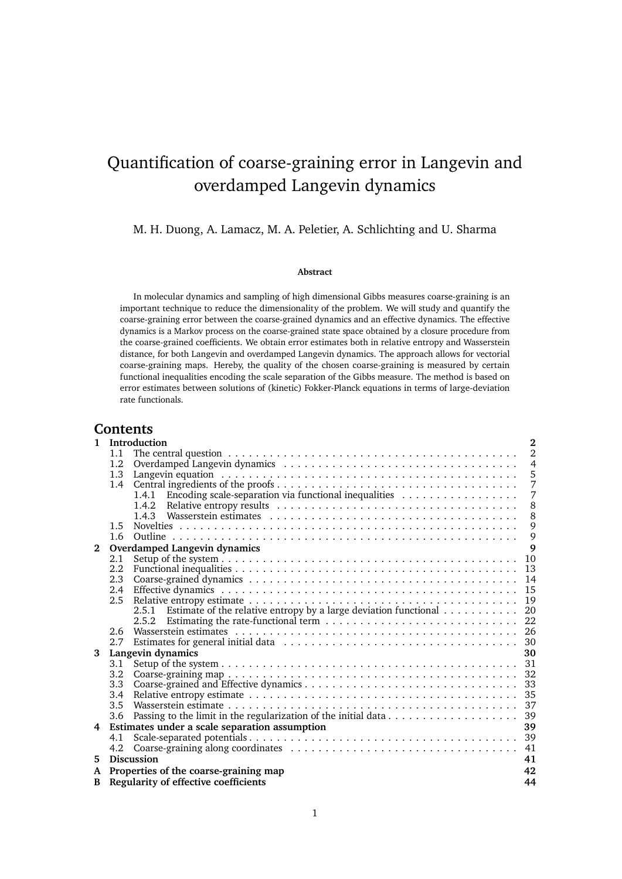# Quantification of coarse-graining error in Langevin and overdamped Langevin dynamics

M. H. Duong, A. Lamacz, M. A. Peletier, A. Schlichting and U. Sharma

#### **Abstract**

In molecular dynamics and sampling of high dimensional Gibbs measures coarse-graining is an important technique to reduce the dimensionality of the problem. We will study and quantify the coarse-graining error between the coarse-grained dynamics and an effective dynamics. The effective dynamics is a Markov process on the coarse-grained state space obtained by a closure procedure from the coarse-grained coefficients. We obtain error estimates both in relative entropy and Wasserstein distance, for both Langevin and overdamped Langevin dynamics. The approach allows for vectorial coarse-graining maps. Hereby, the quality of the chosen coarse-graining is measured by certain functional inequalities encoding the scale separation of the Gibbs measure. The method is based on error estimates between solutions of (kinetic) Fokker-Planck equations in terms of large-deviation rate functionals.

## **Contents**

| $\mathbf{1}$ | Introduction                                                                                        | $\overline{2}$ |
|--------------|-----------------------------------------------------------------------------------------------------|----------------|
|              | 1.1                                                                                                 | $\overline{2}$ |
|              | 1.2                                                                                                 | $\overline{4}$ |
|              | 1.3                                                                                                 | 5              |
|              | $1.4^{\circ}$                                                                                       | 7              |
|              | Encoding scale-separation via functional inequalities<br>1.4.1                                      | 7              |
|              |                                                                                                     | 8              |
|              |                                                                                                     | 8              |
|              | 1.5                                                                                                 | 9              |
|              | 1.6                                                                                                 | 9              |
| $\mathbf{2}$ | Overdamped Langevin dynamics                                                                        | 9              |
|              | 2.1                                                                                                 | 10             |
|              | 2.2                                                                                                 | 13             |
|              | 2.3                                                                                                 | 14             |
|              | 2.4<br>2.5                                                                                          | 15<br>19       |
|              |                                                                                                     | 20             |
|              | 2.5.1 Estimate of the relative entropy by a large deviation functional $\dots \dots \dots$<br>2.5.2 | 22             |
|              | 2.6                                                                                                 |                |
|              | 2.7                                                                                                 |                |
| 3            | Langevin dynamics                                                                                   | 30             |
|              | 3.1                                                                                                 |                |
|              | 3.2                                                                                                 |                |
|              | 3.3                                                                                                 |                |
|              | 3.4                                                                                                 |                |
|              | 3.5                                                                                                 |                |
|              | 3.6                                                                                                 |                |
|              | 4 Estimates under a scale separation assumption                                                     | 39             |
|              | 4.1                                                                                                 |                |
|              | 4.2                                                                                                 | 41             |
| 5.           | <b>Discussion</b>                                                                                   | 41             |
| A            | Properties of the coarse-graining map                                                               | 42             |
| B.           | Regularity of effective coefficients                                                                | 44             |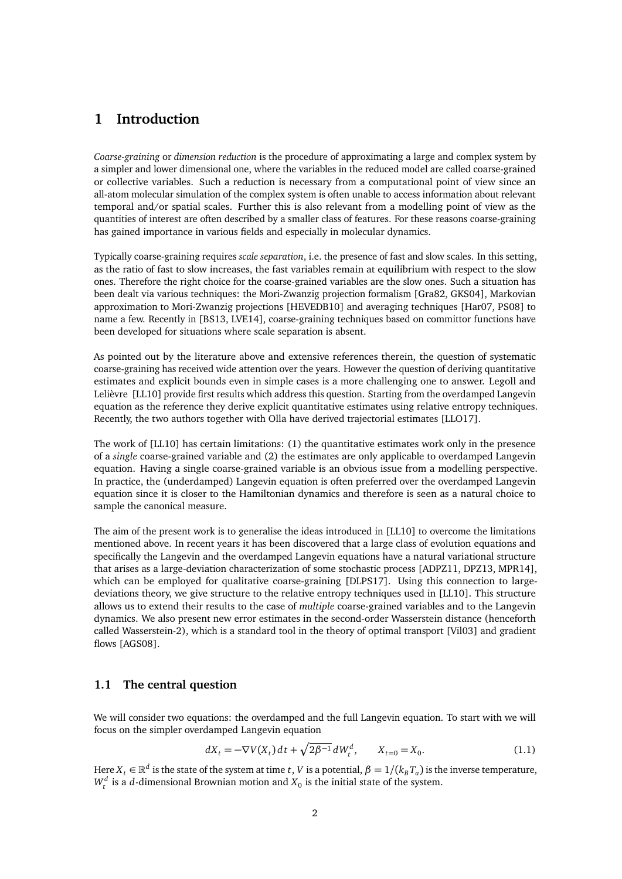## <span id="page-1-0"></span>**1 Introduction**

*Coarse-graining* or *dimension reduction* is the procedure of approximating a large and complex system by a simpler and lower dimensional one, where the variables in the reduced model are called coarse-grained or collective variables. Such a reduction is necessary from a computational point of view since an all-atom molecular simulation of the complex system is often unable to access information about relevant temporal and/or spatial scales. Further this is also relevant from a modelling point of view as the quantities of interest are often described by a smaller class of features. For these reasons coarse-graining has gained importance in various fields and especially in molecular dynamics.

Typically coarse-graining requires *scale separation*, i.e. the presence of fast and slow scales. In this setting, as the ratio of fast to slow increases, the fast variables remain at equilibrium with respect to the slow ones. Therefore the right choice for the coarse-grained variables are the slow ones. Such a situation has been dealt via various techniques: the Mori-Zwanzig projection formalism [\[Gra82,](#page-45-0) [GKS04\]](#page-45-1), Markovian approximation to Mori-Zwanzig projections [\[HEVEDB10\]](#page-45-2) and averaging techniques [\[Har07,](#page-45-3) [PS08\]](#page-45-4) to name a few. Recently in [\[BS13,](#page-44-0) [LVE14\]](#page-45-5), coarse-graining techniques based on committor functions have been developed for situations where scale separation is absent.

As pointed out by the literature above and extensive references therein, the question of systematic coarse-graining has received wide attention over the years. However the question of deriving quantitative estimates and explicit bounds even in simple cases is a more challenging one to answer. Legoll and Lelièvre [\[LL10\]](#page-45-6) provide first results which address this question. Starting from the overdamped Langevin equation as the reference they derive explicit quantitative estimates using relative entropy techniques. Recently, the two authors together with Olla have derived trajectorial estimates [\[LLO17\]](#page-45-7).

The work of [\[LL10\]](#page-45-6) has certain limitations: (1) the quantitative estimates work only in the presence of a *single* coarse-grained variable and (2) the estimates are only applicable to overdamped Langevin equation. Having a single coarse-grained variable is an obvious issue from a modelling perspective. In practice, the (underdamped) Langevin equation is often preferred over the overdamped Langevin equation since it is closer to the Hamiltonian dynamics and therefore is seen as a natural choice to sample the canonical measure.

The aim of the present work is to generalise the ideas introduced in [\[LL10\]](#page-45-6) to overcome the limitations mentioned above. In recent years it has been discovered that a large class of evolution equations and specifically the Langevin and the overdamped Langevin equations have a natural variational structure that arises as a large-deviation characterization of some stochastic process [\[ADPZ11,](#page-44-1) [DPZ13,](#page-45-8) [MPR14\]](#page-45-9), which can be employed for qualitative coarse-graining [\[DLPS17\]](#page-44-2). Using this connection to largedeviations theory, we give structure to the relative entropy techniques used in [\[LL10\]](#page-45-6). This structure allows us to extend their results to the case of *multiple* coarse-grained variables and to the Langevin dynamics. We also present new error estimates in the second-order Wasserstein distance (henceforth called Wasserstein-2), which is a standard tool in the theory of optimal transport [\[Vil03\]](#page-46-0) and gradient flows [\[AGS08\]](#page-44-3).

## <span id="page-1-1"></span>**1.1 The central question**

We will consider two equations: the overdamped and the full Langevin equation. To start with we will focus on the simpler overdamped Langevin equation

<span id="page-1-2"></span>
$$
dX_t = -\nabla V(X_t) dt + \sqrt{2\beta^{-1}} dW_t^d, \qquad X_{t=0} = X_0.
$$
 (1.1)

Here  $X_t \in \mathbb{R}^d$  is the state of the system at time  $t$  ,  $V$  is a potential,  $\beta=1/(k_B T_a)$  is the inverse temperature,  $W_t^d$  is a *d*-dimensional Brownian motion and  $X_0$  is the initial state of the system.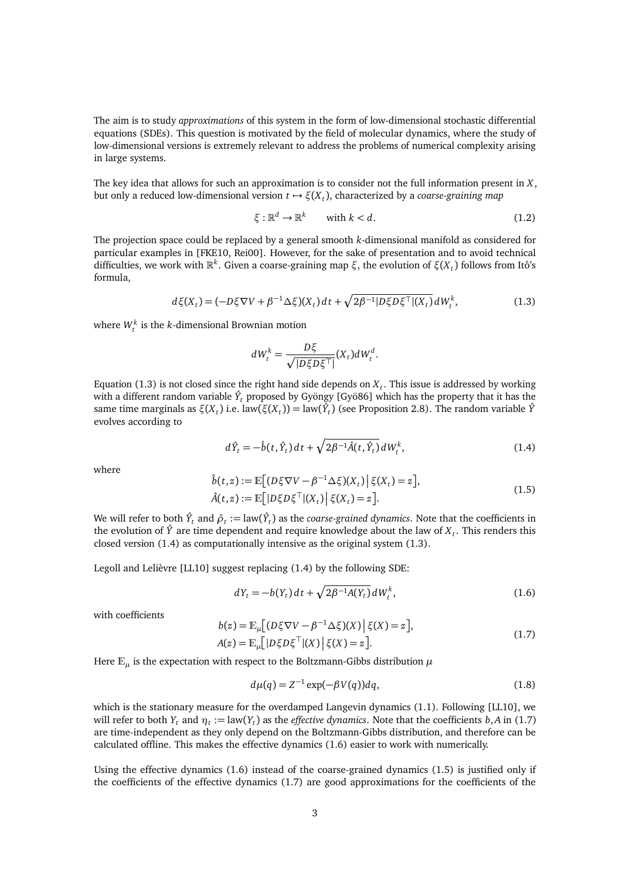The aim is to study *approximations* of this system in the form of low-dimensional stochastic differential equations (SDEs). This question is motivated by the field of molecular dynamics, where the study of low-dimensional versions is extremely relevant to address the problems of numerical complexity arising in large systems.

The key idea that allows for such an approximation is to consider not the full information present in *X*, but only a reduced low-dimensional version *t* 7→ *ξ*(*X<sup>t</sup>* ), characterized by a *coarse-graining map*

$$
\xi: \mathbb{R}^d \to \mathbb{R}^k \qquad \text{with } k < d. \tag{1.2}
$$

The projection space could be replaced by a general smooth *k*-dimensional manifold as considered for particular examples in [\[FKE10,](#page-45-10) [Rei00\]](#page-46-1). However, for the sake of presentation and to avoid technical difficulties, we work with  $\mathbb{R}^k$ . Given a coarse-graining map *ξ*, the evolution of  $\xi(X_t)$  follows from Itô's formula,

$$
d\xi(X_t) = (-D\xi \nabla V + \beta^{-1} \Delta \xi)(X_t) dt + \sqrt{2\beta^{-1} |D\xi D\xi|} (X_t) dW_t^k, \tag{1.3}
$$

where  $W_t^k$  is the *k*-dimensional Brownian motion

<span id="page-2-1"></span><span id="page-2-0"></span>
$$
dW_t^k = \frac{D\xi}{\sqrt{|D\xi D\xi^{\top}|}} (X_t) dW_t^d.
$$

Equation [\(1.3\)](#page-2-0) is not closed since the right hand side depends on *X<sup>t</sup>* . This issue is addressed by working with a different random variable  $\hat{Y}_t$  proposed by Gyöngy [\[Gyö86\]](#page-45-11) which has the property that it has the same time marginals as  $\xi(X_t)$  i.e. law( $\xi(X_t)$ ) = law( $\hat{Y}_t$ ) (see Proposition [2.8\)](#page-13-1). The random variable  $\hat{Y}$ evolves according to

$$
d\hat{Y}_t = -\hat{b}(t, \hat{Y}_t) dt + \sqrt{2\beta^{-1}\hat{A}(t, \hat{Y}_t)} dW_t^k, \qquad (1.4)
$$

where

<span id="page-2-4"></span>
$$
\hat{b}(t,z) := \mathbb{E}\big[ (D\xi \nabla V - \beta^{-1} \Delta \xi)(X_t) \big| \xi(X_t) = z \big],
$$
\n
$$
\hat{A}(t,z) := \mathbb{E}\big[ |D\xi D\xi^\top| (X_t) \big| \xi(X_t) = z \big].
$$
\n(1.5)

We will refer to both  $\hat{Y}_t$  and  $\hat{\rho}_t:=\text{law}(\hat{Y}_t)$  as the *coarse-grained dynamics*. Note that the coefficients in the evolution of  $\hat{Y}$  are time dependent and require knowledge about the law of  $X_t$ . This renders this closed version [\(1.4\)](#page-2-1) as computationally intensive as the original system [\(1.3\)](#page-2-0).

Legoll and Lelièvre [\[LL10\]](#page-45-6) suggest replacing [\(1.4\)](#page-2-1) by the following SDE:

<span id="page-2-3"></span>
$$
dY_t = -b(Y_t) dt + \sqrt{2\beta^{-1}A(Y_t)} dW_t^k, \qquad (1.6)
$$

with coefficients

<span id="page-2-2"></span>
$$
b(z) = \mathbb{E}_{\mu} \Big[ (D\xi \nabla V - \beta^{-1} \Delta \xi)(X) \Big| \xi(X) = z \Big],
$$
  
\n
$$
A(z) = \mathbb{E}_{\mu} \Big[ |D\xi D\xi^{\top}|(X) \Big| \xi(X) = z \Big].
$$
\n(1.7)

Here  $\mathbb{E}_{\mu}$  is the expectation with respect to the Boltzmann-Gibbs distribution  $\mu$ 

<span id="page-2-5"></span>
$$
d\mu(q) = Z^{-1} \exp(-\beta V(q)) dq, \qquad (1.8)
$$

which is the stationary measure for the overdamped Langevin dynamics [\(1.1\)](#page-1-2). Following [\[LL10\]](#page-45-6), we will refer to both  $Y_t$  and  $\eta_t := \text{law}(Y_t)$  as the *effective dynamics*. Note that the coefficients  $b, A$  in [\(1.7\)](#page-2-2) are time-independent as they only depend on the Boltzmann-Gibbs distribution, and therefore can be calculated offline. This makes the effective dynamics  $(1.6)$  easier to work with numerically.

Using the effective dynamics [\(1.6\)](#page-2-3) instead of the coarse-grained dynamics [\(1.5\)](#page-2-4) is justified only if the coefficients of the effective dynamics  $(1.7)$  are good approximations for the coefficients of the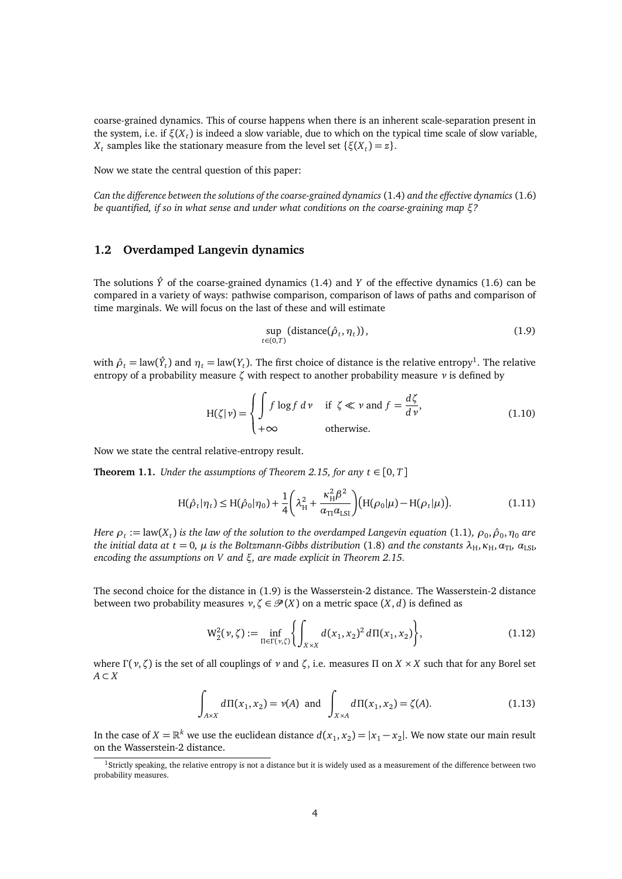coarse-grained dynamics. This of course happens when there is an inherent scale-separation present in the system, i.e. if *ξ*(*X<sup>t</sup>* ) is indeed a slow variable, due to which on the typical time scale of slow variable, *X*<sup>*t*</sup> samples like the stationary measure from the level set { $\xi(X_t) = z$ }.

Now we state the central question of this paper:

*Can the difference between the solutions of the coarse-grained dynamics* [\(1.4\)](#page-2-1) *and the effective dynamics* [\(1.6\)](#page-2-3) *be quantified, if so in what sense and under what conditions on the coarse-graining map ξ?*

## <span id="page-3-0"></span>**1.2 Overdamped Langevin dynamics**

The solutions  $\hat{Y}$  of the coarse-grained dynamics [\(1.4\)](#page-2-1) and *Y* of the effective dynamics [\(1.6\)](#page-2-3) can be compared in a variety of ways: pathwise comparison, comparison of laws of paths and comparison of time marginals. We will focus on the last of these and will estimate

<span id="page-3-5"></span><span id="page-3-3"></span><span id="page-3-2"></span>
$$
\sup_{t \in (0,T)} (\text{distance}(\hat{\rho}_t, \eta_t)), \tag{1.9}
$$

with  $\hat{\rho}_t = \text{law}(\hat{Y}_t)$  and  $\eta_t = \text{law}(Y_t)$ . The first choice of distance is the relative entropy<sup>[1](#page-3-1)</sup>. The relative entropy of a probability measure *ζ* with respect to another probability measure *ν* is defined by

$$
H(\zeta|\nu) = \begin{cases} \int f \log f \, d\nu & \text{if } \zeta \ll \nu \text{ and } f = \frac{d\zeta}{d\nu}, \\ +\infty & \text{otherwise.} \end{cases}
$$
(1.10)

Now we state the central relative-entropy result.

<span id="page-3-4"></span>**Theorem 1.1.** *Under the assumptions of Theorem [2.15,](#page-18-1) for any*  $t \in [0, T]$ 

$$
H(\hat{\rho}_t|\eta_t) \le H(\hat{\rho}_0|\eta_0) + \frac{1}{4} \left(\lambda_H^2 + \frac{\kappa_H^2 \beta^2}{\alpha_{\text{TI}} \alpha_{\text{LSI}}} \right) (H(\rho_0|\mu) - H(\rho_t|\mu)). \tag{1.11}
$$

*Here*  $\rho_t$  *:=* law( $X_t$ ) is the law of the solution to the overdamped Langevin equation [\(1.1\)](#page-1-2),  $\rho_0$ ,  $\hat{\rho}_0$ ,  $\eta_0$  are *the initial data at*  $t = 0$ ,  $\mu$  *is the Boltzmann-Gibbs distribution* [\(1.8\)](#page-2-5) *and the constants*  $\lambda_H$ ,  $\kappa_H$ ,  $\alpha_{T}$ ,  $\alpha_{LSL}$ *encoding the assumptions on V and ξ, are made explicit in Theorem [2.15.](#page-18-1)*

The second choice for the distance in [\(1.9\)](#page-3-2) is the Wasserstein-2 distance. The Wasserstein-2 distance between two probability measures  $\nu, \zeta \in \mathcal{P}(X)$  on a metric space  $(X, d)$  is defined as

<span id="page-3-6"></span>
$$
W_2^2(\nu,\zeta) := \inf_{\Pi \in \Gamma(\nu,\zeta)} \left\{ \int_{X \times X} d(x_1,x_2)^2 d\Pi(x_1,x_2) \right\},\tag{1.12}
$$

where *Γ*(*ν*, *ζ*) is the set of all couplings of *ν* and *ζ*, i.e. measures Π on *X* × *X* such that for any Borel set *A* ⊂ *X*

$$
\int_{A \times X} d\Pi(x_1, x_2) = \nu(A) \text{ and } \int_{X \times A} d\Pi(x_1, x_2) = \zeta(A). \tag{1.13}
$$

In the case of  $X = \mathbb{R}^k$  we use the euclidean distance  $d(x_1, x_2) = |x_1 - x_2|$ . We now state our main result on the Wasserstein-2 distance.

<span id="page-3-1"></span> $1$ Strictly speaking, the relative entropy is not a distance but it is widely used as a measurement of the difference between two probability measures.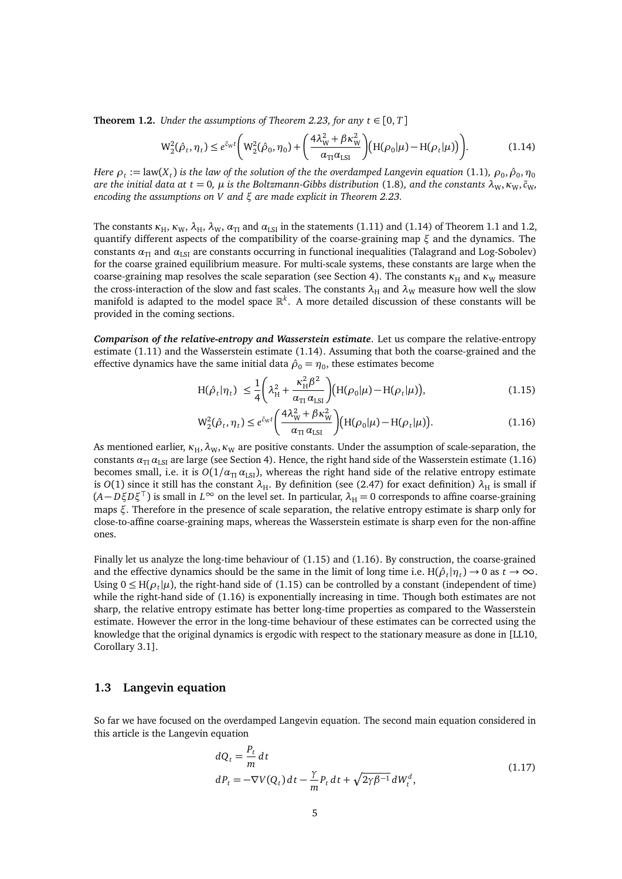<span id="page-4-2"></span>**Theorem 1.2.** *Under the assumptions of Theorem [2.23,](#page-25-1) for any*  $t \in [0, T]$ 

<span id="page-4-1"></span>
$$
W_2^2(\hat{\rho}_t, \eta_t) \le e^{\tilde{c}_W t} \bigg( W_2^2(\hat{\rho}_0, \eta_0) + \bigg( \frac{4\lambda_W^2 + \beta \kappa_W^2}{\alpha_{\text{TI}} \alpha_{\text{LSI}}} \bigg) \big( H(\rho_0 | \mu) - H(\rho_t | \mu) \big) \bigg). \tag{1.14}
$$

*Here*  $\rho_t$  *:=* law( $X_t$ ) is the law of the solution of the the overdamped Langevin equation [\(1.1\)](#page-1-2),  $\rho_0$ ,  $\hat{\rho}_0$ ,  $\eta_0$ *are the initial data at*  $t = 0$ ,  $\mu$  *is the Boltzmann-Gibbs distribution* [\(1.8\)](#page-2-5), and the constants  $\lambda_W$ ,  $\kappa_W$ ,  $\tilde{c}_W$ , *encoding the assumptions on V and ξ are made explicit in Theorem [2.23.](#page-25-1)*

The constants  $\kappa_H$ ,  $\kappa_W$ ,  $\lambda_H$ ,  $\lambda_W$ ,  $\alpha_{\text{TI}}$  and  $\alpha_{\text{LSI}}$  in the statements [\(1.11\)](#page-3-3) and [\(1.14\)](#page-4-1) of Theorem [1.1](#page-3-4) and [1.2,](#page-4-2) quantify different aspects of the compatibility of the coarse-graining map *ξ* and the dynamics. The constants  $\alpha_{\text{TI}}$  and  $\alpha_{\text{LSI}}$  are constants occurring in functional inequalities (Talagrand and Log-Sobolev) for the coarse grained equilibrium measure. For multi-scale systems, these constants are large when the coarse-graining map resolves the scale separation (see Section [4\)](#page-38-1). The constants *κ*<sub>H</sub> and *κ*<sub>W</sub> measure the cross-interaction of the slow and fast scales. The constants  $\lambda_H$  and  $\lambda_W$  measure how well the slow manifold is adapted to the model space R *k* . A more detailed discussion of these constants will be provided in the coming sections.

*Comparison of the relative-entropy and Wasserstein estimate*. Let us compare the relative-entropy estimate [\(1.11\)](#page-3-3) and the Wasserstein estimate [\(1.14\)](#page-4-1). Assuming that both the coarse-grained and the effective dynamics have the same initial data  $\hat{\rho}_0 = \eta_0$ , these estimates become

<span id="page-4-4"></span>
$$
H(\hat{\rho}_t|\eta_t) \leq \frac{1}{4} \left(\lambda_H^2 + \frac{\kappa_H^2 \beta^2}{\alpha_{\text{TI}} \alpha_{\text{LSI}}}\right) (H(\rho_0|\mu) - H(\rho_t|\mu)), \tag{1.15}
$$

<span id="page-4-3"></span>
$$
W_2^2(\hat{\rho}_t, \eta_t) \le e^{\tilde{c}_W t} \left( \frac{4\lambda_W^2 + \beta \kappa_W^2}{\alpha_{\text{TI}} \alpha_{\text{LSI}}} \right) (H(\rho_0|\mu) - H(\rho_t|\mu)). \tag{1.16}
$$

As mentioned earlier,  $\kappa_H$ ,  $\lambda_W$ ,  $\kappa_W$  are positive constants. Under the assumption of scale-separation, the constants  $\alpha_{\text{TI}} \alpha_{\text{LSI}}$  are large (see Section [4\)](#page-38-1). Hence, the right hand side of the Wasserstein estimate [\(1.16\)](#page-4-3) becomes small, i.e. it is  $O(1/\alpha_{\text{TI}} \alpha_{\text{LSI}})$ , whereas the right hand side of the relative entropy estimate is *O*(1) since it still has the constant  $\lambda_H$ . By definition (see [\(2.47\)](#page-18-2) for exact definition)  $\lambda_H$  is small if  $(A - D\xi D\xi^{\top})$  is small in  $L^{\infty}$  on the level set. In particular,  $\lambda_H = 0$  corresponds to affine coarse-graining maps *ξ*. Therefore in the presence of scale separation, the relative entropy estimate is sharp only for close-to-affine coarse-graining maps, whereas the Wasserstein estimate is sharp even for the non-affine ones.

Finally let us analyze the long-time behaviour of [\(1.15\)](#page-4-4) and [\(1.16\)](#page-4-3). By construction, the coarse-grained and the effective dynamics should be the same in the limit of long time i.e.  $H(\hat{\rho}_t | \eta_t) \to 0$  as  $t \to \infty$ . Using  $0 \leq H(\rho_t|\mu)$ , the right-hand side of [\(1.15\)](#page-4-4) can be controlled by a constant (independent of time) while the right-hand side of [\(1.16\)](#page-4-3) is exponentially increasing in time. Though both estimates are not sharp, the relative entropy estimate has better long-time properties as compared to the Wasserstein estimate. However the error in the long-time behaviour of these estimates can be corrected using the knowledge that the original dynamics is ergodic with respect to the stationary measure as done in [\[LL10,](#page-45-6) Corollary 3.1].

### <span id="page-4-0"></span>**1.3 Langevin equation**

So far we have focused on the overdamped Langevin equation. The second main equation considered in this article is the Langevin equation

<span id="page-4-5"></span>
$$
dQ_t = \frac{P_t}{m} dt
$$
  
\n
$$
dP_t = -\nabla V(Q_t) dt - \frac{\gamma}{m} P_t dt + \sqrt{2\gamma \beta^{-1}} dW_t^d,
$$
\n(1.17)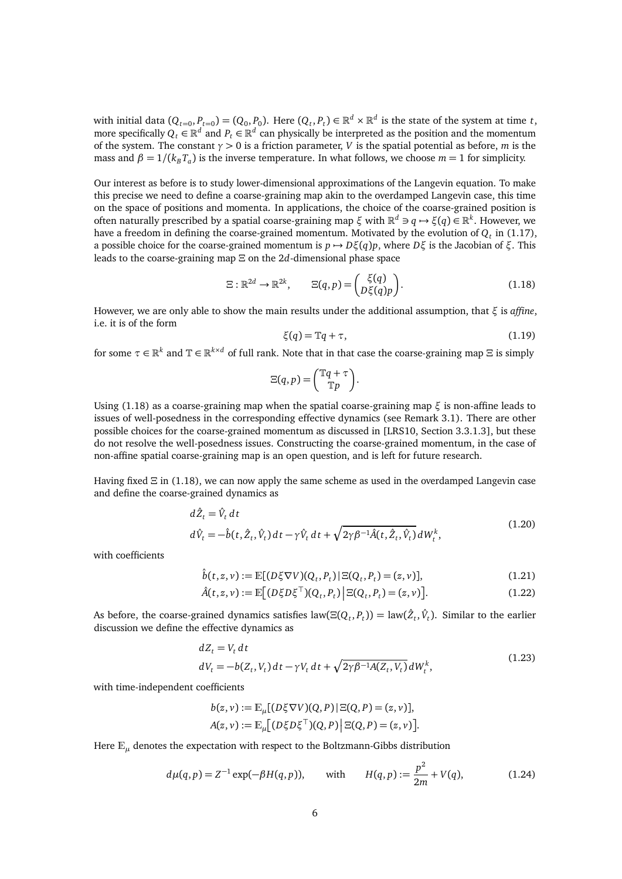with initial data  $(Q_{t=0}, P_{t=0}) = (Q_0, P_0)$ . Here  $(Q_t, P_t) \in \mathbb{R}^d \times \mathbb{R}^d$  is the state of the system at time *t*, more specifically  $Q_t \in \mathbb{R}^d$  and  $P_t \in \mathbb{R}^d$  can physically be interpreted as the position and the momentum of the system. The constant *γ >* 0 is a friction parameter, *V* is the spatial potential as before, *m* is the mass and  $\beta = 1/(k_B T_a)$  is the inverse temperature. In what follows, we choose  $m = 1$  for simplicity.

Our interest as before is to study lower-dimensional approximations of the Langevin equation. To make this precise we need to define a coarse-graining map akin to the overdamped Langevin case, this time on the space of positions and momenta. In applications, the choice of the coarse-grained position is often naturally prescribed by a spatial coarse-graining map *ξ* with  $\mathbb{R}^d$  ∋ *q* → *ξ*(*q*) ∈  $\mathbb{R}^k$ . However, we have a freedom in defining the coarse-grained momentum. Motivated by the evolution of  $Q_t$  in [\(1.17\)](#page-4-5), a possible choice for the coarse-grained momentum is *p* → *Dξ*(*q*)*p*, where *Dξ* is the Jacobian of *ξ*. This leads to the coarse-graining map *Ξ* on the 2*d*-dimensional phase space

$$
\Xi : \mathbb{R}^{2d} \to \mathbb{R}^{2k}, \qquad \Xi(q, p) = \begin{pmatrix} \xi(q) \\ D\xi(q)p \end{pmatrix}.
$$
 (1.18)

However, we are only able to show the main results under the additional assumption, that *ξ* is *affine*, i.e. it is of the form

<span id="page-5-1"></span><span id="page-5-0"></span>
$$
\xi(q) = \mathbb{T}q + \tau,\tag{1.19}
$$

for some  $\tau \in \mathbb{R}^k$  and  $\mathbb{T} \in \mathbb{R}^{k \times d}$  of full rank. Note that in that case the coarse-graining map  $\Xi$  is simply

$$
\Xi(q,p) = \begin{pmatrix} \mathbb{T}q + \tau \\ \mathbb{T}p \end{pmatrix}.
$$

Using  $(1.18)$  as a coarse-graining map when the spatial coarse-graining map  $\xi$  is non-affine leads to issues of well-posedness in the corresponding effective dynamics (see Remark [3.1\)](#page-32-1). There are other possible choices for the coarse-grained momentum as discussed in [\[LRS10,](#page-45-12) Section 3.3.1.3], but these do not resolve the well-posedness issues. Constructing the coarse-grained momentum, in the case of non-affine spatial coarse-graining map is an open question, and is left for future research.

Having fixed *Ξ* in [\(1.18\)](#page-5-0), we can now apply the same scheme as used in the overdamped Langevin case and define the coarse-grained dynamics as

$$
d\hat{Z}_t = \hat{V}_t dt
$$
  
\n
$$
d\hat{V}_t = -\hat{b}(t, \hat{Z}_t, \hat{V}_t) dt - \gamma \hat{V}_t dt + \sqrt{2\gamma \beta^{-1} \hat{A}(t, \hat{Z}_t, \hat{V}_t)} dW_t^k,
$$
\n(1.20)

with coefficients

$$
\hat{b}(t, z, v) := \mathbb{E}[(D\xi \nabla V)(Q_t, P_t) | \Xi(Q_t, P_t) = (z, v)],\tag{1.21}
$$

$$
\hat{A}(t, z, v) := \mathbb{E}\big[ (D\xi D\xi^{\top})(Q_t, P_t) \, \big| \, \Xi(Q_t, P_t) = (z, v) \big].
$$
\n(1.22)

As before, the coarse-grained dynamics satisfies  $law(\Xi(Q_t, P_t)) = law(\hat{Z}_t, \hat{V}_t)$ . Similar to the earlier discussion we define the effective dynamics as

$$
dZ_t = V_t dt
$$
  
\n
$$
dV_t = -b(Z_t, V_t) dt - \gamma V_t dt + \sqrt{2\gamma \beta^{-1} A(Z_t, V_t)} dW_t^k,
$$
\n(1.23)

with time-independent coefficients

<span id="page-5-2"></span>
$$
b(z, v) := \mathbb{E}_{\mu}[(D\xi \nabla V)(Q, P) | \Xi(Q, P) = (z, v)],
$$
  

$$
A(z, v) := \mathbb{E}_{\mu}[(D\xi D\xi^{\top})(Q, P) | \Xi(Q, P) = (z, v)].
$$

Here  $\mathbb{E}_{\mu}$  denotes the expectation with respect to the Boltzmann-Gibbs distribution

$$
d\mu(q, p) = Z^{-1} \exp(-\beta H(q, p)), \quad \text{with} \quad H(q, p) := \frac{p^2}{2m} + V(q), \quad (1.24)
$$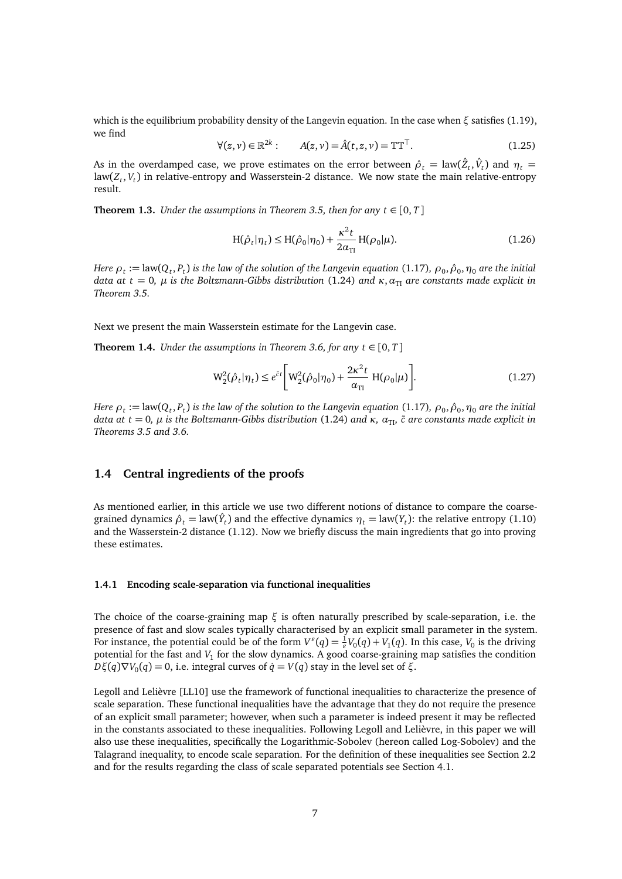which is the equilibrium probability density of the Langevin equation. In the case when *ξ* satisfies [\(1.19\)](#page-5-1), we find

$$
\forall (z, v) \in \mathbb{R}^{2k} : \qquad A(z, v) = \hat{A}(t, z, v) = \mathbb{T} \mathbb{T}^{\top}.
$$
 (1.25)

As in the overdamped case, we prove estimates on the error between  $\hat{\rho}_t = \text{law}(\hat{Z}_t, \hat{V}_t)$  and  $\eta_t =$ law(*Z<sup>t</sup>* , *V<sup>t</sup>* ) in relative-entropy and Wasserstein-2 distance. We now state the main relative-entropy result.

**Theorem 1.3.** *Under the assumptions in Theorem [3.5,](#page-34-1) then for any*  $t \in [0, T]$ 

$$
H(\hat{\rho}_t|\eta_t) \le H(\hat{\rho}_0|\eta_0) + \frac{\kappa^2 t}{2\alpha_{\text{TI}}} H(\rho_0|\mu).
$$
 (1.26)

*Here*  $\rho_t$  *:=* law( $Q_t$ , $P_t$ ) is the law of the solution of the Langevin equation [\(1.17\)](#page-4-5),  $\rho_0$ ,  $\hat\rho_0$ ,  $\eta_0$  are the initial *data at*  $t = 0$ ,  $\mu$  *is the Boltzmann-Gibbs distribution* [\(1.24\)](#page-5-2) *and*  $\kappa$ ,  $\alpha_{\text{TI}}$  *are constants made explicit in Theorem [3.5.](#page-34-1)*

Next we present the main Wasserstein estimate for the Langevin case.

**Theorem 1.4.** *Under the assumptions in Theorem [3.6,](#page-36-1) for any*  $t \in [0, T]$ 

$$
W_2^2(\hat{\rho}_t|\eta_t) \le e^{\tilde{c}t} \bigg[ W_2^2(\hat{\rho}_0|\eta_0) + \frac{2\kappa^2 t}{\alpha_{\text{TI}}} H(\rho_0|\mu) \bigg]. \tag{1.27}
$$

*Here*  $\rho_t$  *:=* law( $Q_t$ , $P_t$ ) is the law of the solution to the Langevin equation [\(1.17\)](#page-4-5),  $\rho_0$ ,  $\hat\rho_0$ ,  $\eta_0$  are the initial *data at*  $t = 0$ ,  $\mu$  *is the Boltzmann-Gibbs distribution* [\(1.24\)](#page-5-2) *and*  $\kappa$ ,  $\alpha_{\text{TL}}$  $\tilde{c}$  *are constants made explicit in Theorems [3.5](#page-34-1) and [3.6.](#page-36-1)*

## <span id="page-6-0"></span>**1.4 Central ingredients of the proofs**

As mentioned earlier, in this article we use two different notions of distance to compare the coarsegrained dynamics  $\hat{\rho}_t = \text{law}(\hat{Y}_t)$  and the effective dynamics  $\eta_t = \text{law}(Y_t)$ : the relative entropy [\(1.10\)](#page-3-5) and the Wasserstein-2 distance [\(1.12\)](#page-3-6). Now we briefly discuss the main ingredients that go into proving these estimates.

#### <span id="page-6-1"></span>**1.4.1 Encoding scale-separation via functional inequalities**

The choice of the coarse-graining map *ξ* is often naturally prescribed by scale-separation, i.e. the presence of fast and slow scales typically characterised by an explicit small parameter in the system. For instance, the potential could be of the form  $V^{\varepsilon}(q) = \frac{1}{\varepsilon}V_0(q) + V_1(q)$ . In this case,  $V_0$  is the driving potential for the fast and *V*<sub>1</sub> for the slow dynamics. A good coarse-graining map satisfies the condition *Dξ*(*q*) $\nabla$ *V*<sub>0</sub>(*q*) = 0, i.e. integral curves of *q*<sup><sup></sup> = *V*(*q*) stay in the level set of *ξ*.</sup>

Legoll and Lelièvre [\[LL10\]](#page-45-6) use the framework of functional inequalities to characterize the presence of scale separation. These functional inequalities have the advantage that they do not require the presence of an explicit small parameter; however, when such a parameter is indeed present it may be reflected in the constants associated to these inequalities. Following Legoll and Lelièvre, in this paper we will also use these inequalities, specifically the Logarithmic-Sobolev (hereon called Log-Sobolev) and the Talagrand inequality, to encode scale separation. For the definition of these inequalities see Section [2.2](#page-12-0) and for the results regarding the class of scale separated potentials see Section [4.1.](#page-38-2)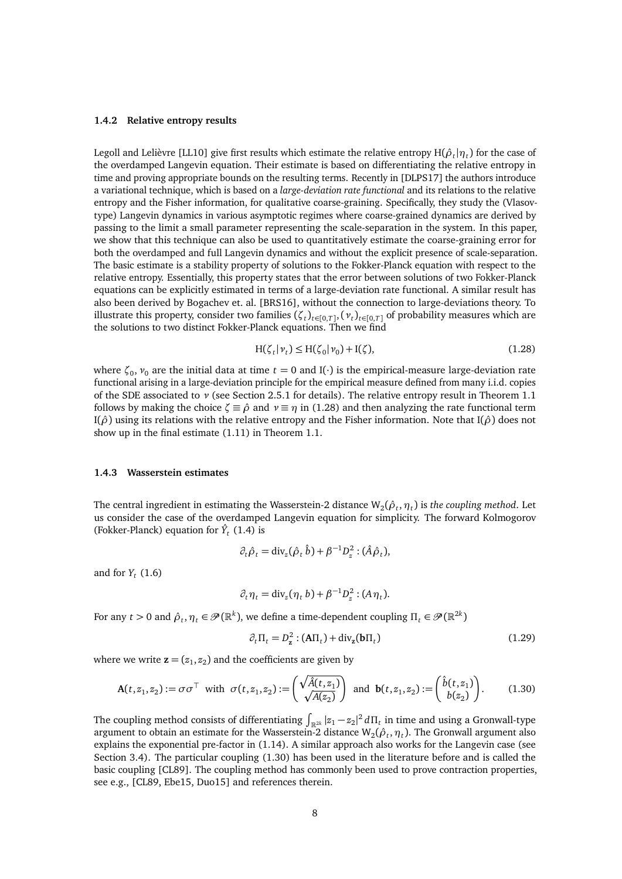#### <span id="page-7-0"></span>**1.4.2 Relative entropy results**

Legoll and Lelièvre [\[LL10\]](#page-45-6) give first results which estimate the relative entropy  $H(\hat{\rho}_t|\eta_t)$  for the case of the overdamped Langevin equation. Their estimate is based on differentiating the relative entropy in time and proving appropriate bounds on the resulting terms. Recently in [\[DLPS17\]](#page-44-2) the authors introduce a variational technique, which is based on a *large-deviation rate functional* and its relations to the relative entropy and the Fisher information, for qualitative coarse-graining. Specifically, they study the (Vlasovtype) Langevin dynamics in various asymptotic regimes where coarse-grained dynamics are derived by passing to the limit a small parameter representing the scale-separation in the system. In this paper, we show that this technique can also be used to quantitatively estimate the coarse-graining error for both the overdamped and full Langevin dynamics and without the explicit presence of scale-separation. The basic estimate is a stability property of solutions to the Fokker-Planck equation with respect to the relative entropy. Essentially, this property states that the error between solutions of two Fokker-Planck equations can be explicitly estimated in terms of a large-deviation rate functional. A similar result has also been derived by Bogachev et. al. [\[BRS16\]](#page-44-4), without the connection to large-deviations theory. To illustrate this property, consider two families  $(\zeta_t)_{t\in[0,T]}, (\nu_t)_{t\in[0,T]}$  of probability measures which are the solutions to two distinct Fokker-Planck equations. Then we find

<span id="page-7-2"></span>
$$
H(\zeta_t|\nu_t) \le H(\zeta_0|\nu_0) + I(\zeta),\tag{1.28}
$$

where  $\zeta_0$ ,  $\nu_0$  are the initial data at time *t* = 0 and I(·) is the empirical-measure large-deviation rate functional arising in a large-deviation principle for the empirical measure defined from many i.i.d. copies of the SDE associated to *ν* (see Section [2.5.1](#page-19-0) for details). The relative entropy result in Theorem [1.1](#page-3-4) follows by making the choice  $\zeta \equiv \hat{\rho}$  and  $\nu \equiv \eta$  in [\(1.28\)](#page-7-2) and then analyzing the rate functional term I(*ρ*ˆ) using its relations with the relative entropy and the Fisher information. Note that I(*ρ*ˆ) does not show up in the final estimate [\(1.11\)](#page-3-3) in Theorem [1.1.](#page-3-4)

#### <span id="page-7-1"></span>**1.4.3 Wasserstein estimates**

The central ingredient in estimating the Wasserstein-2 distance  $\mathsf{W}_2(\hat{\rho}_t,\eta_t)$  is *the coupling method*. Let us consider the case of the overdamped Langevin equation for simplicity. The forward Kolmogorov (Fokker-Planck) equation for  $\hat{Y}_t$  [\(1.4\)](#page-2-1) is

$$
\partial_t \hat{\rho}_t = \mathrm{div}_z(\hat{\rho}_t \hat{b}) + \beta^{-1} D_z^2 : (\hat{A} \hat{\rho}_t),
$$

and for  $Y_t$  [\(1.6\)](#page-2-3)

$$
\partial_t \eta_t = \text{div}_z(\eta_t b) + \beta^{-1} D_z^2 : (A \eta_t).
$$

For any  $t>0$  and  $\hat{\rho}_t, \eta_t\in\mathscr{P}(\mathbb{R}^k),$  we define a time-dependent coupling  $\Pi_t\in\mathscr{P}(\mathbb{R}^{2k})$ 

$$
\partial_t \Pi_t = D_\mathbf{z}^2 : (\mathbf{A}\Pi_t) + \text{div}_{\mathbf{z}}(\mathbf{b}\Pi_t)
$$
\n(1.29)

where we write  $\mathbf{z} = (z_1, z_2)$  and the coefficients are given by

<span id="page-7-3"></span>
$$
\mathbf{A}(t, z_1, z_2) := \sigma \sigma^{\top} \text{ with } \sigma(t, z_1, z_2) := \begin{pmatrix} \sqrt{\hat{A}(t, z_1)} \\ \sqrt{A(z_2)} \end{pmatrix} \text{ and } \mathbf{b}(t, z_1, z_2) := \begin{pmatrix} \hat{b}(t, z_1) \\ b(z_2) \end{pmatrix}.
$$
 (1.30)

The coupling method consists of differentiating  $\int_{\R^{2k}} |z_1 - z_2|^2 \, d\Pi_t$  in time and using a Gronwall-type argument to obtain an estimate for the Wasserstein-2 distance  $W_2(\hat{\rho}_t, \eta_t)$ . The Gronwall argument also explains the exponential pre-factor in [\(1.14\)](#page-4-1). A similar approach also works for the Langevin case (see Section [3.4\)](#page-34-0). The particular coupling [\(1.30\)](#page-7-3) has been used in the literature before and is called the basic coupling [\[CL89\]](#page-44-5). The coupling method has commonly been used to prove contraction properties, see e.g., [\[CL89,](#page-44-5) [Ebe15,](#page-45-13) [Duo15\]](#page-45-14) and references therein.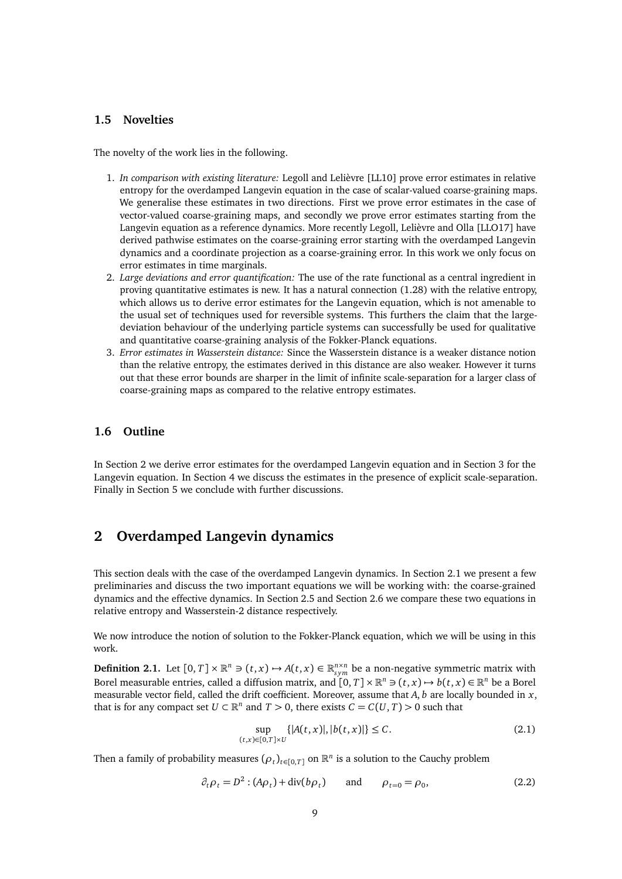## <span id="page-8-0"></span>**1.5 Novelties**

The novelty of the work lies in the following.

- 1. *In comparison with existing literature:* Legoll and Lelièvre [\[LL10\]](#page-45-6) prove error estimates in relative entropy for the overdamped Langevin equation in the case of scalar-valued coarse-graining maps. We generalise these estimates in two directions. First we prove error estimates in the case of vector-valued coarse-graining maps, and secondly we prove error estimates starting from the Langevin equation as a reference dynamics. More recently Legoll, Lelièvre and Olla [\[LLO17\]](#page-45-7) have derived pathwise estimates on the coarse-graining error starting with the overdamped Langevin dynamics and a coordinate projection as a coarse-graining error. In this work we only focus on error estimates in time marginals.
- 2. *Large deviations and error quantification:* The use of the rate functional as a central ingredient in proving quantitative estimates is new. It has a natural connection [\(1.28\)](#page-7-2) with the relative entropy, which allows us to derive error estimates for the Langevin equation, which is not amenable to the usual set of techniques used for reversible systems. This furthers the claim that the largedeviation behaviour of the underlying particle systems can successfully be used for qualitative and quantitative coarse-graining analysis of the Fokker-Planck equations.
- 3. *Error estimates in Wasserstein distance:* Since the Wasserstein distance is a weaker distance notion than the relative entropy, the estimates derived in this distance are also weaker. However it turns out that these error bounds are sharper in the limit of infinite scale-separation for a larger class of coarse-graining maps as compared to the relative entropy estimates.

## <span id="page-8-1"></span>**1.6 Outline**

In Section [2](#page-8-2) we derive error estimates for the overdamped Langevin equation and in Section [3](#page-29-1) for the Langevin equation. In Section [4](#page-38-1) we discuss the estimates in the presence of explicit scale-separation. Finally in Section [5](#page-40-1) we conclude with further discussions.

## <span id="page-8-2"></span>**2 Overdamped Langevin dynamics**

This section deals with the case of the overdamped Langevin dynamics. In Section [2.1](#page-9-0) we present a few preliminaries and discuss the two important equations we will be working with: the coarse-grained dynamics and the effective dynamics. In Section [2.5](#page-18-0) and Section [2.6](#page-25-0) we compare these two equations in relative entropy and Wasserstein-2 distance respectively.

We now introduce the notion of solution to the Fokker-Planck equation, which we will be using in this work.

<span id="page-8-4"></span>**Definition 2.1.** Let  $[0, T] \times \mathbb{R}^n \ni (t, x) \mapsto A(t, x) \in \mathbb{R}_{sym}^{n \times n}$  be a non-negative symmetric matrix with Borel measurable entries, called a diffusion matrix, and  $[0,T] \times \mathbb{R}^n \ni (t,x) \mapsto b(t,x) \in \mathbb{R}^n$  be a Borel measurable vector field, called the drift coefficient. Moreover, assume that  $A$ ,  $b$  are locally bounded in  $x$ , that is for any compact set  $U \subset \mathbb{R}^n$  and  $T > 0$ , there exists  $C = C(U, T) > 0$  such that

$$
\sup_{(t,x)\in[0,T]\times U} \{|A(t,x)|, |b(t,x)|\} \le C.
$$
\n(2.1)

Then a family of probability measures  $(\rho_t)_{t \in [0,T]}$  on  $\mathbb{R}^n$  is a solution to the Cauchy problem

<span id="page-8-3"></span>
$$
\partial_t \rho_t = D^2 : (A \rho_t) + \text{div}(b \rho_t) \qquad \text{and} \qquad \rho_{t=0} = \rho_0,
$$
 (2.2)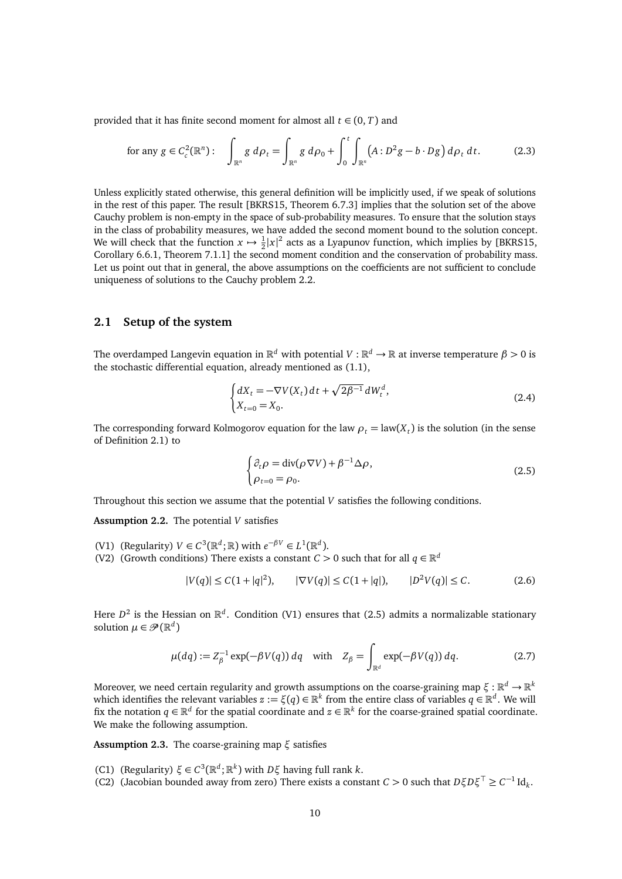provided that it has finite second moment for almost all  $t \in (0, T)$  and

<span id="page-9-7"></span>for any 
$$
g \in C_c^2(\mathbb{R}^n)
$$
: 
$$
\int_{\mathbb{R}^n} g \, d\rho_t = \int_{\mathbb{R}^n} g \, d\rho_0 + \int_0^t \int_{\mathbb{R}^n} (A : D^2 g - b \cdot D g) \, d\rho_t \, dt.
$$
 (2.3)

Unless explicitly stated otherwise, this general definition will be implicitly used, if we speak of solutions in the rest of this paper. The result [\[BKRS15,](#page-44-6) Theorem 6.7.3] implies that the solution set of the above Cauchy problem is non-empty in the space of sub-probability measures. To ensure that the solution stays in the class of probability measures, we have added the second moment bound to the solution concept. We will check that the function  $x \mapsto \frac{1}{2}|x|^2$  acts as a Lyapunov function, which implies by [\[BKRS15,](#page-44-6) Corollary 6.6.1, Theorem 7.1.1] the second moment condition and the conservation of probability mass. Let us point out that in general, the above assumptions on the coefficients are not sufficient to conclude uniqueness of solutions to the Cauchy problem [2.2.](#page-8-3)

#### <span id="page-9-0"></span>**2.1 Setup of the system**

The overdamped Langevin equation in  $\R^d$  with potential  $V:\R^d\to\R$  at inverse temperature  $\beta>0$  is the stochastic differential equation, already mentioned as [\(1.1\)](#page-1-2),

$$
\begin{cases} dX_t = -\nabla V(X_t) dt + \sqrt{2\beta^{-1}} dW_t^d, \\ X_{t=0} = X_0. \end{cases}
$$
 (2.4)

The corresponding forward Kolmogorov equation for the law  $\rho_t = \text{law}(X_t)$  is the solution (in the sense of Definition [2.1\)](#page-8-4) to

<span id="page-9-2"></span>
$$
\begin{cases} \partial_t \rho = \text{div}(\rho \nabla V) + \beta^{-1} \Delta \rho, \\ \rho_{t=0} = \rho_0. \end{cases}
$$
 (2.5)

Throughout this section we assume that the potential *V* satisfies the following conditions.

<span id="page-9-6"></span>**Assumption 2.2.** The potential *V* satisfies

- <span id="page-9-1"></span>(V1) (Regularity)  $V \in C^3(\mathbb{R}^d; \mathbb{R})$  with  $e^{-\beta V} \in L^1(\mathbb{R}^d)$ .
- <span id="page-9-8"></span>(V2) (Growth conditions) There exists a constant *C* > 0 such that for all  $q \in \mathbb{R}^d$

$$
|V(q)| \le C(1+|q|^2), \qquad |\nabla V(q)| \le C(1+|q|), \qquad |D^2 V(q)| \le C. \tag{2.6}
$$

Here  $D^2$  is the Hessian on  $\mathbb{R}^d$ . Condition [\(V1\)](#page-9-1) ensures that [\(2.5\)](#page-9-2) admits a normalizable stationary solution  $\mu \in \mathscr{P}(\mathbb{R}^d)$ 

$$
\mu(dq) := Z_{\beta}^{-1} \exp(-\beta V(q)) dq \quad \text{with} \quad Z_{\beta} = \int_{\mathbb{R}^d} \exp(-\beta V(q)) dq. \tag{2.7}
$$

Moreover, we need certain regularity and growth assumptions on the coarse-graining map  $\xi:\mathbb{R}^d\to\mathbb{R}^k$ which identifies the relevant variables  $z := \xi(q) \in \mathbb{R}^k$  from the entire class of variables  $q \in \mathbb{R}^d$ . We will fix the notation  $q \in \mathbb{R}^d$  for the spatial coordinate and  $z \in \mathbb{R}^k$  for the coarse-grained spatial coordinate. We make the following assumption.

<span id="page-9-5"></span>**Assumption 2.3.** The coarse-graining map *ξ* satisfies

- <span id="page-9-3"></span>(C1) (Regularity)  $\xi \in C^3(\mathbb{R}^d; \mathbb{R}^k)$  with  $D\xi$  having full rank *k*.
- <span id="page-9-4"></span>(C2) (Jacobian bounded away from zero) There exists a constant *C* > 0 such that  $D\xi D\xi^T \ge C^{-1} \text{Id}_k$ .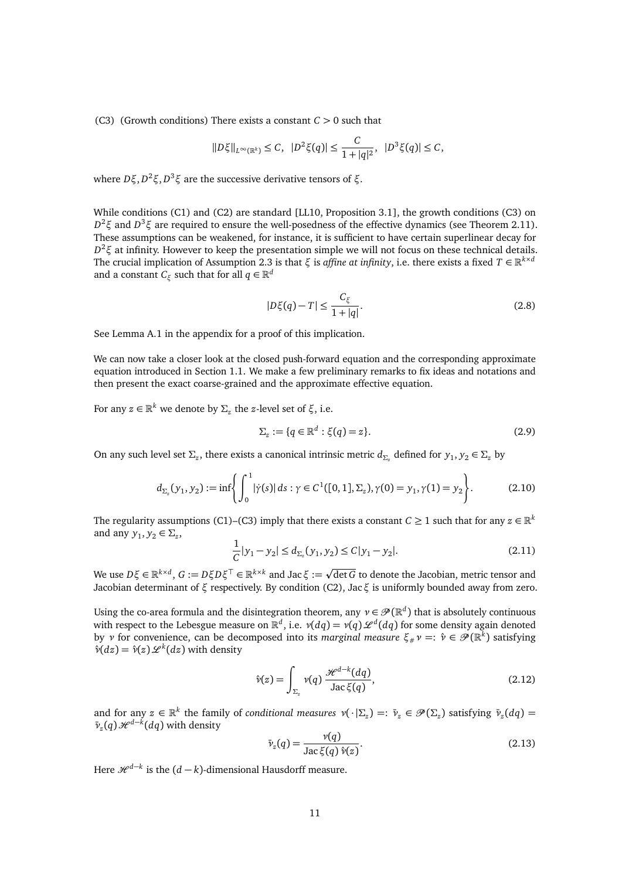<span id="page-10-0"></span>(C3) (Growth conditions) There exists a constant *C >* 0 such that

$$
||D\xi||_{L^{\infty}(\mathbb{R}^k)} \leq C, \ \ |D^2\xi(q)| \leq \frac{C}{1+|q|^2}, \ \ |D^3\xi(q)| \leq C,
$$

where *Dξ*, *D* <sup>2</sup>*ξ*, *D* <sup>3</sup>*ξ* are the successive derivative tensors of *ξ*.

While conditions [\(C1\)](#page-9-3) and [\(C2\)](#page-9-4) are standard [\[LL10,](#page-45-6) Proposition 3.1], the growth conditions [\(C3\)](#page-10-0) on *D* <sup>2</sup>*ξ* and *D* <sup>3</sup>*ξ* are required to ensure the well-posedness of the effective dynamics (see Theorem [2.11\)](#page-16-0). These assumptions can be weakened, for instance, it is sufficient to have certain superlinear decay for *D* <sup>2</sup>*ξ* at infinity. However to keep the presentation simple we will not focus on these technical details. The crucial implication of Assumption [2.3](#page-9-5) is that *ξ* is *affine at infinity*, i.e. there exists a fixed  $T \in \mathbb{R}^{k \times d}$ and a constant  $C_{\xi}$  such that for all  $q \in \mathbb{R}^d$ 

$$
|D\xi(q) - T| \le \frac{C_{\xi}}{1 + |q|}.\tag{2.8}
$$

See Lemma [A.1](#page-41-1) in the appendix for a proof of this implication.

We can now take a closer look at the closed push-forward equation and the corresponding approximate equation introduced in Section [1.1.](#page-1-1) We make a few preliminary remarks to fix ideas and notations and then present the exact coarse-grained and the approximate effective equation.

For any  $z \in \mathbb{R}^k$  we denote by  $\Sigma_z$  the *z*-level set of  $\xi$ , i.e.

$$
\Sigma_z := \{q \in \mathbb{R}^d : \xi(q) = z\}.
$$
\n
$$
(2.9)
$$

On any such level set  $\Sigma_z$ , there exists a canonical intrinsic metric  $d_{\Sigma_z}$  defined for  $y_1, y_2 \in \Sigma_z$  by

<span id="page-10-2"></span>
$$
d_{\Sigma_z}(y_1, y_2) := \inf \left\{ \int_0^1 |\dot{\gamma}(s)| \, ds : \gamma \in C^1([0, 1], \Sigma_z), \gamma(0) = y_1, \gamma(1) = y_2 \right\}.
$$
 (2.10)

The regularity assumptions [\(C1\)](#page-9-3)[–\(C3\)](#page-10-0) imply that there exists a constant  $C \ge 1$  such that for any  $z \in \mathbb{R}^k$ and any  $y_1, y_2 \in \Sigma_z$ ,

$$
\frac{1}{C}|y_1 - y_2| \le d_{\Sigma_z}(y_1, y_2) \le C|y_1 - y_2|.
$$
\n(2.11)

 $W$ e use  $D\xi$  ∈ ℝ<sup> $k×d$ </sup>,  $G := D\xi D\xi^\top$  ∈ ℝ $k×k$  and Jac  $\xi :=$ det*G* to denote the Jacobian, metric tensor and Jacobian determinant of *ξ* respectively. By condition [\(C2\),](#page-9-4) Jac*ξ* is uniformly bounded away from zero.

Using the co-area formula and the disintegration theorem, any  $v \in \mathcal{P}(\mathbb{R}^d)$  that is absolutely continuous with respect to the Lebesgue measure on  $\mathbb{R}^d$ , i.e.  $\nu(dq) = \nu(q)\,\mathscr{L}^d(dq)$  for some density again denoted by *ν* for convenience, can be decomposed into its *marginal measure*  $\xi_{\#}\nu =: \hat{\nu} \in \mathscr{P}(\mathbb{R}^k)$  satisfying  $\hat{v}(dz) = \hat{v}(z) \mathcal{L}^k(dz)$  with density

$$
\hat{\nu}(z) = \int_{\Sigma_z} \nu(q) \, \frac{\mathcal{H}^{d-k}(dq)}{\text{Jac}\,\xi(q)},\tag{2.12}
$$

and for any  $z \in \mathbb{R}^k$  the family of *conditional measures*  $\nu(\cdot|\Sigma_z) =: \bar{\nu}_z \in \mathcal{P}(\Sigma_z)$  satisfying  $\bar{\nu}_z(dq) =$  $\bar{\nu}_z(q)$   $\mathcal{H}^{d-\bar{k}}(dq)$  with density

<span id="page-10-1"></span>
$$
\bar{\nu}_z(q) = \frac{\nu(q)}{\text{Jac}\,\xi(q)\,\hat{\nu}(z)}.\tag{2.13}
$$

Here  $\mathscr{H}^{d-k}$  is the  $(d-k)$ -dimensional Hausdorff measure.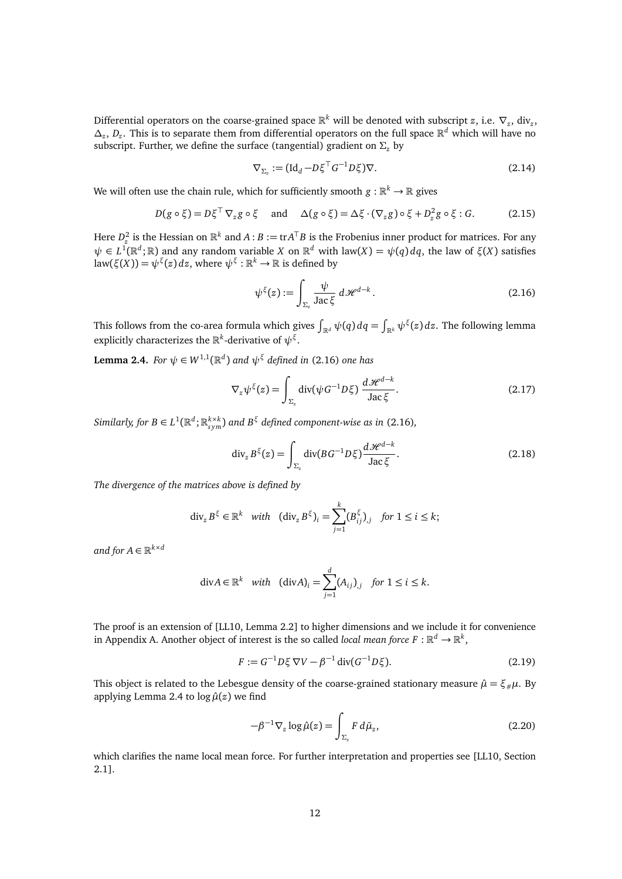Differential operators on the coarse-grained space  $\mathbb{R}^k$  will be denoted with subscript *z*, i.e.  $\nabla_z$ , div<sub>z</sub>, *∆<sup>z</sup>* , *D<sup>z</sup>* . This is to separate them from differential operators on the full space R *<sup>d</sup>* which will have no subscript. Further, we define the surface (tangential) gradient on *Σ<sup>z</sup>* by

$$
\nabla_{\Sigma_z} := (\mathrm{Id}_d - D\xi^\top G^{-1} D\xi) \nabla. \tag{2.14}
$$

We will often use the chain rule, which for sufficiently smooth  $g:\mathbb{R}^k\to\mathbb{R}$  gives

$$
D(g \circ \xi) = D\xi^{\top} \nabla_{z} g \circ \xi \quad \text{and} \quad \Delta(g \circ \xi) = \Delta \xi \cdot (\nabla_{z} g) \circ \xi + D_{z}^{2} g \circ \xi : G. \tag{2.15}
$$

Here  $D_z^2$  is the Hessian on  $\mathbb{R}^k$  and  $A:B := \text{tr}A^{\top}B$  is the Frobenius inner product for matrices. For any  $ψ ∈ L<sup>1</sup>(ℝ<sup>d</sup>;ℝ)$  and any random variable *X* on ℝ<sup>*d*</sup> with law(*X*) =  $ψ(q) dq$ , the law of *ξ*(*X*) satisfies law( $\xi(X)$ ) =  $\psi^{\xi}(z) dz$ , where  $\psi^{\xi} : \mathbb{R}^k \to \mathbb{R}$  is defined by

<span id="page-11-4"></span><span id="page-11-0"></span>
$$
\psi^{\xi}(z) := \int_{\Sigma_z} \frac{\psi}{\text{Jac}\,\xi} \, d\mathcal{H}^{d-k} \,. \tag{2.16}
$$

This follows from the co-area formula which gives  $\int_{\R^d} \psi(q)\,dq = \int_{\R^k} \psi^\xi(z)\,dz.$  The following lemma explicitly characterizes the  $\mathbb{R}^k$ -derivative of  $\psi^{\xi}$ .

<span id="page-11-1"></span>**Lemma 2.4.** *For*  $\psi \in W^{1,1}(\mathbb{R}^d)$  *and*  $\psi^{\xi}$  *defined in* [\(2.16\)](#page-11-0) *one has* 

$$
\nabla_z \psi^{\xi}(z) = \int_{\Sigma_z} \text{div}(\psi G^{-1} D \xi) \, \frac{d\mathcal{H}^{d-k}}{\text{Jac}\,\xi}.
$$
 (2.17)

*Similarly, for*  $B \in L^1(\mathbb{R}^d; \mathbb{R}^{k \times k}_{sym})$  and  $B^\xi$  defined component-wise as in [\(2.16\)](#page-11-0),

<span id="page-11-5"></span>
$$
\operatorname{div}_z B^\xi(z) = \int_{\Sigma_z} \operatorname{div}(BG^{-1}D\xi) \frac{d\mathcal{H}^{d-k}}{\operatorname{Jac}\xi}.
$$
 (2.18)

*The divergence of the matrices above is defined by*

$$
\operatorname{div}_z B^\xi \in \mathbb{R}^k \quad \text{with} \quad (\operatorname{div}_z B^\xi)_i = \sum_{j=1}^k (B_{ij}^\xi)_j \quad \text{for } 1 \le i \le k;
$$

and for  $A \in \mathbb{R}^{k \times d}$ 

$$
\text{div} A \in \mathbb{R}^k \quad \text{with} \quad (\text{div} A)_i = \sum_{j=1}^d (A_{ij})_{,j} \quad \text{for } 1 \le i \le k.
$$

The proof is an extension of [\[LL10,](#page-45-6) Lemma 2.2] to higher dimensions and we include it for convenience in Appendix [A.](#page-41-0) Another object of interest is the so called *local mean force*  $F : \mathbb{R}^d \to \mathbb{R}^k$ ,

$$
F := G^{-1} D \xi \nabla V - \beta^{-1} \operatorname{div} (G^{-1} D \xi). \tag{2.19}
$$

This object is related to the Lebesgue density of the coarse-grained stationary measure  $\hat{\mu} = \xi_{\mu}\mu$ . By applying Lemma [2.4](#page-11-1) to  $\log \hat{\mu}(z)$  we find

<span id="page-11-3"></span><span id="page-11-2"></span>
$$
-\beta^{-1}\nabla_z \log \hat{\mu}(z) = \int_{\Sigma_z} F \, d\bar{\mu}_z,\tag{2.20}
$$

which clarifies the name local mean force. For further interpretation and properties see [\[LL10,](#page-45-6) Section 2.1].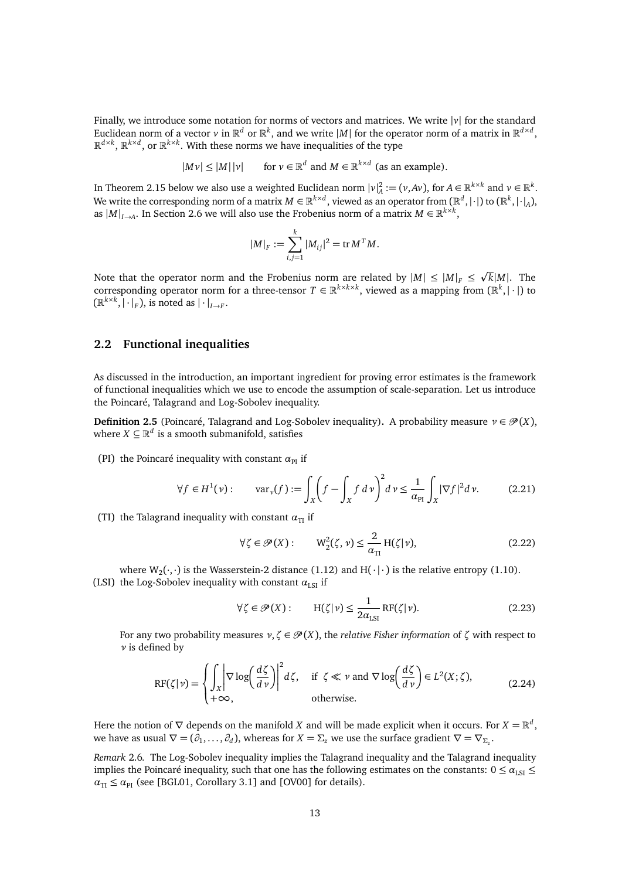Finally, we introduce some notation for norms of vectors and matrices. We write |*v*| for the standard Euclidean norm of a vector  $v$  in  $\mathbb{R}^d$  or  $\mathbb{R}^k$ , and we write  $|M|$  for the operator norm of a matrix in  $\mathbb{R}^{d \times d}$ ,  $\mathbb{R}^{d \times k}$ ,  $\mathbb{R}^{k \times d}$ , or  $\mathbb{R}^{k \times k}$ . With these norms we have inequalities of the type

> $|Mv| \leq |M| |v|$ *<sup>d</sup>* and *M* ∈  $\mathbb{R}^{k \times d}$  (as an example).

In Theorem [2.15](#page-18-1) below we also use a weighted Euclidean norm  $|v|_A^2 := (v, Av)$ , for  $A \in \mathbb{R}^{k \times k}$  and  $v \in \mathbb{R}^k$ . We write the corresponding norm of a matrix  $M \in \mathbb{R}^{k \times d}$ , viewed as an operator from  $(\mathbb{R}^d,|\cdot|)$  to  $(\mathbb{R}^k,|\cdot|_A)$ , as  $|M|_{I\rightarrow A}$ . In Section [2.6](#page-25-0) we will also use the Frobenius norm of a matrix  $M \in \mathbb{R}^{k \times k}$ ,

$$
|M|_F := \sum_{i,j=1}^k |M_{ij}|^2 = \text{tr } M^T M.
$$

Note that the operator norm and the Frobenius norm are related by  $|M| \leq |M|_F \leq$ p  $\overline{k}|M|$ . The corresponding operator norm for a three-tensor  $T \in \mathbb{R}^{k \times k \times k}$ , viewed as a mapping from  $(\mathbb{R}^k, |\cdot|)$  to  $(\mathbb{R}^{k \times k}, |\cdot|_F)$ , is noted as  $|\cdot|_{I \to F}$ .

#### <span id="page-12-0"></span>**2.2 Functional inequalities**

As discussed in the introduction, an important ingredient for proving error estimates is the framework of functional inequalities which we use to encode the assumption of scale-separation. Let us introduce the Poincaré, Talagrand and Log-Sobolev inequality.

**Definition 2.5** (Poincaré, Talagrand and Log-Sobolev inequality). A probability measure  $v \in \mathcal{P}(X)$ , where  $X \subseteq \mathbb{R}^d$  is a smooth submanifold, satisfies

(PI) the Poincaré inequality with constant  $\alpha_{PI}$  if

<span id="page-12-1"></span>
$$
\forall f \in H^{1}(v): \quad \text{var}_{\nu}(f) := \int_{X} \left(f - \int_{X} f \, d\nu\right)^{2} d\nu \le \frac{1}{\alpha_{\text{PI}}} \int_{X} |\nabla f|^{2} d\nu. \tag{2.21}
$$

(TI) the Talagrand inequality with constant  $\alpha_{\text{TI}}$  if

<span id="page-12-2"></span>
$$
\forall \zeta \in \mathcal{P}(X): \qquad W_2^2(\zeta, \nu) \le \frac{2}{\alpha_{\text{TI}}} \, \text{H}(\zeta|\nu), \tag{2.22}
$$

where  $W_2(\cdot, \cdot)$  is the Wasserstein-2 distance [\(1.12\)](#page-3-6) and  $H(\cdot | \cdot)$  is the relative entropy [\(1.10\)](#page-3-5). (LSI) the Log-Sobolev inequality with constant  $\alpha_{\rm LSI}$  if

<span id="page-12-3"></span>
$$
\forall \zeta \in \mathcal{P}(X): \qquad H(\zeta|\nu) \le \frac{1}{2\alpha_{\text{LSI}}} \operatorname{RF}(\zeta|\nu). \tag{2.23}
$$

For any two probability measures  $v, \zeta \in \mathcal{P}(X)$ , the *relative Fisher information* of  $\zeta$  with respect to *ν* is defined by

$$
RF(\zeta|\nu) = \begin{cases} \int_{X} \left| \nabla \log \left( \frac{d\zeta}{d\nu} \right) \right|^{2} d\zeta, & \text{if } \zeta \ll \nu \text{ and } \nabla \log \left( \frac{d\zeta}{d\nu} \right) \in L^{2}(X;\zeta), \\ +\infty, & \text{otherwise.} \end{cases}
$$
(2.24)

Here the notion of  $\nabla$  depends on the manifold *X* and will be made explicit when it occurs. For  $X = \mathbb{R}^d$ , we have as usual  $\nabla = (\partial_1, \dots, \partial_d)$ , whereas for  $X = \Sigma_z$  we use the surface gradient  $\nabla = \nabla_{\Sigma_z}$ .

<span id="page-12-4"></span>*Remark* 2.6*.* The Log-Sobolev inequality implies the Talagrand inequality and the Talagrand inequality implies the Poincaré inequality, such that one has the following estimates on the constants:  $0 \leq \alpha_{\text{LSI}} \leq$  $\alpha_{\text{TI}} \leq \alpha_{\text{PI}}$  (see [\[BGL01,](#page-44-7) Corollary 3.1] and [\[OV00\]](#page-45-15) for details).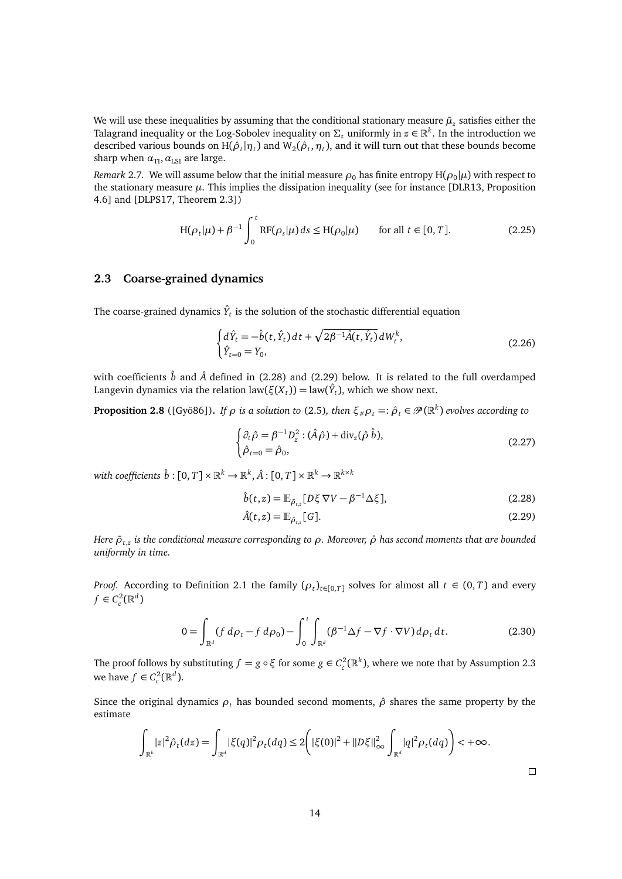We will use these inequalities by assuming that the conditional stationary measure  $\bar{\mu}_z$  satisfies either the Talagrand inequality or the Log-Sobolev inequality on  $\Sigma_z$  uniformly in  $z\in\mathbb{R}^k.$  In the introduction we described various bounds on  $H(\hat{\rho}_t|\eta_t)$  and  $W_2(\hat{\rho}_t,\eta_t)$ , and it will turn out that these bounds become sharp when  $\alpha_{\text{TI}}, \alpha_{\text{LSI}}$  are large.

*Remark* 2.7. We will assume below that the initial measure  $\rho_0$  has finite entropy  $H(\rho_0|\mu)$  with respect to the stationary measure  $\mu$ . This implies the dissipation inequality (see for instance [\[DLR13,](#page-44-8) Proposition 4.6] and [\[DLPS17,](#page-44-2) Theorem 2.3])

<span id="page-13-4"></span>
$$
H(\rho_t|\mu) + \beta^{-1} \int_0^t RF(\rho_s|\mu) ds \le H(\rho_0|\mu) \quad \text{for all } t \in [0, T].
$$
 (2.25)

### <span id="page-13-0"></span>**2.3 Coarse-grained dynamics**

The coarse-grained dynamics  $\hat{Y}_t$  is the solution of the stochastic differential equation

$$
\begin{cases} d\hat{Y}_t = -\hat{b}(t, \hat{Y}_t) dt + \sqrt{2\beta^{-1} \hat{A}(t, \hat{Y}_t)} dW_t^k, \\ \hat{Y}_{t=0} = Y_0, \end{cases}
$$
(2.26)

with coefficients  $\hat{b}$  and  $\hat{A}$  defined in [\(2.28\)](#page-13-2) and [\(2.29\)](#page-13-3) below. It is related to the full overdamped Langevin dynamics via the relation law $(\xi(X_t)) = \text{law}(\hat{Y}_t)$ , which we show next.

<span id="page-13-1"></span>**Proposition 2.8** ([\[Gyö86\]](#page-45-11)). If  $\rho$  is a solution to [\(2.5\)](#page-9-2), then  $\xi_{\#}\rho_t=:\hat\rho_t\in\mathscr{P}(\R^k)$  evolves according to

<span id="page-13-5"></span>
$$
\begin{cases} \partial_t \hat{\rho} = \beta^{-1} D_z^2 : (\hat{A}\hat{\rho}) + \text{div}_z(\hat{\rho} \,\hat{b}), \\ \hat{\rho}_{t=0} = \hat{\rho}_0, \end{cases}
$$
\n(2.27)

with coefficients  $\hat{b}:[0,T]\times\mathbb{R}^k\to\mathbb{R}^k, \hat{A}:[0,T]\times\mathbb{R}^k\to\mathbb{R}^{k\times k}$ 

$$
\hat{b}(t,z) = \mathbb{E}_{\bar{\rho}_{t,z}}[D\xi \nabla V - \beta^{-1}\Delta \xi],\tag{2.28}
$$

<span id="page-13-3"></span><span id="page-13-2"></span>
$$
\hat{A}(t,z) = \mathbb{E}_{\tilde{\rho}_{t,z}}[G].\tag{2.29}
$$

*Here ρ*¯*t*,*<sup>z</sup> is the conditional measure corresponding to ρ. Moreover, ρ*ˆ *has second moments that are bounded uniformly in time.*

*Proof.* According to Definition [2.1](#page-8-4) the family  $(\rho_t)_{t \in [0,T]}$  solves for almost all  $t \in (0,T)$  and every  $f \in C_c^2(\mathbb{R}^d)$ 

$$
0 = \int_{\mathbb{R}^d} (f \, d\rho_t - f \, d\rho_0) - \int_0^t \int_{\mathbb{R}^d} (\beta^{-1} \Delta f - \nabla f \cdot \nabla V) \, d\rho_t \, dt. \tag{2.30}
$$

The proof follows by substituting  $f = g \circ \xi$  for some  $g \in C_c^2(\mathbb{R}^k)$ , where we note that by Assumption [2.3](#page-9-5) we have  $f \in C_c^2(\mathbb{R}^d)$ .

Since the original dynamics  $\rho_t$  has bounded second moments,  $\hat{\rho}$  shares the same property by the estimate

$$
\int_{\mathbb{R}^k} |z|^2 \hat{\rho}_t(dz) = \int_{\mathbb{R}^d} |\xi(q)|^2 \rho_t(dq) \leq 2 \Big( |\xi(0)|^2 + ||D\xi||^2_{\infty} \int_{\mathbb{R}^d} |q|^2 \rho_t(dq) \Big) < +\infty.
$$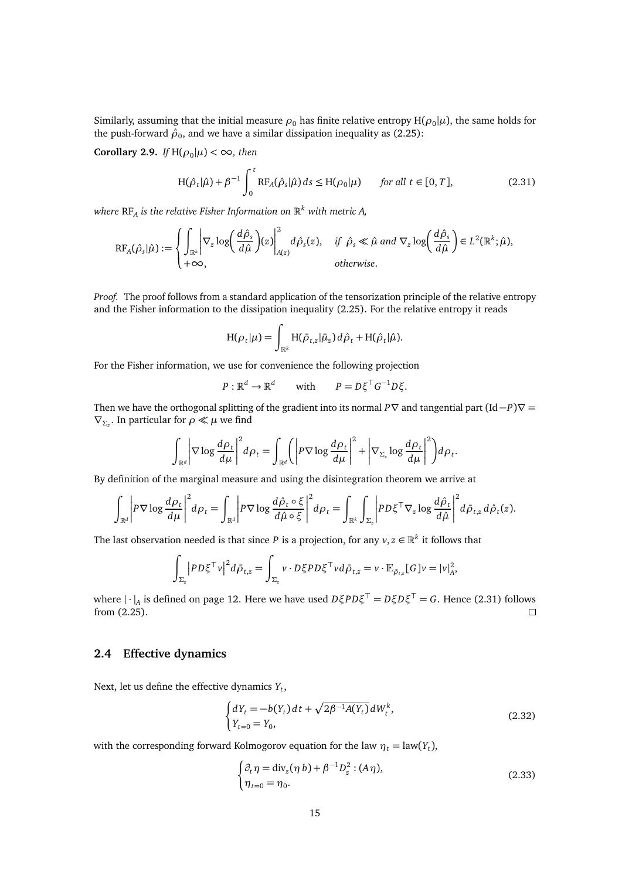Similarly, assuming that the initial measure  $\rho_0$  has finite relative entropy H( $\rho_0|\mu$ ), the same holds for the push-forward  $\hat{\rho}_0$ , and we have a similar dissipation inequality as [\(2.25\)](#page-13-4):

<span id="page-14-3"></span>**Corollary 2.9.** *If*  $H(\rho_0|\mu) < \infty$ *, then* 

<span id="page-14-1"></span>
$$
H(\hat{\rho}_t|\hat{\mu}) + \beta^{-1} \int_0^t RF_A(\hat{\rho}_s|\hat{\mu}) ds \le H(\rho_0|\mu) \quad \text{for all } t \in [0, T],
$$
 (2.31)

*where* RF*<sup>A</sup> is the relative Fisher Information on* R *<sup>k</sup> with metric A,*

$$
RF_A(\hat{\rho}_s|\hat{\mu}) := \begin{cases} \int_{\mathbb{R}^k} \left| \nabla_z \log \left( \frac{d\hat{\rho}_s}{d\hat{\mu}} \right) (z) \right|_{A(z)}^2 d\hat{\rho}_s(z), & \text{if } \hat{\rho}_s \ll \hat{\mu} \text{ and } \nabla_z \log \left( \frac{d\hat{\rho}_s}{d\hat{\mu}} \right) \in L^2(\mathbb{R}^k; \hat{\mu}), \\ +\infty, & \text{otherwise.} \end{cases}
$$

*Proof.* The proof follows from a standard application of the tensorization principle of the relative entropy and the Fisher information to the dissipation inequality [\(2.25\)](#page-13-4). For the relative entropy it reads

$$
H(\rho_t|\mu) = \int_{\mathbb{R}^k} H(\bar{\rho}_{t,z}|\bar{\mu}_z) d\hat{\rho}_t + H(\hat{\rho}_t|\hat{\mu}).
$$

For the Fisher information, we use for convenience the following projection

$$
P: \mathbb{R}^d \to \mathbb{R}^d \quad \text{with} \quad P = D \xi^\top G^{-1} D \xi.
$$

Then we have the orthogonal splitting of the gradient into its normal *P* $\nabla$  and tangential part (Id−*P*) $\nabla$  =  $\nabla$ <sub>Σ<sup>*z*</sup></sub>. In particular for *ρ* ≪ *μ* we find

$$
\int_{\mathbb{R}^d} \left| \nabla \log \frac{d\rho_t}{d\mu} \right|^2 d\rho_t = \int_{\mathbb{R}^d} \left( \left| P \nabla \log \frac{d\rho_t}{d\mu} \right|^2 + \left| \nabla_{\Sigma_z} \log \frac{d\rho_t}{d\mu} \right|^2 \right) d\rho_t.
$$

By definition of the marginal measure and using the disintegration theorem we arrive at

$$
\int_{\mathbb{R}^d} \left| P \nabla \log \frac{d\rho_t}{d\mu} \right|^2 d\rho_t = \int_{\mathbb{R}^d} \left| P \nabla \log \frac{d\hat{\rho}_t \circ \xi}{d\hat{\mu} \circ \xi} \right|^2 d\rho_t = \int_{\mathbb{R}^k} \int_{\Sigma_z} \left| P D \xi^\top \nabla_z \log \frac{d\hat{\rho}_t}{d\hat{\mu}} \right|^2 d\tilde{\rho}_{t,z} d\hat{\rho}_t(z).
$$

The last observation needed is that since *P* is a projection, for any  $v,z\in\mathbb{R}^k$  it follows that

$$
\int_{\Sigma_z} \left| PD\xi^\top v \right|^2 d\bar{\rho}_{t,z} = \int_{\Sigma_z} v \cdot D\xi PD\xi^\top v d\bar{\rho}_{t,z} = v \cdot \mathbb{E}_{\bar{\rho}_{t,z}}[G]v = |v|_A^2,
$$

where | · |*<sup>A</sup>* is defined on page [12.](#page-11-2) Here we have used *DξPDξ* <sup>&</sup>gt; <sup>=</sup> *<sup>D</sup>ξD<sup>ξ</sup>* <sup>&</sup>gt; <sup>=</sup> *<sup>G</sup>*. Hence [\(2.31\)](#page-14-1) follows from [\(2.25\)](#page-13-4).

### <span id="page-14-0"></span>**2.4 Effective dynamics**

Next, let us define the effective dynamics *Y<sup>t</sup>* ,

$$
\begin{cases} dY_t = -b(Y_t) dt + \sqrt{2\beta^{-1} A(Y_t)} dW_t^k, \\ Y_{t=0} = Y_0, \end{cases}
$$
\n(2.32)

with the corresponding forward Kolmogorov equation for the law  $\eta_t = \text{law}(Y_t)$ ,

<span id="page-14-2"></span>
$$
\begin{cases} \partial_t \eta = \text{div}_z(\eta \, b) + \beta^{-1} D_z^2 : (A \, \eta), \\ \eta_{t=0} = \eta_0. \end{cases} \tag{2.33}
$$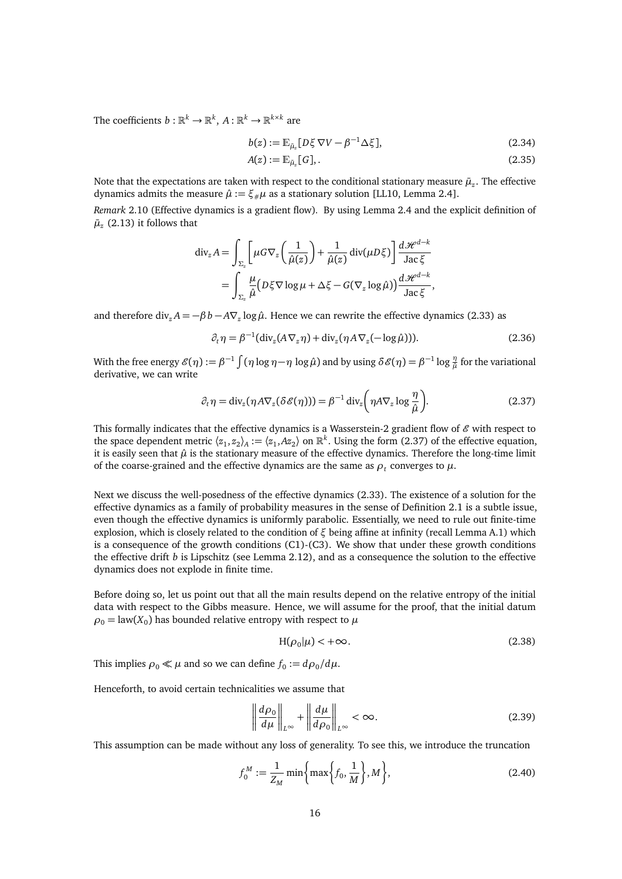The coefficients  $b: \mathbb{R}^k \to \mathbb{R}^k$ ,  $A: \mathbb{R}^k \to \mathbb{R}^{k \times k}$  are

<span id="page-15-2"></span>
$$
b(z) := \mathbb{E}_{\bar{\mu}_z} [D\xi \nabla V - \beta^{-1} \Delta \xi], \tag{2.34}
$$

$$
A(z) := \mathbb{E}_{\bar{\mu}_z}[G],\tag{2.35}
$$

Note that the expectations are taken with respect to the conditional stationary measure  $\bar{\mu}_z$ . The effective dynamics admits the measure  $\hat{\mu} := \xi_{\#} \mu$  as a stationary solution [\[LL10,](#page-45-6) Lemma 2.4].

<span id="page-15-3"></span>*Remark* 2.10 (Effective dynamics is a gradient flow)*.* By using Lemma [2.4](#page-11-1) and the explicit definition of  $\bar{\mu}_z$  [\(2.13\)](#page-10-1) it follows that

$$
\begin{split} \operatorname{div}_z A &= \int_{\Sigma_z} \left[ \mu G \nabla_z \left( \frac{1}{\hat{\mu}(z)} \right) + \frac{1}{\hat{\mu}(z)} \operatorname{div}(\mu D \xi) \right] \frac{d \mathcal{H}^{d-k}}{\operatorname{Jac} \xi} \\ &= \int_{\Sigma_z} \frac{\mu}{\hat{\mu}} \big( D \xi \nabla \log \mu + \Delta \xi - G(\nabla_z \log \hat{\mu}) \big) \frac{d \mathcal{H}^{d-k}}{\operatorname{Jac} \xi}, \end{split}
$$

and therefore div<sub>*z*</sub>  $A = -\beta b - A\nabla_z \log \hat{\mu}$ . Hence we can rewrite the effective dynamics [\(2.33\)](#page-14-2) as

<span id="page-15-0"></span>
$$
\partial_t \eta = \beta^{-1} (\text{div}_z (A \nabla_z \eta) + \text{div}_z (\eta A \nabla_z (-\log \hat{\mu}))).
$$
\n(2.36)

With the free energy  $\mathscr{E}(\eta):=\beta^{-1}\int(\eta\log\eta-\eta\,\log\hat\mu)$  and by using  $\delta\mathscr{E}(\eta)=\beta^{-1}\log\frac{\eta}{\hat\mu}$  for the variational derivative, we can write

$$
\partial_t \eta = \text{div}_z(\eta A \nabla_z (\delta \mathscr{E}(\eta))) = \beta^{-1} \text{div}_z \left( \eta A \nabla_z \log \frac{\eta}{\hat{\mu}} \right).
$$
 (2.37)

This formally indicates that the effective dynamics is a Wasserstein-2 gradient flow of  $\mathscr E$  with respect to the space dependent metric  $\langle z_1, z_2 \rangle_A := \langle z_1, Az_2 \rangle$  on  $\mathbb{R}^k$ . Using the form [\(2.37\)](#page-15-0) of the effective equation, it is easily seen that  $\hat{\mu}$  is the stationary measure of the effective dynamics. Therefore the long-time limit of the coarse-grained and the effective dynamics are the same as  $\rho_t$  converges to  $\mu$ .

Next we discuss the well-posedness of the effective dynamics [\(2.33\)](#page-14-2). The existence of a solution for the effective dynamics as a family of probability measures in the sense of Definition [2.1](#page-8-4) is a subtle issue, even though the effective dynamics is uniformly parabolic. Essentially, we need to rule out finite-time explosion, which is closely related to the condition of *ξ* being affine at infinity (recall Lemma [A.1\)](#page-41-1) which is a consequence of the growth conditions [\(C1\)-](#page-9-3)[\(C3\).](#page-10-0) We show that under these growth conditions the effective drift *b* is Lipschitz (see Lemma [2.12\)](#page-16-1), and as a consequence the solution to the effective dynamics does not explode in finite time.

Before doing so, let us point out that all the main results depend on the relative entropy of the initial data with respect to the Gibbs measure. Hence, we will assume for the proof, that the initial datum  $\rho_0 = \text{law}(X_0)$  has bounded relative entropy with respect to  $\mu$ 

$$
H(\rho_0|\mu) < +\infty. \tag{2.38}
$$

This implies  $\rho_0 \ll \mu$  and so we can define  $f_0 := d\rho_0/d\mu$ .

Henceforth, to avoid certain technicalities we assume that

<span id="page-15-1"></span>
$$
\left\| \frac{d\rho_0}{d\mu} \right\|_{L^\infty} + \left\| \frac{d\mu}{d\rho_0} \right\|_{L^\infty} < \infty. \tag{2.39}
$$

This assumption can be made without any loss of generality. To see this, we introduce the truncation

$$
f_0^M := \frac{1}{Z_M} \min\left\{\max\left\{f_0, \frac{1}{M}\right\}, M\right\},\tag{2.40}
$$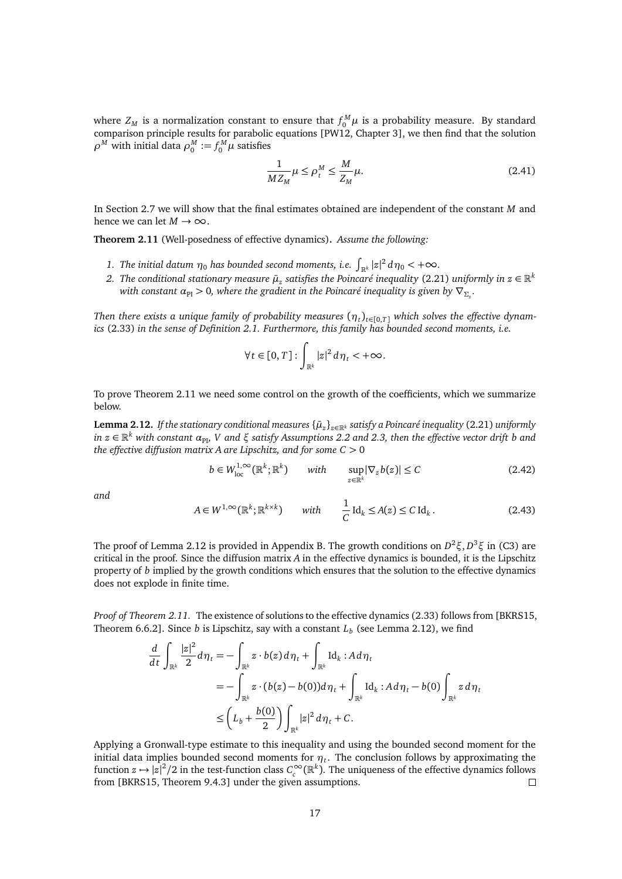where  $Z_M$  is a normalization constant to ensure that  $f_0^M \mu$  is a probability measure. By standard comparison principle results for parabolic equations [\[PW12,](#page-46-2) Chapter 3], we then find that the solution  $\rho^{M}$  with initial data  $\rho^{M}_{0} := f^{M}_{0} \mu$  satisfies

$$
\frac{1}{MZ_M}\mu \le \rho_t^M \le \frac{M}{Z_M}\mu. \tag{2.41}
$$

In Section [2.7](#page-29-0) we will show that the final estimates obtained are independent of the constant *M* and hence we can let  $M \to \infty$ .

<span id="page-16-0"></span>**Theorem 2.11** (Well-posedness of effective dynamics)**.** *Assume the following:*

- *1. The initial datum*  $\eta_0$  *has bounded second moments, i.e.*  $\int_{\mathbb{R}^k} |z|^2 \, d\eta_0 < +\infty$ *.*
- 2. *The conditional stationary measure*  $\bar{\mu}_z$  *satisfies the Poincaré inequality [\(2.21\)](#page-12-1) uniformly in*  $z \in \mathbb{R}^k$ *with constant*  $\alpha_{\text{PI}} > 0$ *, where the gradient in the Poincaré inequality is given by*  $\nabla_{\Sigma_z}$ *.*

*Then there exists a unique family of probability measures*  $(\eta_t)_{t\in[0,T]}$  *which solves the effective dynamics* [\(2.33\)](#page-14-2) *in the sense of Definition [2.1.](#page-8-4) Furthermore, this family has bounded second moments, i.e.*

$$
\forall t \in [0, T]: \int_{\mathbb{R}^k} |z|^2 d\eta_t < +\infty.
$$

To prove Theorem [2.11](#page-16-0) we need some control on the growth of the coefficients, which we summarize below.

<span id="page-16-1"></span>**Lemma 2.12.** If the stationary conditional measures  $\{\bar{\mu}_z\}_{z \in \mathbb{R}^k}$  satisfy a Poincaré inequality [\(2.21\)](#page-12-1) uniformly  $in$   $z \in \mathbb{R}^k$  with constant  $\alpha_{\text{Pl}}$ ,  $V$  and  $\xi$  satisfy Assumptions [2.2](#page-9-6) and [2.3,](#page-9-5) then the effective vector drift  $b$  and *the effective diffusion matrix A are Lipschitz, and for some C >* 0

<span id="page-16-2"></span>
$$
b \in W_{\text{loc}}^{1,\infty}(\mathbb{R}^k; \mathbb{R}^k) \qquad with \qquad \sup_{z \in \mathbb{R}^k} |\nabla_z b(z)| \le C \tag{2.42}
$$

*and*

$$
A \in W^{1,\infty}(\mathbb{R}^k; \mathbb{R}^{k \times k}) \qquad with \qquad \frac{1}{C} \operatorname{Id}_k \le A(z) \le C \operatorname{Id}_k. \tag{2.43}
$$

The proof of Lemma [2.12](#page-16-1) is provided in Appendix [B.](#page-43-0) The growth conditions on *D* <sup>2</sup>*ξ*, *D* <sup>3</sup>*ξ* in [\(C3\)](#page-10-0) are critical in the proof. Since the diffusion matrix *A* in the effective dynamics is bounded, it is the Lipschitz property of *b* implied by the growth conditions which ensures that the solution to the effective dynamics does not explode in finite time.

*Proof of Theorem [2.11.](#page-16-0)* The existence of solutions to the effective dynamics [\(2.33\)](#page-14-2) follows from [\[BKRS15,](#page-44-6) Theorem 6.6.2]. Since *b* is Lipschitz, say with a constant *L<sup>b</sup>* (see Lemma [2.12\)](#page-16-1), we find

$$
\frac{d}{dt} \int_{\mathbb{R}^k} \frac{|z|^2}{2} d\eta_t = -\int_{\mathbb{R}^k} z \cdot b(z) d\eta_t + \int_{\mathbb{R}^k} \text{Id}_k : A d\eta_t
$$
\n
$$
= -\int_{\mathbb{R}^k} z \cdot (b(z) - b(0)) d\eta_t + \int_{\mathbb{R}^k} \text{Id}_k : A d\eta_t - b(0) \int_{\mathbb{R}^k} z d\eta_t
$$
\n
$$
\leq \left( L_b + \frac{b(0)}{2} \right) \int_{\mathbb{R}^k} |z|^2 d\eta_t + C.
$$

Applying a Gronwall-type estimate to this inequality and using the bounded second moment for the initial data implies bounded second moments for  $\eta_t$ . The conclusion follows by approximating the function  $z \mapsto |z|^2/2$  in the test-function class  $C_c^{\infty}(\mathbb{R}^k)$ . The uniqueness of the effective dynamics follows from [\[BKRS15,](#page-44-6) Theorem 9.4.3] under the given assumptions.  $\Box$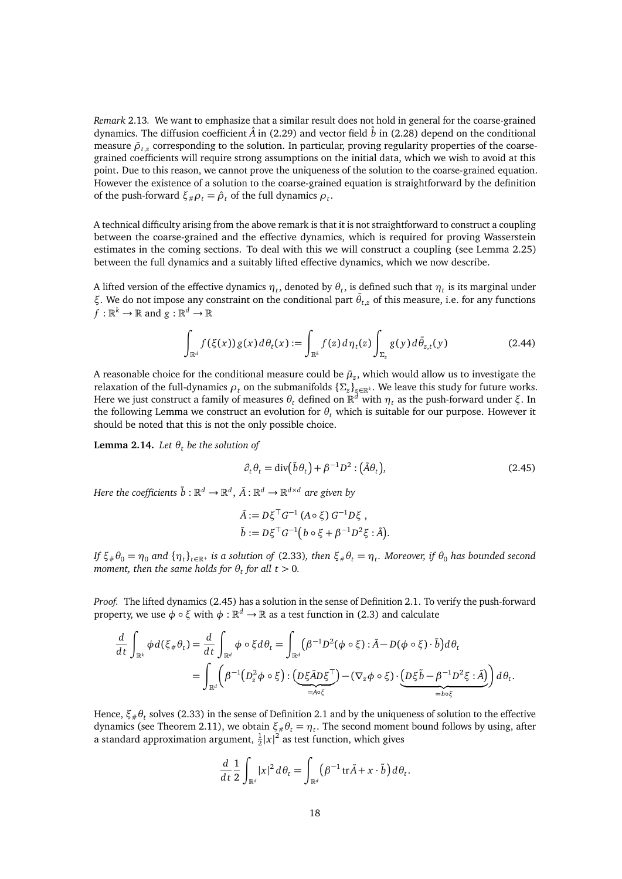<span id="page-17-1"></span>*Remark* 2.13*.* We want to emphasize that a similar result does not hold in general for the coarse-grained dynamics. The diffusion coefficient  $\hat{A}$  in [\(2.29\)](#page-13-3) and vector field  $\hat{b}$  in [\(2.28\)](#page-13-2) depend on the conditional measure  $\bar{\rho}_{t,z}$  corresponding to the solution. In particular, proving regularity properties of the coarsegrained coefficients will require strong assumptions on the initial data, which we wish to avoid at this point. Due to this reason, we cannot prove the uniqueness of the solution to the coarse-grained equation. However the existence of a solution to the coarse-grained equation is straightforward by the definition of the push-forward  $\xi_{\#}\rho_t = \hat{\rho}_t$  of the full dynamics  $\rho_t$ .

A technical difficulty arising from the above remark is that it is not straightforward to construct a coupling between the coarse-grained and the effective dynamics, which is required for proving Wasserstein estimates in the coming sections. To deal with this we will construct a coupling (see Lemma [2.25\)](#page-26-0) between the full dynamics and a suitably lifted effective dynamics, which we now describe.

A lifted version of the effective dynamics  $\eta_t$ , denoted by  $\theta_t$ , is defined such that  $\eta_t$  is its marginal under *ξ*. We do not impose any constraint on the conditional part  $\bar{\theta}_{t,z}$  of this measure, i.e. for any functions  $f: \mathbb{R}^k \to \mathbb{R}$  and  $g: \mathbb{R}^d \to \mathbb{R}$ 

$$
\int_{\mathbb{R}^d} f(\xi(x)) g(x) d\theta_t(x) := \int_{\mathbb{R}^k} f(z) d\eta_t(z) \int_{\Sigma_z} g(y) d\bar{\theta}_{z,t}(y) \tag{2.44}
$$

A reasonable choice for the conditional measure could be  $\bar{\mu}_z$ , which would allow us to investigate the relaxation of the full-dynamics  $\rho_t$  on the submanifolds  $\{\Sigma_z\}_{z\in\mathbb{R}^k}$ . We leave this study for future works. Here we just construct a family of measures *θ<sup>t</sup>* defined on R *<sup>d</sup>* with *η<sup>t</sup>* as the push-forward under *ξ*. In the following Lemma we construct an evolution for  $θ$ *<sub>t</sub>* which is suitable for our purpose. However it should be noted that this is not the only possible choice.

<span id="page-17-2"></span>**Lemma 2.14.** *Let*  $\theta_t$  *be the solution of* 

<span id="page-17-0"></span>
$$
\partial_t \theta_t = \text{div}(\tilde{b}\theta_t) + \beta^{-1} D^2 : (\tilde{A}\theta_t), \qquad (2.45)
$$

 $H$ ere the coefficients  $\tilde{b}:\mathbb{R}^d\to\mathbb{R}^d,$   $\tilde{A}:\mathbb{R}^d\to\mathbb{R}^{d\times d}$  are given by

$$
\tilde{A} := D\xi^{\top} G^{-1} (A \circ \xi) G^{-1} D\xi ,
$$
  
\n
$$
\tilde{b} := D\xi^{\top} G^{-1} (b \circ \xi + \beta^{-1} D^2 \xi : \tilde{A}).
$$

If  $\xi_*\theta_0 = \eta_0$  and  $\{\eta_t\}_{t\in\mathbb{R}^+}$  is a solution of [\(2.33\)](#page-14-2), then  $\xi_*\theta_t = \eta_t$ . Moreover, if  $\theta_0$  has bounded second *moment, then the same holds for*  $\theta_t$  *for all*  $t > 0$ .

*Proof.* The lifted dynamics [\(2.45\)](#page-17-0) has a solution in the sense of Definition [2.1.](#page-8-4) To verify the push-forward property, we use  $\phi \circ \xi$  with  $\phi : \mathbb{R}^d \to \mathbb{R}$  as a test function in [\(2.3\)](#page-9-7) and calculate

$$
\frac{d}{dt} \int_{\mathbb{R}^k} \phi d(\xi_{\#} \theta_t) = \frac{d}{dt} \int_{\mathbb{R}^d} \phi \circ \xi d\theta_t = \int_{\mathbb{R}^d} (\beta^{-1} D^2(\phi \circ \xi) : \tilde{A} - D(\phi \circ \xi) \cdot \tilde{b}) d\theta_t
$$
  
= 
$$
\int_{\mathbb{R}^d} (\beta^{-1} (D_z^2 \phi \circ \xi) : (D_z \tilde{A} D \xi^{\top}) - (\nabla_z \phi \circ \xi) \cdot (D_z \tilde{b} - \beta^{-1} D^2 \xi : \tilde{A}) ) d\theta_t.
$$

Hence,  $\xi_{\#}\theta_t$  solves [\(2.33\)](#page-14-2) in the sense of Definition [2.1](#page-8-4) and by the uniqueness of solution to the effective dynamics (see Theorem [2.11\)](#page-16-0), we obtain  $\xi_{\#} \theta_t = \eta_t$ . The second moment bound follows by using, after a standard approximation argument,  $\frac{1}{2}|x|^2$  as test function, which gives

$$
\frac{d}{dt}\frac{1}{2}\int_{\mathbb{R}^d}|x|^2\,d\theta_t=\int_{\mathbb{R}^d}(\beta^{-1}\,\mathrm{tr}\tilde{A}+x\cdot\tilde{b}\big)\,d\theta_t.
$$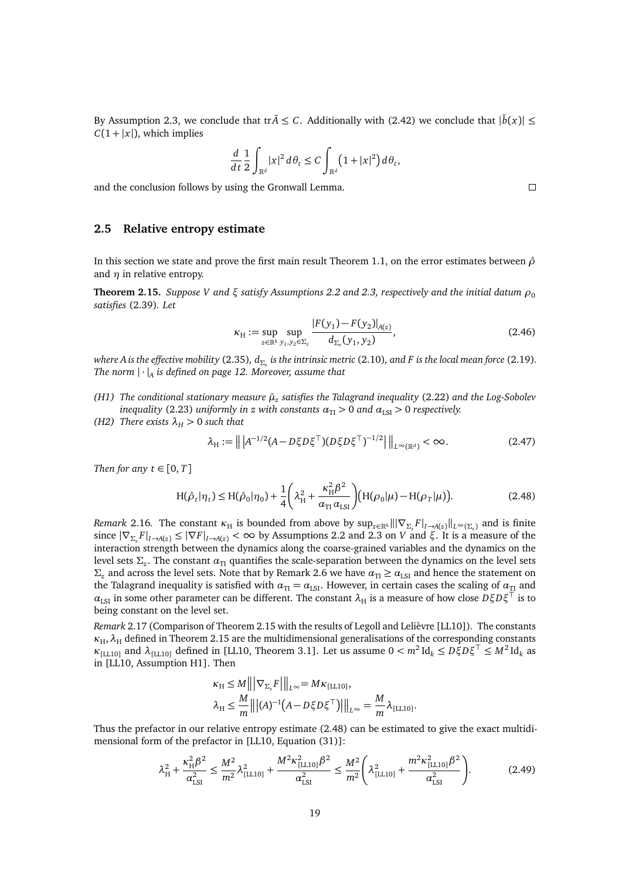By Assumption [2.3,](#page-9-5) we conclude that tr $\tilde{A} \leq C$ . Additionally with [\(2.42\)](#page-16-2) we conclude that  $|\tilde{b}(x)| \leq$  $C(1 + |x|)$ , which implies

$$
\frac{d}{dt}\frac{1}{2}\int_{\mathbb{R}^d}|x|^2\,d\theta_t\leq C\int_{\mathbb{R}^d}\bigl(1+|x|^2\bigr)d\theta_t,
$$

and the conclusion follows by using the Gronwall Lemma.

### <span id="page-18-0"></span>**2.5 Relative entropy estimate**

In this section we state and prove the first main result Theorem [1.1,](#page-3-4) on the error estimates between *ρ*ˆ and *η* in relative entropy.

<span id="page-18-1"></span>**Theorem 2.15.** *Suppose V* and  $\xi$  *satisfy Assumptions* [2.2](#page-9-6) and [2.3,](#page-9-5) *respectively and the initial datum*  $\rho_0$ *satisfies* [\(2.39\)](#page-15-1)*. Let*

$$
\kappa_{\rm H} := \sup_{z \in \mathbb{R}^k} \sup_{y_1, y_2 \in \Sigma_z} \frac{|F(y_1) - F(y_2)|_{A(z)}}{d_{\Sigma_z}(y_1, y_2)},\tag{2.46}
$$

*where Ais the effective mobility* [\(2.35\)](#page-15-2)*, d<sup>Σ</sup><sup>z</sup> is the intrinsic metric* [\(2.10\)](#page-10-2)*, and F is the local mean force* [\(2.19\)](#page-11-3)*. The norm* | · |*<sup>A</sup> is defined on page [12.](#page-11-2) Moreover, assume that*

- <span id="page-18-5"></span>*(H1) The conditional stationary measure µ*¯*<sup>z</sup> satisfies the Talagrand inequality* [\(2.22\)](#page-12-2) *and the Log-Sobolev inequality* [\(2.23\)](#page-12-3) *uniformly in z with constants*  $\alpha_{\text{TI}} > 0$  *and*  $\alpha_{\text{LSI}} > 0$  *respectively.*
- *(H2) There exists*  $\lambda_H > 0$  *such that*

$$
\lambda_{\rm H} := \left\| \left| A^{-1/2} (A - D\xi D\xi^{\top}) (D\xi D\xi^{\top})^{-1/2} \right| \right\|_{L^{\infty}(\mathbb{R}^d)} < \infty. \tag{2.47}
$$

*Then for any*  $t \in [0, T]$ 

$$
H(\hat{\rho}_t|\eta_t) \le H(\hat{\rho}_0|\eta_0) + \frac{1}{4} \left(\lambda_H^2 + \frac{\kappa_H^2 \beta^2}{\alpha_{\text{TI}} \alpha_{\text{LSI}}}\right) (H(\rho_0|\mu) - H(\rho_T|\mu)).
$$
\n(2.48)

<span id="page-18-6"></span>*Remark* 2.16. The constant  $\kappa_H$  is bounded from above by  $\sup_{z \in \mathbb{R}^k} |||\nabla_{\Sigma_z} F|_{I \to A(z)}||_{L^\infty(\Sigma_z)}$  and is finite since  $|\nabla_{\Sigma_z} F|_{I\to A(z)} \le |\nabla F|_{I\to A(z)} < \infty$  by Assumptions [2.2](#page-9-6) and [2.3](#page-9-5) on *V* and  $\xi$ . It is a measure of the interaction strength between the dynamics along the coarse-grained variables and the dynamics on the level sets  $\Sigma_{\rm z}.$  The constant  $\alpha_{\rm TI}$  quantifies the scale-separation between the dynamics on the level sets *Σ*<sub>*z*</sub> and across the level sets. Note that by Remark [2.6](#page-12-4) we have  $\alpha_{\text{TI}} \geq \alpha_{\text{LSI}}$  and hence the statement on the Talagrand inequality is satisfied with  $\alpha_{\text{TI}} = \alpha_{\text{LSI}}$ . However, in certain cases the scaling of  $\alpha_{\text{TI}}$  and  $\alpha_{\text{LSI}}$  in some other parameter can be different. The constant  $\lambda_H$  is a measure of how close  $D\xi D\xi^{\dagger}$  is to being constant on the level set.

*Remark* 2.17 (Comparison of Theorem [2.15](#page-18-1) with the results of Legoll and Lelièvre [\[LL10\]](#page-45-6))*.* The constants  $\kappa_H$ ,  $\lambda_H$  defined in Theorem [2.15](#page-18-1) are the multidimensional generalisations of the corresponding constants  $\kappa_{\text{[LL10]}}$  $\kappa_{\text{[LL10]}}$  $\kappa_{\text{[LL10]}}$  and  $\lambda_{\text{[LL10]}}$  defined in [\[LL10,](#page-45-6) Theorem 3.1]. Let us assume  $0 < m^2 \text{Id}_k \leq D \xi D \xi^{\top} \leq M^2 \text{Id}_k$  as in [\[LL10,](#page-45-6) Assumption H1]. Then

$$
\kappa_{\mathrm{H}} \leq M \|\|\nabla_{\Sigma_{z}} F\|\|_{L^{\infty}} = M \kappa_{\mathrm{[LL10]}},
$$
  

$$
\lambda_{\mathrm{H}} \leq \frac{M}{m} \|\|(A)^{-1} (A - D \xi D \xi^{\top})\|\|_{L^{\infty}} = \frac{M}{m} \lambda_{\mathrm{[LL10]}}.
$$

Thus the prefactor in our relative entropy estimate [\(2.48\)](#page-18-3) can be estimated to give the exact multidi-mensional form of the prefactor in [\[LL10,](#page-45-6) Equation (31)]:

$$
\lambda_H^2 + \frac{\kappa_H^2 \beta^2}{\alpha_{\text{LSI}}^2} \le \frac{M^2}{m^2} \lambda_{\text{[LL10]}}^2 + \frac{M^2 \kappa_{\text{[LL10]}}^2 \beta^2}{\alpha_{\text{LSI}}^2} \le \frac{M^2}{m^2} \left( \lambda_{\text{[LL10]}}^2 + \frac{m^2 \kappa_{\text{[LL10]}}^2 \beta^2}{\alpha_{\text{LSI}}^2} \right). \tag{2.49}
$$

<span id="page-18-4"></span><span id="page-18-3"></span><span id="page-18-2"></span> $\Box$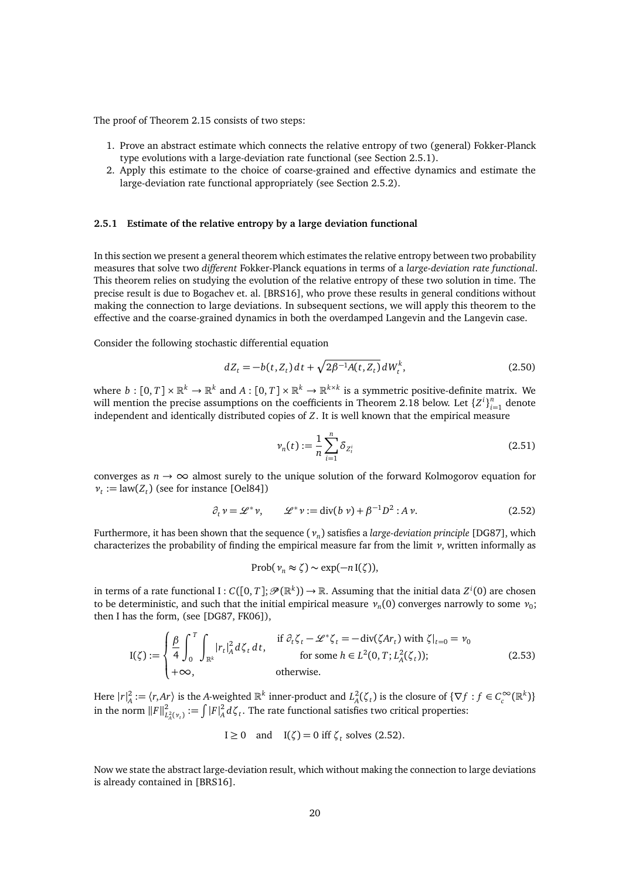The proof of Theorem [2.15](#page-18-1) consists of two steps:

- 1. Prove an abstract estimate which connects the relative entropy of two (general) Fokker-Planck type evolutions with a large-deviation rate functional (see Section [2.5.1\)](#page-19-0).
- 2. Apply this estimate to the choice of coarse-grained and effective dynamics and estimate the large-deviation rate functional appropriately (see Section [2.5.2\)](#page-21-0).

#### <span id="page-19-0"></span>**2.5.1 Estimate of the relative entropy by a large deviation functional**

In this section we present a general theorem which estimates the relative entropy between two probability measures that solve two *different* Fokker-Planck equations in terms of a *large-deviation rate functional*. This theorem relies on studying the evolution of the relative entropy of these two solution in time. The precise result is due to Bogachev et. al. [\[BRS16\]](#page-44-4), who prove these results in general conditions without making the connection to large deviations. In subsequent sections, we will apply this theorem to the effective and the coarse-grained dynamics in both the overdamped Langevin and the Langevin case.

Consider the following stochastic differential equation

$$
dZ_t = -b(t, Z_t) dt + \sqrt{2\beta^{-1} A(t, Z_t)} dW_t^k, \qquad (2.50)
$$

where  $b: [0, T] \times \mathbb{R}^k \to \mathbb{R}^k$  and  $A: [0, T] \times \mathbb{R}^k \to \mathbb{R}^{k \times k}$  is a symmetric positive-definite matrix. We will mention the precise assumptions on the coefficients in Theorem [2.18](#page-20-0) below. Let  ${Z^{i}}_{i=1}^{n}$  denote independent and identically distributed copies of *Z*. It is well known that the empirical measure

<span id="page-19-2"></span><span id="page-19-1"></span>
$$
\nu_n(t) := \frac{1}{n} \sum_{i=1}^n \delta_{Z_i^i}
$$
\n(2.51)

converges as  $n \to \infty$  almost surely to the unique solution of the forward Kolmogorov equation for  $v_t := \text{law}(Z_t)$  (see for instance [\[Oel84\]](#page-45-16))

$$
\partial_t \nu = \mathcal{L}^* \nu, \qquad \mathcal{L}^* \nu := \text{div}(b \nu) + \beta^{-1} D^2 : A \nu. \tag{2.52}
$$

Furthermore, it has been shown that the sequence (*ν<sup>n</sup>* ) satisfies a *large-deviation principle* [\[DG87\]](#page-44-9), which characterizes the probability of finding the empirical measure far from the limit *ν*, written informally as

<span id="page-19-3"></span>
$$
\mathrm{Prob}(\nu_n \approx \zeta) \sim \exp(-n \, \mathrm{I}(\zeta)),
$$

in terms of a rate functional I :  $C([0,T]; \mathscr{P}(\mathbb{R}^k)) \to \mathbb{R}$ . Assuming that the initial data  $Z^i(0)$  are chosen to be deterministic, and such that the initial empirical measure  $v_n(0)$  converges narrowly to some  $v_0$ ; then I has the form, (see [\[DG87,](#page-44-9) [FK06\]](#page-45-17)),

$$
I(\zeta) := \begin{cases} \frac{\beta}{4} \int_0^T \int_{\mathbb{R}^k} |r_t|_A^2 d\zeta_t dt, & \text{if } \partial_t \zeta_t - \mathcal{L}^* \zeta_t = -\operatorname{div}(\zeta Ar_t) \text{ with } \zeta|_{t=0} = v_0\\ +\infty, & \text{otherwise.} \end{cases}
$$
(2.53)

Here  $|r|_A^2 := \langle r, Ar \rangle$  is the *A*-weighted  $\mathbb{R}^k$  inner-product and  $L_A^2(\zeta_t)$  is the closure of  $\{\nabla f : f \in C_c^\infty(\mathbb{R}^k)\}\$ in the norm  $||F||_1^2$  $L^2_{\lambda}(v_t) := \int |F|_A^2 d\zeta_t$ . The rate functional satisfies two critical properties:

$$
I \ge 0
$$
 and  $I(\zeta) = 0$  iff  $\zeta_t$  solves (2.52).

Now we state the abstract large-deviation result, which without making the connection to large deviations is already contained in [\[BRS16\]](#page-44-4).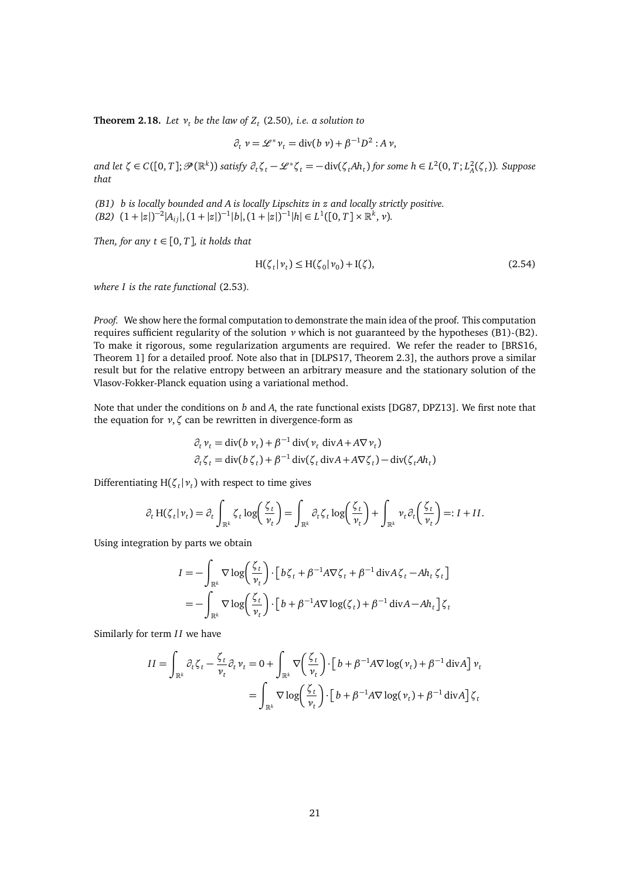<span id="page-20-0"></span>**Theorem 2.18.** *Let ν<sup>t</sup> be the law of Z<sup>t</sup>* [\(2.50\)](#page-19-2)*, i.e. a solution to*

$$
\partial_t \nu = \mathcal{L}^* \nu_t = \text{div}(b \nu) + \beta^{-1} D^2 : A \nu,
$$

and let  $\zeta \in C([0,T];\mathcal{P}(\mathbb{R}^k))$  satisfy  $\partial_t \zeta_t - \mathcal{L}^* \zeta_t = -\text{div}(\zeta_t Ah_t)$  for some  $h \in L^2(0,T; L^2_A(\zeta_t))$ . Suppose *that*

*(B1) b is locally bounded and A is locally Lipschitz in z and locally strictly positive.*

 $(B2)$   $(1+|z|)^{-2}|A_{ij}|$ , $(1+|z|)^{-1}|b|$ , $(1+|z|)^{-1}|h| \in L^1([0,T] \times \mathbb{R}^k, \nu)$ .

*Then, for any*  $t \in [0, T]$ *, it holds that* 

<span id="page-20-1"></span>
$$
H(\zeta_t|\nu_t) \le H(\zeta_0|\nu_0) + I(\zeta),\tag{2.54}
$$

*where I is the rate functional* [\(2.53\)](#page-19-3)*.*

*Proof.* We show here the formal computation to demonstrate the main idea of the proof. This computation requires sufficient regularity of the solution *ν* which is not guaranteed by the hypotheses (B1)-(B2). To make it rigorous, some regularization arguments are required. We refer the reader to [\[BRS16,](#page-44-4) Theorem 1] for a detailed proof. Note also that in [\[DLPS17,](#page-44-2) Theorem 2.3], the authors prove a similar result but for the relative entropy between an arbitrary measure and the stationary solution of the Vlasov-Fokker-Planck equation using a variational method.

Note that under the conditions on *b* and *A*, the rate functional exists [\[DG87,](#page-44-9) [DPZ13\]](#page-45-8). We first note that the equation for *ν*,*ζ* can be rewritten in divergence-form as

$$
\partial_t v_t = \text{div}(b v_t) + \beta^{-1} \text{div}(v_t \text{ div} A + A \nabla v_t)
$$
  

$$
\partial_t \zeta_t = \text{div}(b \zeta_t) + \beta^{-1} \text{div}(\zeta_t \text{ div} A + A \nabla \zeta_t) - \text{div}(\zeta_t A h_t)
$$

Differentiating  $H(\zeta_t | \nu_t)$  with respect to time gives

$$
\partial_t H(\zeta_t | \nu_t) = \partial_t \int_{\mathbb{R}^k} \zeta_t \log \left( \frac{\zeta_t}{\nu_t} \right) = \int_{\mathbb{R}^k} \partial_t \zeta_t \log \left( \frac{\zeta_t}{\nu_t} \right) + \int_{\mathbb{R}^k} \nu_t \partial_t \left( \frac{\zeta_t}{\nu_t} \right) =: I + II.
$$

Using integration by parts we obtain

$$
I = -\int_{\mathbb{R}^k} \nabla \log \left( \frac{\zeta_t}{\nu_t} \right) \cdot \left[ b \zeta_t + \beta^{-1} A \nabla \zeta_t + \beta^{-1} \operatorname{div} A \zeta_t - A h_t \zeta_t \right]
$$
  
= 
$$
- \int_{\mathbb{R}^k} \nabla \log \left( \frac{\zeta_t}{\nu_t} \right) \cdot \left[ b + \beta^{-1} A \nabla \log(\zeta_t) + \beta^{-1} \operatorname{div} A - A h_t \right] \zeta_t
$$

Similarly for term *II* we have

$$
II = \int_{\mathbb{R}^k} \partial_t \zeta_t - \frac{\zeta_t}{\nu_t} \partial_t \nu_t = 0 + \int_{\mathbb{R}^k} \nabla \left( \frac{\zeta_t}{\nu_t} \right) \cdot \left[ b + \beta^{-1} A \nabla \log(\nu_t) + \beta^{-1} \operatorname{div} A \right] \nu_t
$$
  
= 
$$
\int_{\mathbb{R}^k} \nabla \log \left( \frac{\zeta_t}{\nu_t} \right) \cdot \left[ b + \beta^{-1} A \nabla \log(\nu_t) + \beta^{-1} \operatorname{div} A \right] \zeta_t
$$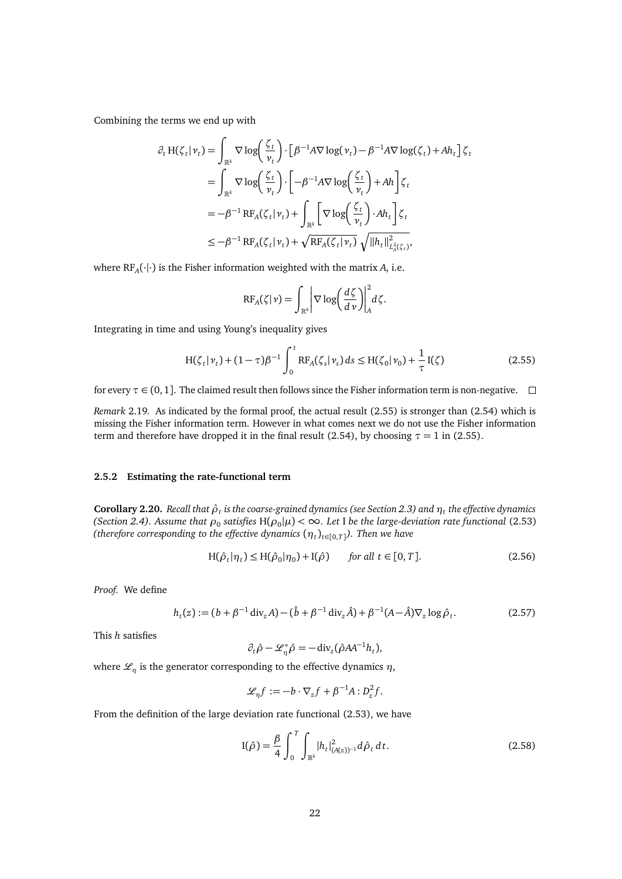Combining the terms we end up with

$$
\partial_t H(\zeta_t | \nu_t) = \int_{\mathbb{R}^k} \nabla \log \left( \frac{\zeta_t}{\nu_t} \right) \cdot \left[ \beta^{-1} A \nabla \log (\nu_t) - \beta^{-1} A \nabla \log (\zeta_t) + A h_t \right] \zeta_t
$$
  
\n
$$
= \int_{\mathbb{R}^k} \nabla \log \left( \frac{\zeta_t}{\nu_t} \right) \cdot \left[ -\beta^{-1} A \nabla \log \left( \frac{\zeta_t}{\nu_t} \right) + A h \right] \zeta_t
$$
  
\n
$$
= -\beta^{-1} R F_A(\zeta_t | \nu_t) + \int_{\mathbb{R}^k} \left[ \nabla \log \left( \frac{\zeta_t}{\nu_t} \right) \cdot A h_t \right] \zeta_t
$$
  
\n
$$
\leq -\beta^{-1} R F_A(\zeta_t | \nu_t) + \sqrt{R F_A(\zeta_t | \nu_t)} \sqrt{\|h_t\|_{L^2_A(\zeta_t)}^2},
$$

where  $\mathrm{RF}_A(\cdot|\cdot)$  is the Fisher information weighted with the matrix *A*, i.e.

<span id="page-21-1"></span>
$$
RF_A(\zeta|\nu)=\int_{\mathbb{R}^k}\bigg|\nabla\log\bigg(\frac{d\zeta}{d\nu}\bigg)\bigg|^2_A d\zeta.
$$

Integrating in time and using Young's inequality gives

$$
H(\zeta_t|\nu_t) + (1-\tau)\beta^{-1} \int_0^t RF_A(\zeta_s|\nu_s) ds \le H(\zeta_0|\nu_0) + \frac{1}{\tau}I(\zeta)
$$
 (2.55)

for every  $\tau \in (0, 1]$ . The claimed result then follows since the Fisher information term is non-negative.  $\Box$ 

*Remark* 2.19*.* As indicated by the formal proof, the actual result [\(2.55\)](#page-21-1) is stronger than [\(2.54\)](#page-20-1) which is missing the Fisher information term. However in what comes next we do not use the Fisher information term and therefore have dropped it in the final result [\(2.54\)](#page-20-1), by choosing  $\tau = 1$  in [\(2.55\)](#page-21-1).

#### <span id="page-21-0"></span>**2.5.2 Estimating the rate-functional term**

**Corollary 2.20.** *Recall that ρ*ˆ*<sup>t</sup> is the coarse-grained dynamics (see Section [2.3\)](#page-13-0) and η<sup>t</sup> the effective dynamics (Section [2.4\)](#page-14-0).* Assume that  $\rho_0$  satisfies  $H(\rho_0|\mu) < \infty$ . Let I be the large-deviation rate functional [\(2.53\)](#page-19-3) (therefore corresponding to the effective dynamics  $(\eta_t)_{t\in [0,T]})$ . Then we have

$$
H(\hat{\rho}_t|\eta_t) \le H(\hat{\rho}_0|\eta_0) + I(\hat{\rho}) \qquad \text{for all } t \in [0, T]. \tag{2.56}
$$

*Proof.* We define

$$
h_t(z) := (b + \beta^{-1} \operatorname{div}_z A) - (\hat{b} + \beta^{-1} \operatorname{div}_z \hat{A}) + \beta^{-1} (A - \hat{A}) \nabla_z \log \hat{\rho}_t.
$$
 (2.57)

This *h* satisfies

<span id="page-21-4"></span><span id="page-21-2"></span>
$$
\partial_t \hat{\rho} - \mathcal{L}_{\eta}^* \hat{\rho} = -\operatorname{div}_z(\hat{\rho} A A^{-1} h_t),
$$

where  $\mathcal{L}_n$  is the generator corresponding to the effective dynamics  $\eta$ ,

$$
\mathcal{L}_{\eta}f := -b \cdot \nabla_z f + \beta^{-1}A : D_z^2 f.
$$

From the definition of the large deviation rate functional [\(2.53\)](#page-19-3), we have

<span id="page-21-3"></span>
$$
I(\hat{\rho}) = \frac{\beta}{4} \int_0^T \int_{\mathbb{R}^k} |h_t|^2_{(A(z))^{-1}} d\hat{\rho}_t dt.
$$
 (2.58)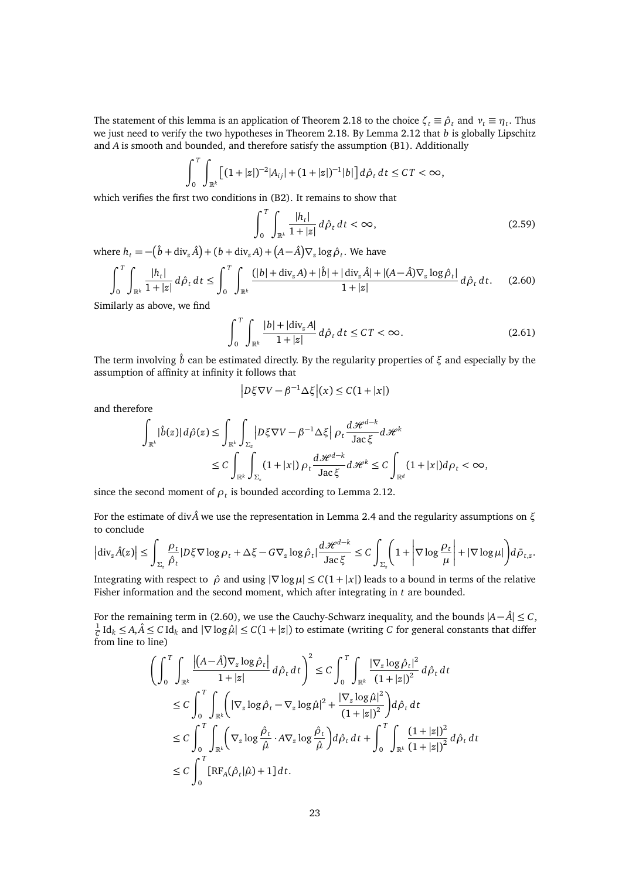The statement of this lemma is an application of Theorem [2.18](#page-20-0) to the choice  $\zeta_t \equiv \hat{\rho}_t$  and  $v_t \equiv \eta_t$ . Thus we just need to verify the two hypotheses in Theorem [2.18.](#page-20-0) By Lemma [2.12](#page-16-1) that *b* is globally Lipschitz and *A* is smooth and bounded, and therefore satisfy the assumption (B1). Additionally

$$
\int_0^T \int_{\mathbb{R}^k} \left[ (1+|z|)^{-2} |A_{ij}| + (1+|z|)^{-1} |b| \right] d\rho_t \, dt \leq C T < \infty,
$$

which verifies the first two conditions in (B2). It remains to show that

<span id="page-22-0"></span>
$$
\int_0^T \int_{\mathbb{R}^k} \frac{|h_t|}{1+|z|} d\hat{\rho}_t dt < \infty,
$$
\n(2.59)

where  $h_t = -(\hat{b} + \text{div}_z \hat{A}) + (b + \text{div}_z A) + (A - \hat{A}) \nabla_z \log \hat{\rho}_t$ . We have

$$
\int_{0}^{T} \int_{\mathbb{R}^{k}} \frac{|h_{t}|}{1+|z|} d\hat{\rho}_{t} dt \le \int_{0}^{T} \int_{\mathbb{R}^{k}} \frac{(|b| + \text{div}_{z} A) + |\hat{b}| + |\text{div}_{z} \hat{A}| + |(A - \hat{A}) \nabla_{z} \log \hat{\rho}_{t}|}{1+|z|} d\hat{\rho}_{t} dt.
$$
 (2.60)

Similarly as above, we find

$$
\int_0^T \int_{\mathbb{R}^k} \frac{|b| + |\text{div}_z A|}{1 + |z|} d\hat{\rho}_t dt \le CT < \infty.
$$
 (2.61)

The term involving ˆ*b* can be estimated directly. By the regularity properties of *ξ* and especially by the assumption of affinity at infinity it follows that

$$
\left|D\xi\nabla V - \beta^{-1}\Delta\xi\right|(x) \leq C(1+|x|)
$$

and therefore

$$
\int_{\mathbb{R}^k} |\hat{b}(z)| d\hat{\rho}(z) \leq \int_{\mathbb{R}^k} \int_{\Sigma_z} \left| D\xi \nabla V - \beta^{-1} \Delta \xi \right| \rho_t \frac{d\mathcal{H}^{d-k}}{\mathrm{Jac}\,\xi} d\mathcal{H}^k
$$
  

$$
\leq C \int_{\mathbb{R}^k} \int_{\Sigma_z} (1+|x|) \rho_t \frac{d\mathcal{H}^{d-k}}{\mathrm{Jac}\,\xi} d\mathcal{H}^k \leq C \int_{\mathbb{R}^d} (1+|x|) d\rho_t < \infty,
$$

since the second moment of  $\rho_t$  is bounded according to Lemma [2.12.](#page-16-1)

For the estimate of div*A*ˆ we use the representation in Lemma [2.4](#page-11-1) and the regularity assumptions on *ξ* to conclude

$$
\left|\mathrm{div}_z \hat{A}(z)\right| \leq \int_{\Sigma_z} \frac{\rho_t}{\hat{\rho}_t} |D \xi \nabla \log \rho_t + \Delta \xi - G \nabla_z \log \hat{\rho}_t| \frac{d\mathcal{H}^{d-k}}{\mathrm{Jac}\,\xi} \leq C \int_{\Sigma_z} \left(1 + \left|\nabla \log \frac{\rho_t}{\mu}\right| + |\nabla \log \mu|\right) d\bar{\rho}_{t,z}.
$$

Integrating with respect to  $\hat{\rho}$  and using  $|\nabla \log \mu| \leq C(1+|x|)$  leads to a bound in terms of the relative Fisher information and the second moment, which after integrating in *t* are bounded.

For the remaining term in [\(2.60\)](#page-22-0), we use the Cauchy-Schwarz inequality, and the bounds |*A*− *A*ˆ| ≤ *C*,  $\frac{1}{C}$  Id<sub>*k*</sub> ≤ *A*, $\hat{A}$  ≤ *C* Id<sub>*k*</sub> and  $|\nabla \log \hat{\mu}|$  ≤ *C*(1 + |*z*|) to estimate (writing *C* for general constants that differ from line to line)

$$
\left(\int_0^T \int_{\mathbb{R}^k} \frac{|(A-\hat{A})\nabla_z \log \hat{\rho}_t|}{1+|z|} d\hat{\rho}_t dt\right)^2 \leq C \int_0^T \int_{\mathbb{R}^k} \frac{|\nabla_z \log \hat{\rho}_t|^2}{(1+|z|)^2} d\hat{\rho}_t dt
$$
  
\n
$$
\leq C \int_0^T \int_{\mathbb{R}^k} \left(|\nabla_z \log \hat{\rho}_t - \nabla_z \log \hat{\mu}|^2 + \frac{|\nabla_z \log \hat{\mu}|^2}{(1+|z|)^2}\right) d\hat{\rho}_t dt
$$
  
\n
$$
\leq C \int_0^T \int_{\mathbb{R}^k} \left(\nabla_z \log \frac{\hat{\rho}_t}{\hat{\mu}} \cdot A \nabla_z \log \frac{\hat{\rho}_t}{\hat{\mu}}\right) d\hat{\rho}_t dt + \int_0^T \int_{\mathbb{R}^k} \frac{(1+|z|)^2}{(1+|z|)^2} d\hat{\rho}_t dt
$$
  
\n
$$
\leq C \int_0^T \left[ \text{RF}_A(\hat{\rho}_t | \hat{\mu}) + 1 \right] dt.
$$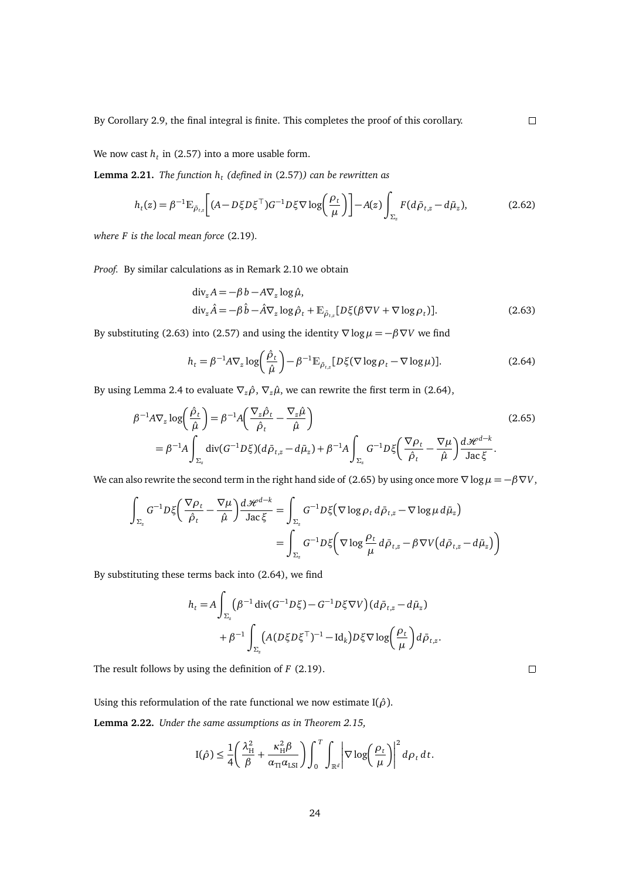We now cast  $h_t$  in [\(2.57\)](#page-21-2) into a more usable form.

**Lemma 2.21.** *The function h<sup>t</sup> (defined in* [\(2.57\)](#page-21-2)*) can be rewritten as*

<span id="page-23-3"></span>
$$
h_t(z) = \beta^{-1} \mathbb{E}_{\bar{\rho}_{t,z}} \bigg[ (A - D\xi D\xi^\top) G^{-1} D\xi \nabla \log \bigg( \frac{\rho_t}{\mu} \bigg) \bigg] - A(z) \int_{\Sigma_z} F(d\bar{\rho}_{t,z} - d\bar{\mu}_z), \tag{2.62}
$$

*where F is the local mean force* [\(2.19\)](#page-11-3)*.*

*Proof.* By similar calculations as in Remark [2.10](#page-15-3) we obtain

$$
\begin{aligned}\n\text{div}_z A &= -\beta \, b - A \nabla_z \log \hat{\mu}, \\
\text{div}_z \hat{A} &= -\beta \, \hat{b} - \hat{A} \nabla_z \log \hat{\rho}_t + \mathbb{E}_{\bar{\rho}_{t,z}} [D\xi(\beta \, \nabla V + \nabla \log \rho_t)].\n\end{aligned} \tag{2.63}
$$

By substituting [\(2.63\)](#page-23-0) into [\(2.57\)](#page-21-2) and using the identity  $\nabla \log \mu = -\beta \nabla V$  we find

$$
h_t = \beta^{-1} A \nabla_z \log \left( \frac{\hat{\rho}_t}{\hat{\mu}} \right) - \beta^{-1} \mathbb{E}_{\hat{\rho}_{t,z}} [D \xi (\nabla \log \rho_t - \nabla \log \mu)]. \tag{2.64}
$$

By using Lemma [2.4](#page-11-1) to evaluate  $\nabla_z \hat{\rho}$ ,  $\nabla_z \hat{\mu}$ , we can rewrite the first term in [\(2.64\)](#page-23-1),

$$
\beta^{-1} A \nabla_z \log \left( \frac{\hat{\rho}_t}{\hat{\mu}} \right) = \beta^{-1} A \left( \frac{\nabla_z \hat{\rho}_t}{\hat{\rho}_t} - \frac{\nabla_z \hat{\mu}}{\hat{\mu}} \right)
$$
\n
$$
= \beta^{-1} A \int_{\Sigma_z} \text{div}(G^{-1} D \xi) (d \bar{\rho}_{t,z} - d \bar{\mu}_z) + \beta^{-1} A \int_{\Sigma_z} G^{-1} D \xi \left( \frac{\nabla \rho_t}{\hat{\rho}_t} - \frac{\nabla \mu}{\hat{\mu}} \right) \frac{d \mathcal{H}^{d-k}}{\text{Jac}\,\xi}.
$$
\n(2.65)

We can also rewrite the second term in the right hand side of [\(2.65\)](#page-23-2) by using once more  $\nabla \log \mu = -\beta \nabla V$ ,

$$
\int_{\Sigma_z} G^{-1} D \xi \left( \frac{\nabla \rho_t}{\hat{\rho}_t} - \frac{\nabla \mu}{\hat{\mu}} \right) \frac{d \mathcal{H}^{d-k}}{\text{Jac} \xi} = \int_{\Sigma_z} G^{-1} D \xi \left( \nabla \log \rho_t d \bar{\rho}_{t,z} - \nabla \log \mu d \bar{\mu}_z \right)
$$
\n
$$
= \int_{\Sigma_z} G^{-1} D \xi \left( \nabla \log \frac{\rho_t}{\mu} d \bar{\rho}_{t,z} - \beta \nabla V \left( d \bar{\rho}_{t,z} - d \bar{\mu}_z \right) \right)
$$

By substituting these terms back into [\(2.64\)](#page-23-1), we find

$$
h_t = A \int_{\Sigma_z} (\beta^{-1} \operatorname{div} (G^{-1} D \xi) - G^{-1} D \xi \nabla V) (d \bar{\rho}_{t,z} - d \bar{\mu}_z)
$$
  
+ 
$$
\beta^{-1} \int_{\Sigma_z} (A (D \xi D \xi^{\top})^{-1} - \operatorname{Id}_k) D \xi \nabla \log \left( \frac{\rho_t}{\mu} \right) d \bar{\rho}_{t,z}.
$$

The result follows by using the definition of *F* [\(2.19\)](#page-11-3).

Using this reformulation of the rate functional we now estimate  $I(\hat{\rho})$ .

<span id="page-23-4"></span>**Lemma 2.22.** *Under the same assumptions as in Theorem [2.15,](#page-18-1)*

$$
I(\hat{\rho}) \leq \frac{1}{4} \left( \frac{\lambda_H^2}{\beta} + \frac{\kappa_H^2 \beta}{\alpha_{\text{TI}} \alpha_{\text{LSI}}} \right) \int_0^T \int_{\mathbb{R}^d} \left| \nabla \log \left( \frac{\rho_t}{\mu} \right) \right|^2 d\rho_t dt.
$$

<span id="page-23-2"></span> $\Box$ 

<span id="page-23-1"></span><span id="page-23-0"></span> $\Box$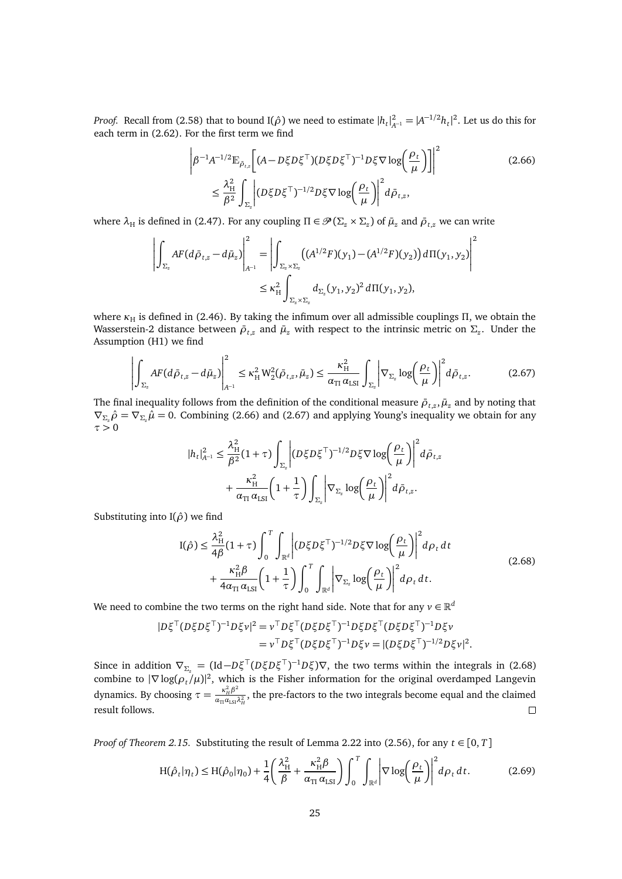*Proof.* Recall from [\(2.58\)](#page-21-3) that to bound I( $\hat{\rho}$ ) we need to estimate  $|h_t|_{A^{-1}}^2 = |A^{-1/2}h_t|^2$ . Let us do this for each term in [\(2.62\)](#page-23-3). For the first term we find

<span id="page-24-0"></span>
$$
\left| \beta^{-1} A^{-1/2} \mathbb{E}_{\bar{\rho}_{t,x}} \left[ (A - D\xi D\xi^{\top}) (D\xi D\xi^{\top})^{-1} D\xi \nabla \log \left( \frac{\rho_t}{\mu} \right) \right] \right|^2
$$
\n
$$
\leq \frac{\lambda_H^2}{\beta^2} \int_{\Sigma_z} \left| (D\xi D\xi^{\top})^{-1/2} D\xi \nabla \log \left( \frac{\rho_t}{\mu} \right) \right|^2 d\bar{\rho}_{t,z}, \tag{2.66}
$$

where  $\lambda_H$  is defined in [\(2.47\)](#page-18-2). For any coupling  $\Pi \in \mathcal{P}(\Sigma_z \times \Sigma_z)$  of  $\bar{\mu}_z$  and  $\bar{\rho}_{t,z}$  we can write

$$
\left| \int_{\Sigma_z} AF(d\bar{\rho}_{t,z} - d\bar{\mu}_z) \right|_{A^{-1}}^2 = \left| \int_{\Sigma_z \times \Sigma_z} \left( (A^{1/2}F)(y_1) - (A^{1/2}F)(y_2) \right) d\Pi(y_1, y_2) \right|^2
$$
  
 
$$
\leq \kappa_H^2 \int_{\Sigma_z \times \Sigma_z} d_{\Sigma_z} (y_1, y_2)^2 d\Pi(y_1, y_2),
$$

where  $κ$ <sub>H</sub> is defined in [\(2.46\)](#page-18-4). By taking the infimum over all admissible couplings *Π*, we obtain the Wasserstein-2 distance between  $\bar{\rho}_{t,z}$  and  $\bar{\mu}_z$  with respect to the intrinsic metric on  $\Sigma_z$ . Under the Assumption [\(H1\)](#page-18-5) we find

<span id="page-24-1"></span>
$$
\left| \int_{\Sigma_z} AF(d\bar{\rho}_{t,z} - d\bar{\mu}_z) \right|_{A^{-1}}^2 \le \kappa_H^2 W_2^2(\bar{\rho}_{t,z}, \bar{\mu}_z) \le \frac{\kappa_H^2}{\alpha_{\text{TI}} \alpha_{\text{LSI}}} \int_{\Sigma_z} \left| \nabla_{\Sigma_z} \log \left( \frac{\rho_t}{\mu} \right) \right|^2 d\bar{\rho}_{t,z}.
$$
 (2.67)

The final inequality follows from the definition of the conditional measure  $\bar{\rho}_{t,z}, \bar{\mu}_z$  and by noting that  $\nabla_{\Sigma_z}\hat{\rho} = \nabla_{\Sigma_z}\hat{\mu} = 0$ . Combining [\(2.66\)](#page-24-0) and [\(2.67\)](#page-24-1) and applying Young's inequality we obtain for any  $\tau > 0$ 

$$
|h_t|_{A^{-1}}^2 \leq \frac{\lambda_H^2}{\beta^2} (1+\tau) \int_{\Sigma_z} \left| (D\xi D\xi^\top)^{-1/2} D\xi \nabla \log \left( \frac{\rho_t}{\mu} \right) \right|^2 d\bar{\rho}_{t,z} + \frac{\kappa_H^2}{\alpha_{\text{TI}} \alpha_{\text{LSI}}} \left( 1 + \frac{1}{\tau} \right) \int_{\Sigma_z} \left| \nabla_{\Sigma_z} \log \left( \frac{\rho_t}{\mu} \right) \right|^2 d\bar{\rho}_{t,z}.
$$

Substituting into I(*ρ*ˆ) we find

<span id="page-24-2"></span>
$$
I(\hat{\rho}) \leq \frac{\lambda_H^2}{4\beta} (1+\tau) \int_0^T \int_{\mathbb{R}^d} \left| (D\xi D\xi^\top)^{-1/2} D\xi \nabla \log \left( \frac{\rho_t}{\mu} \right) \right|^2 d\rho_t dt + \frac{\kappa_H^2 \beta}{4\alpha_{\text{TI}} \alpha_{\text{LSI}}} \left( 1 + \frac{1}{\tau} \right) \int_0^T \int_{\mathbb{R}^d} \left| \nabla_{\Sigma_z} \log \left( \frac{\rho_t}{\mu} \right) \right|^2 d\rho_t dt.
$$
 (2.68)

We need to combine the two terms on the right hand side. Note that for any  $v \in \mathbb{R}^d$ 

$$
|D\xi^{\top}(D\xi D\xi^{\top})^{-1}D\xi\nu|^2 = \nu^{\top}D\xi^{\top}(D\xi D\xi^{\top})^{-1}D\xi D\xi^{\top}(D\xi D\xi^{\top})^{-1}D\xi\nu
$$
  

$$
= \nu^{\top}D\xi^{\top}(D\xi D\xi^{\top})^{-1}D\xi\nu = |(D\xi D\xi^{\top})^{-1/2}D\xi\nu|^2.
$$

Since in addition  $\nabla_{\Sigma_z} = (\text{Id} - D\xi^\top (D\xi D\xi^\top)^{-1} D\xi)\nabla$ , the two terms within the integrals in [\(2.68\)](#page-24-2) combine to  $|\nabla \log(\rho_t/\mu)|^2$ , which is the Fisher information for the original overdamped Langevin dynamics. By choosing  $\tau = \frac{\kappa_H^2 \beta^2}{a_{\rm m} a_{\rm tot}}$  $\frac{\kappa_H \mu}{\alpha_{\Pi} \alpha_{LSI} \lambda_H^2}$ , the pre-factors to the two integrals become equal and the claimed result follows.  $\Box$ 

*Proof of Theorem [2.15.](#page-18-1)* Substituting the result of Lemma [2.22](#page-23-4) into [\(2.56\)](#page-21-4), for any  $t \in [0, T]$ 

<span id="page-24-3"></span>
$$
H(\hat{\rho}_t|\eta_t) \le H(\hat{\rho}_0|\eta_0) + \frac{1}{4} \left( \frac{\lambda_H^2}{\beta} + \frac{\kappa_H^2 \beta}{\alpha_{\text{TI}} \alpha_{\text{LSI}}} \right) \int_0^T \int_{\mathbb{R}^d} \left| \nabla \log \left( \frac{\rho_t}{\mu} \right) \right|^2 d\rho_t dt.
$$
 (2.69)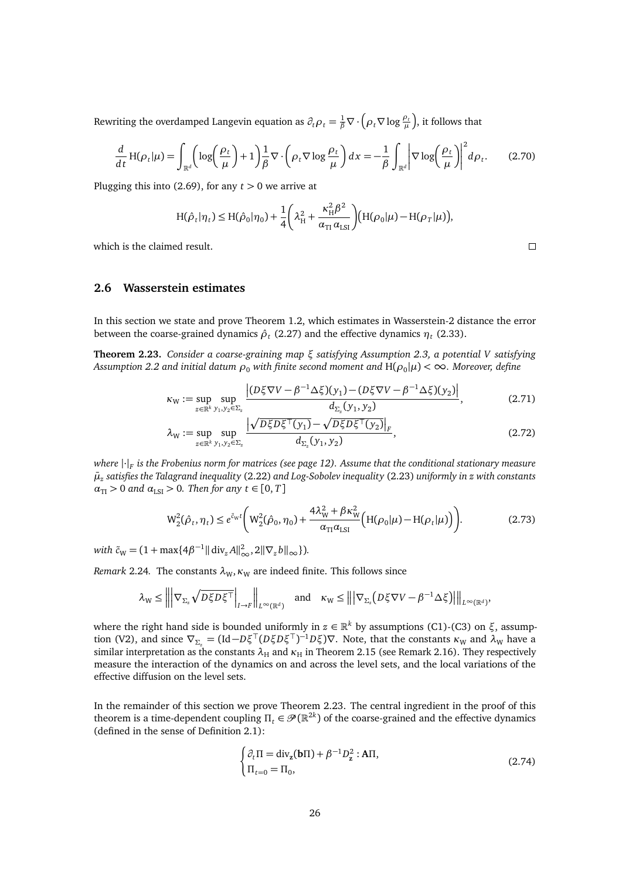Rewriting the overdamped Langevin equation as  $\partial_t \rho_t = \frac{1}{\beta} \nabla \cdot (\rho_t \nabla \log \frac{\rho_t}{\mu})$ , it follows that

$$
\frac{d}{dt}H(\rho_t|\mu) = \int_{\mathbb{R}^d} \left( \log\left(\frac{\rho_t}{\mu}\right) + 1 \right) \frac{1}{\beta} \nabla \cdot \left( \rho_t \nabla \log \frac{\rho_t}{\mu} \right) dx = -\frac{1}{\beta} \int_{\mathbb{R}^d} \left| \nabla \log \left( \frac{\rho_t}{\mu} \right) \right|^2 d\rho_t. \tag{2.70}
$$

Plugging this into [\(2.69\)](#page-24-3), for any  $t > 0$  we arrive at

$$
H(\hat{\rho}_t|\eta_t) \le H(\hat{\rho}_0|\eta_0) + \frac{1}{4}\bigg(\lambda_H^2 + \frac{\kappa_H^2 \beta^2}{\alpha_{\text{TI}}\alpha_{\text{LSI}}}\bigg) (H(\rho_0|\mu) - H(\rho_T|\mu)),
$$

which is the claimed result.

<span id="page-25-0"></span>**2.6 Wasserstein estimates**

In this section we state and prove Theorem [1.2,](#page-4-2) which estimates in Wasserstein-2 distance the error between the coarse-grained dynamics  $\hat{\rho}_t$  [\(2.27\)](#page-13-5) and the effective dynamics  $\eta_t$  [\(2.33\)](#page-14-2).

<span id="page-25-1"></span>**Theorem 2.23.** *Consider a coarse-graining map ξ satisfying Assumption [2.3,](#page-9-5) a potential V satisfying*  $A$ ssumption [2.2](#page-9-6) and initial datum  $\rho_0$  with finite second moment and  $H(\rho_0|\mu)<\infty$ . Moreover, define

$$
\kappa_{\mathbf{W}} := \sup_{z \in \mathbb{R}^k} \sup_{y_1, y_2 \in \Sigma_z} \frac{\left| (D \xi \nabla V - \beta^{-1} \Delta \xi)(y_1) - (D \xi \nabla V - \beta^{-1} \Delta \xi)(y_2) \right|}{d_{\Sigma_z}(y_1, y_2)},
$$
(2.71)

$$
\lambda_{\mathbf{W}} := \sup_{z \in \mathbb{R}^k} \sup_{y_1, y_2 \in \Sigma_z} \frac{\left| \sqrt{D\xi D\xi^{\top}(y_1)} - \sqrt{D\xi D\xi^{\top}(y_2)} \right|_F}{d_{\Sigma_z}(y_1, y_2)},
$$
\n(2.72)

*where* |·|*<sup>F</sup> is the Frobenius norm for matrices (see page [12\)](#page-11-2). Assume that the conditional stationary measure µ*¯*z satisfies the Talagrand inequality* [\(2.22\)](#page-12-2) *and Log-Sobolev inequality* [\(2.23\)](#page-12-3) *uniformly in z with constants*  $\alpha_{\text{TI}} > 0$  *and*  $\alpha_{\text{LSI}} > 0$ *. Then for any*  $t \in [0, T]$ 

$$
W_2^2(\hat{\rho}_t, \eta_t) \le e^{\tilde{c}_W t} \bigg( W_2^2(\hat{\rho}_0, \eta_0) + \frac{4\lambda_W^2 + \beta \kappa_W^2}{\alpha_{\text{TI}} \alpha_{\text{LSI}}} \big( H(\rho_0 | \mu) - H(\rho_t | \mu) \big) \bigg). \tag{2.73}
$$

 $with \ \tilde{c}_W = (1 + \max\{4\beta^{-1} || \ div_z A ||_{\infty}^2, 2||\nabla_z b||_{\infty}\}).$ 

*Remark* 2.24. The constants  $\lambda_{W}$ ,  $\kappa_{W}$  are indeed finite. This follows since

$$
\lambda_{\mathrm{W}} \leq \left\| \left| \nabla_{\Sigma_z} \sqrt{D \xi D \xi^{\top}} \right|_{I \to F} \right\|_{L^{\infty}(\mathbb{R}^d)} \quad \text{and} \quad \kappa_{\mathrm{W}} \leq \left\| \left| \nabla_{\Sigma_z} \left( D \xi \nabla V - \beta^{-1} \Delta \xi \right) \right| \right\|_{L^{\infty}(\mathbb{R}^d)},
$$

where the right hand side is bounded uniformly in *z* ∈ R *<sup>k</sup>* by assumptions [\(C1\)](#page-9-3)[-\(C3\)](#page-10-0) on *ξ*, assump-tion [\(V2\),](#page-9-8) and since  $\nabla_{\Sigma_z} = (\text{Id} - D\xi^\top (D\xi D\xi^\top)^{-1} D\xi)\nabla$ . Note, that the constants  $\kappa_W$  and  $\lambda_W$  have a similar interpretation as the constants  $\lambda_H$  and  $\kappa_H$  in Theorem [2.15](#page-18-1) (see Remark [2.16\)](#page-18-6). They respectively measure the interaction of the dynamics on and across the level sets, and the local variations of the effective diffusion on the level sets.

In the remainder of this section we prove Theorem [2.23.](#page-25-1) The central ingredient in the proof of this theorem is a time-dependent coupling  $\Pi_t \in \mathcal{P}(\mathbb{R}^{2k})$  of the coarse-grained and the effective dynamics (defined in the sense of Definition [2.1\)](#page-8-4):

<span id="page-25-2"></span>
$$
\begin{cases} \partial_t \Pi = \text{div}_{\mathbf{z}}(\mathbf{b}\Pi) + \beta^{-1} D_{\mathbf{z}}^2 : \mathbf{A}\Pi, \\ \Pi_{t=0} = \Pi_0, \end{cases}
$$
 (2.74)

<span id="page-25-5"></span><span id="page-25-4"></span><span id="page-25-3"></span> $\Box$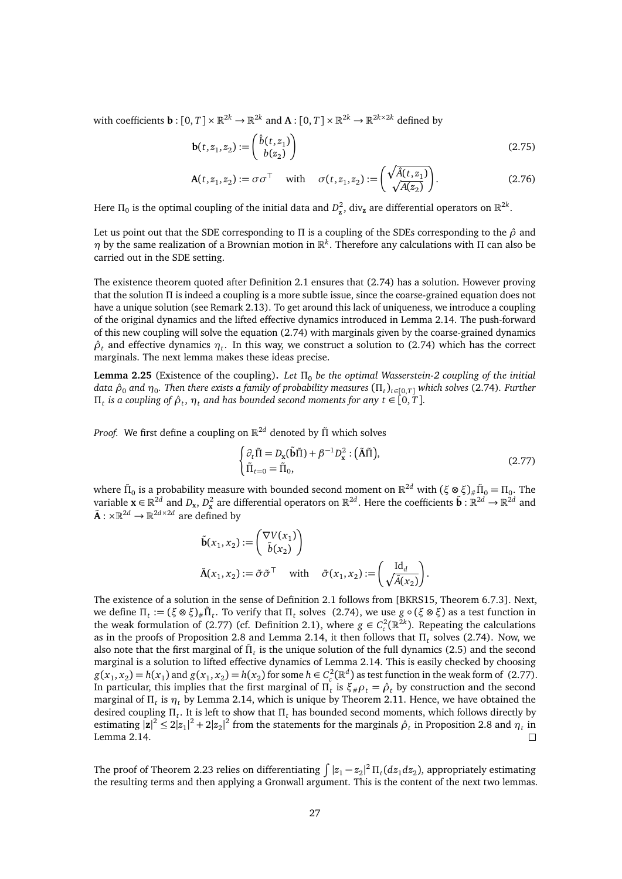with coefficients  $\mathbf{b}: [0, T] \times \mathbb{R}^{2k} \to \mathbb{R}^{2k}$  and  $\mathbf{A}: [0, T] \times \mathbb{R}^{2k} \to \mathbb{R}^{2k \times 2k}$  defined by

$$
\mathbf{b}(t, z_1, z_2) := \begin{pmatrix} \hat{b}(t, z_1) \\ b(z_2) \end{pmatrix}
$$
\n(2.75)

$$
\mathbf{A}(t, z_1, z_2) := \sigma \sigma^\top \quad \text{with} \quad \sigma(t, z_1, z_2) := \left(\frac{\sqrt{\hat{A}(t, z_1)}}{\sqrt{A(z_2)}}\right). \tag{2.76}
$$

Here  $\Pi_0$  is the optimal coupling of the initial data and  $D_z^2$ , div<sub>z</sub> are differential operators on  $\mathbb{R}^{2k}$ .

Let us point out that the SDE corresponding to *Π* is a coupling of the SDEs corresponding to the *ρ*ˆ and *η* by the same realization of a Brownian motion in R *k* . Therefore any calculations with *Π* can also be carried out in the SDE setting.

The existence theorem quoted after Definition [2.1](#page-8-4) ensures that [\(2.74\)](#page-25-2) has a solution. However proving that the solution *Π* is indeed a coupling is a more subtle issue, since the coarse-grained equation does not have a unique solution (see Remark [2.13\)](#page-17-1). To get around this lack of uniqueness, we introduce a coupling of the original dynamics and the lifted effective dynamics introduced in Lemma [2.14.](#page-17-2) The push-forward of this new coupling will solve the equation [\(2.74\)](#page-25-2) with marginals given by the coarse-grained dynamics  $\hat{\rho}_t$  and effective dynamics  $\eta_t$ . In this way, we construct a solution to [\(2.74\)](#page-25-2) which has the correct marginals. The next lemma makes these ideas precise.

<span id="page-26-0"></span>**Lemma 2.25** (Existence of the coupling)**.** *Let Π*<sup>0</sup> *be the optimal Wasserstein-2 coupling of the initial data ρ*ˆ<sup>0</sup> *and η*<sup>0</sup> *. Then there exists a family of probability measures* (*Π<sup>t</sup>* )*t*∈[0,*T*] *which solves* [\(2.74\)](#page-25-2)*. Further Π*<sub>*t*</sub> is a coupling of  $\hat{\rho}_t$ ,  $\eta_t$  and has bounded second moments for any  $t \in [0, T]$ .

*Proof.* We first define a coupling on R <sup>2</sup>*<sup>d</sup>* denoted by *Π*˜ which solves

<span id="page-26-1"></span>
$$
\begin{cases} \partial_t \tilde{\Pi} = D_{\mathbf{x}}(\tilde{\mathbf{b}}\tilde{\Pi}) + \beta^{-1} D_{\mathbf{x}}^2 : (\tilde{\mathbf{A}}\tilde{\Pi}), \\ \tilde{\Pi}_{t=0} = \tilde{\Pi}_0, \end{cases}
$$
 (2.77)

where  $\tilde{\Pi}_0$  is a probability measure with bounded second moment on  $\mathbb{R}^{2d}$  with  $(\xi \otimes \xi)_\# \tilde{\Pi}_0 = \Pi_0$ . The variable  $\mathbf{x} \in \mathbb{R}^{2d}$  and  $D_x$ ,  $D_x^2$  are differential operators on  $\mathbb{R}^{2d}$ . Here the coefficients  $\tilde{\mathbf{b}} : \mathbb{R}^{2d} \to \mathbb{R}^{2d}$  and  $\tilde{A}: \times \mathbb{R}^{2d} \to \mathbb{R}^{2d \times 2d}$  are defined by

$$
\tilde{\mathbf{b}}(x_1, x_2) := \begin{pmatrix} \nabla V(x_1) \\ \tilde{b}(x_2) \end{pmatrix}
$$
  
\n
$$
\tilde{\mathbf{A}}(x_1, x_2) := \tilde{\sigma} \tilde{\sigma}^\top \quad \text{with} \quad \tilde{\sigma}(x_1, x_2) := \begin{pmatrix} \text{Id}_d \\ \sqrt{\tilde{A}(x_2)} \end{pmatrix}.
$$

The existence of a solution in the sense of Definition [2.1](#page-8-4) follows from [\[BKRS15,](#page-44-6) Theorem 6.7.3]. Next,  $\mathbf{m}_t := (\xi \otimes \xi)_\# \tilde{\Pi}_t$ . To verify that  $\Pi_t$  solves [\(2.74\)](#page-25-2), we use  $g \circ (\xi \otimes \xi)$  as a test function in the weak formulation of [\(2.77\)](#page-26-1) (cf. Definition [2.1\)](#page-8-4), where  $g \in C_c^2(\mathbb{R}^{2k})$ . Repeating the calculations as in the proofs of Proposition [2.8](#page-13-1) and Lemma [2.14,](#page-17-2) it then follows that *Π<sup>t</sup>* solves [\(2.74\)](#page-25-2). Now, we also note that the first marginal of  $\tilde{\Pi}_t$  is the unique solution of the full dynamics [\(2.5\)](#page-9-2) and the second marginal is a solution to lifted effective dynamics of Lemma [2.14.](#page-17-2) This is easily checked by choosing  $g(x_1, x_2) = h(x_1)$  and  $g(x_1, x_2) = h(x_2)$  for some  $h \in C_c^2(\mathbb{R}^d)$  as test function in the weak form of [\(2.77\)](#page-26-1). In particular, this implies that the first marginal of  $\Pi_t$  is  $\xi_{\#}\rho_t = \hat{\rho}_t$  by construction and the second marginal of *Π<sup>t</sup>* is *η<sup>t</sup>* by Lemma [2.14,](#page-17-2) which is unique by Theorem [2.11.](#page-16-0) Hence, we have obtained the desired coupling *Π<sup>t</sup>* . It is left to show that *Π<sup>t</sup>* has bounded second moments, which follows directly by estimating  $|z|^2 \le 2|z_1|^2 + 2|z_2|^2$  from the statements for the marginals  $\hat{\rho}_t$  in Proposition [2.8](#page-13-1) and  $\eta_t$  in Lemma [2.14.](#page-17-2)  $\Box$ 

The proof of Theorem [2.23](#page-25-1) relies on differentiating  $\int |z_1-z_2|^2\,\Pi_t(dz_1dz_2)$ , appropriately estimating the resulting terms and then applying a Gronwall argument. This is the content of the next two lemmas.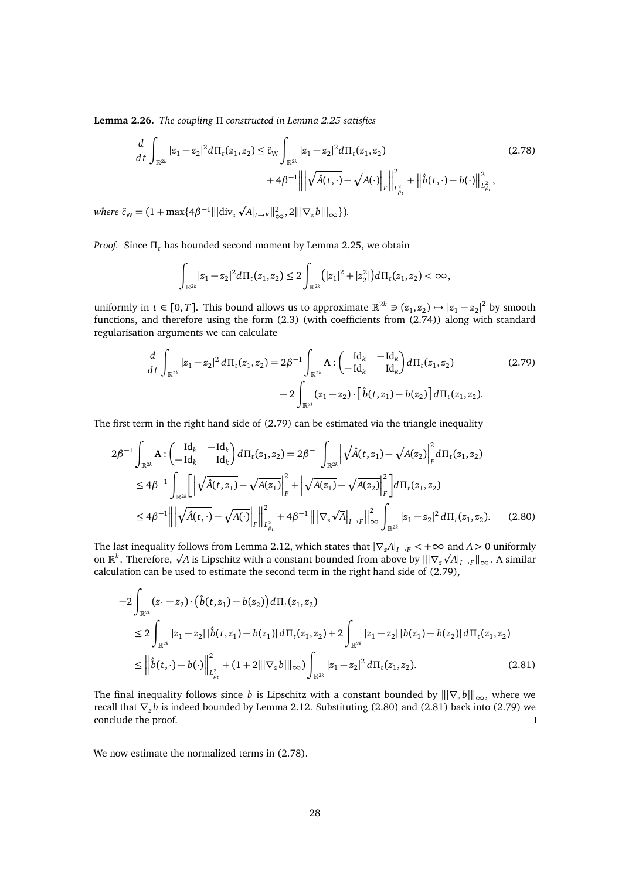**Lemma 2.26.** *The coupling Π constructed in Lemma [2.25](#page-26-0) satisfies*

$$
\frac{d}{dt} \int_{\mathbb{R}^{2k}} |z_1 - z_2|^2 d\Pi_t(z_1, z_2) \le \tilde{c}_W \int_{\mathbb{R}^{2k}} |z_1 - z_2|^2 d\Pi_t(z_1, z_2) \tag{2.78}
$$
\n
$$
+ 4\beta^{-1} \left\| \left| \sqrt{\hat{A}(t, \cdot)} - \sqrt{A(\cdot)} \right|_F \right\|_{L^2_{\hat{\rho}_t}}^2 + \left\| \hat{b}(t, \cdot) - b(\cdot) \right\|_{L^2_{\hat{\rho}_t}}^2,
$$

 $\omega$  *where*  $\tilde{c}_W = (1 + \max\{4\beta^{-1} || |\text{div}_z \sqrt{A}|_{I \to F} ||_{\infty}^2, 2|| |\nabla_z b| ||_{\infty} \}).$ 

*Proof.* Since *Π<sup>t</sup>* has bounded second moment by Lemma [2.25,](#page-26-0) we obtain

<span id="page-27-3"></span><span id="page-27-0"></span>
$$
\int_{\mathbb{R}^{2k}} |z_1-z_2|^2 d\Pi_t(z_1,z_2) \leq 2 \int_{\mathbb{R}^{2k}} (|z_1|^2 + |z_2^2|) d\Pi_t(z_1,z_2) < \infty,
$$

uniformly in  $t \in [0, T]$ . This bound allows us to approximate  $\mathbb{R}^{2k} \ni (z_1, z_2) \mapsto |z_1 - z_2|^2$  by smooth functions, and therefore using the form [\(2.3\)](#page-9-7) (with coefficients from [\(2.74\)](#page-25-2)) along with standard regularisation arguments we can calculate

<span id="page-27-1"></span>
$$
\frac{d}{dt} \int_{\mathbb{R}^{2k}} |z_1 - z_2|^2 d\Pi_t(z_1, z_2) = 2\beta^{-1} \int_{\mathbb{R}^{2k}} \mathbf{A} : \begin{pmatrix} \mathrm{Id}_k & -\mathrm{Id}_k \\ -\mathrm{Id}_k & \mathrm{Id}_k \end{pmatrix} d\Pi_t(z_1, z_2) \tag{2.79}
$$
\n
$$
-2 \int_{\mathbb{R}^{2k}} (z_1 - z_2) \cdot \left[ \hat{b}(t, z_1) - b(z_2) \right] d\Pi_t(z_1, z_2).
$$

The first term in the right hand side of [\(2.79\)](#page-27-0) can be estimated via the triangle inequality

$$
2\beta^{-1} \int_{\mathbb{R}^{2k}} \mathbf{A} : \begin{pmatrix} \mathrm{Id}_{k} & -\mathrm{Id}_{k} \\ -\mathrm{Id}_{k} & \mathrm{Id}_{k} \end{pmatrix} d\Pi_{t}(z_{1}, z_{2}) = 2\beta^{-1} \int_{\mathbb{R}^{2k}} \left| \sqrt{\hat{A}(t, z_{1})} - \sqrt{A(z_{2})} \right|_{F}^{2} d\Pi_{t}(z_{1}, z_{2})
$$
  
\n
$$
\leq 4\beta^{-1} \int_{\mathbb{R}^{2k}} \left[ \left| \sqrt{\hat{A}(t, z_{1})} - \sqrt{A(z_{1})} \right|_{F}^{2} + \left| \sqrt{A(z_{1})} - \sqrt{A(z_{2})} \right|_{F}^{2} \right] d\Pi_{t}(z_{1}, z_{2})
$$
  
\n
$$
\leq 4\beta^{-1} \left| \left| \sqrt{\hat{A}(t, \cdot)} - \sqrt{A(\cdot)} \right|_{F} \right|_{L_{\rho_{t}}^{2}}^{2} + 4\beta^{-1} \left| \left| \nabla_{z} \sqrt{A} \right|_{I \to F} \right|_{\infty}^{2} \int_{\mathbb{R}^{2k}} |z_{1} - z_{2}|^{2} d\Pi_{t}(z_{1}, z_{2}). \tag{2.80}
$$

The last inequality follows from Lemma [2.12,](#page-16-1) which states that  $|\nabla_{z}A|_{I\to F} < +\infty$  and  $A > 0$  uniformly The last inequality follows from Lemma 2.12, which states that  $|V_zA|_{I\to F} < +\infty$  and  $A > 0$  uniformly on  $\mathbb{R}^k$ . Therefore,  $\sqrt{A}$  is Lipschitz with a constant bounded from above by  $\|\nabla_z\sqrt{A}|_{I\to F}\|_{\infty}$ . A simi calculation can be used to estimate the second term in the right hand side of [\(2.79\)](#page-27-0),

<span id="page-27-2"></span>
$$
-2\int_{\mathbb{R}^{2k}}(z_1 - z_2) \cdot (\hat{b}(t, z_1) - b(z_2)) d\Pi_t(z_1, z_2)
$$
  
\n
$$
\leq 2\int_{\mathbb{R}^{2k}} |z_1 - z_2| |\hat{b}(t, z_1) - b(z_1)| d\Pi_t(z_1, z_2) + 2\int_{\mathbb{R}^{2k}} |z_1 - z_2| |b(z_1) - b(z_2)| d\Pi_t(z_1, z_2)
$$
  
\n
$$
\leq \left\| \hat{b}(t, \cdot) - b(\cdot) \right\|_{L^2_{\rho_t}}^2 + (1 + 2||\nabla_z b||_{\infty}) \int_{\mathbb{R}^{2k}} |z_1 - z_2|^2 d\Pi_t(z_1, z_2).
$$
 (2.81)

The final inequality follows since *b* is Lipschitz with a constant bounded by  $\|\nabla_z b\|_{\infty}$ , where we recall that ∇*<sup>z</sup> b* is indeed bounded by Lemma [2.12.](#page-16-1) Substituting [\(2.80\)](#page-27-1) and [\(2.81\)](#page-27-2) back into [\(2.79\)](#page-27-0) we conclude the proof.  $\Box$ 

We now estimate the normalized terms in [\(2.78\)](#page-27-3).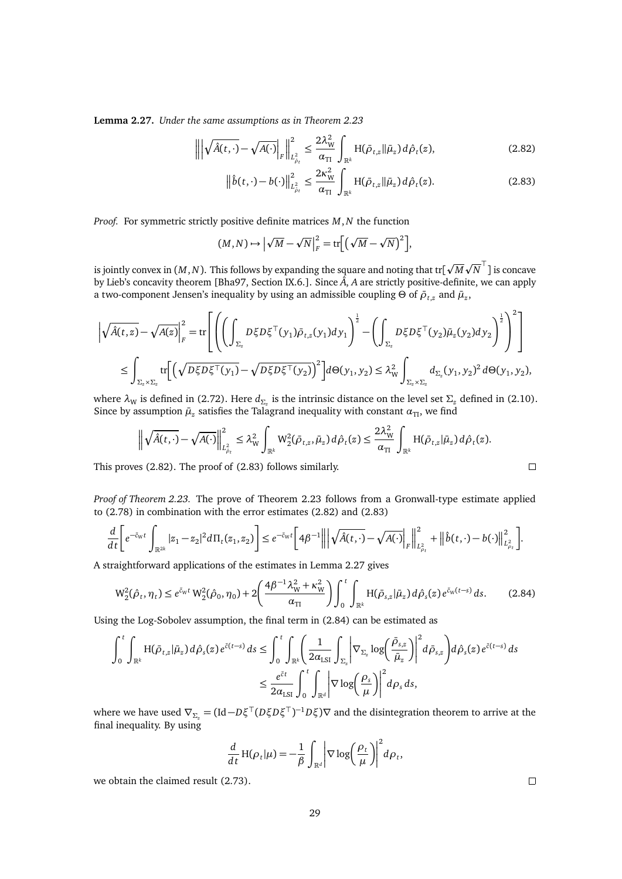<span id="page-28-2"></span>**Lemma 2.27.** *Under the same assumptions as in Theorem [2.23](#page-25-1)*

$$
\left\| \left| \sqrt{\hat{A}(t,\cdot)} - \sqrt{A(\cdot)} \right|_F \right\|_{L^2_{\hat{\rho}_t}}^2 \le \frac{2\lambda_W^2}{\alpha_{\text{TI}}} \int_{\mathbb{R}^k} H(\bar{\rho}_{t,z} || \bar{\mu}_z) d\hat{\rho}_t(z), \tag{2.82}
$$

<span id="page-28-1"></span><span id="page-28-0"></span>
$$
\left\|\hat{b}(t,\cdot)-b(\cdot)\right\|_{L^2_{\hat{\rho}_t}}^2 \leq \frac{2\kappa_{\mathrm{W}}^2}{\alpha_{\mathrm{TI}}}\int_{\mathbb{R}^k} \mathrm{H}(\bar{\rho}_{t,z}\|\bar{\mu}_z)\,d\hat{\rho}_t(z). \tag{2.83}
$$

*Proof.* For symmetric strictly positive definite matrices *M*,*N* the function

$$
(M,N) \mapsto \left| \sqrt{M} - \sqrt{N} \right|_F^2 = \text{tr} \left[ \left( \sqrt{M} - \sqrt{N} \right)^2 \right],
$$

is jointly convex in (*M*,*N*). This follows by expanding the square and noting that tr[ p *M* p  $\overline{N}^\top$ ] is concave by Lieb's concavity theorem [\[Bha97,](#page-44-10) Section IX.6.]. Since  $\hat{A}$ , *A* are strictly positive-definite, we can apply a two-component Jensen's inequality by using an admissible coupling  $\Theta$  of  $\bar{\rho}_{t,z}$  and  $\bar{\mu}_z$ ,

$$
\left| \sqrt{\hat{A}(t,z)} - \sqrt{A(z)} \right|^2_F = \text{tr}\left[ \left( \left( \int_{\Sigma_z} D\xi D\xi^\top (y_1) \bar{\rho}_{t,z}(y_1) dy_1 \right)^{\frac{1}{2}} - \left( \int_{\Sigma_z} D\xi D\xi^\top (y_2) \bar{\mu}_z(y_2) dy_2 \right)^{\frac{1}{2}} \right)^2 \right]
$$
  

$$
\leq \int_{\Sigma_z \times \Sigma_z} \text{tr}\left[ \left( \sqrt{D\xi D\xi^\top (y_1)} - \sqrt{D\xi D\xi^\top (y_2)} \right)^2 \right] d\Theta(y_1, y_2) \leq \lambda_W^2 \int_{\Sigma_z \times \Sigma_z} d_{\Sigma_z} (y_1, y_2)^2 d\Theta(y_1, y_2),
$$

where  $\lambda$ <sub>W</sub> is defined in [\(2.72\)](#page-25-3). Here  $d_{\Sigma_z}$  is the intrinsic distance on the level set  $\Sigma_z$  defined in [\(2.10\)](#page-10-2). Since by assumption  $\bar{\mu}_z$  satisfies the Talagrand inequality with constant  $\alpha_{\text{TI}}$ , we find

$$
\left\|\sqrt{\hat{A}(t,\cdot)}-\sqrt{A(\cdot)}\right\|_{L^2_{\hat{\rho}_t}}^2 \leq \lambda_{\mathrm{W}}^2 \int_{\mathbb{R}^k} \mathrm{W}_2^2(\bar{\rho}_{t,z},\bar{\mu}_z) d\hat{\rho}_t(z) \leq \frac{2\lambda_{\mathrm{W}}^2}{\alpha_{\mathrm{TI}}}\int_{\mathbb{R}^k} \mathrm{H}(\bar{\rho}_{t,z}|\bar{\mu}_z) d\hat{\rho}_t(z).
$$

This proves [\(2.82\)](#page-28-0). The proof of [\(2.83\)](#page-28-1) follows similarly.

*Proof of Theorem [2.23.](#page-25-1)* The prove of Theorem [2.23](#page-25-1) follows from a Gronwall-type estimate applied to [\(2.78\)](#page-27-3) in combination with the error estimates [\(2.82\)](#page-28-0) and [\(2.83\)](#page-28-1)

$$
\frac{d}{dt}\bigg[e^{-\tilde{c}_Wt}\int_{\mathbb{R}^{2k}}|z_1-z_2|^2d\Pi_t(z_1,z_2)\bigg]\leq e^{-\tilde{c}_Wt}\bigg[4\beta^{-1}\bigg\|\bigg|\sqrt{\hat{A}(t,\cdot)}-\sqrt{A(\cdot)}\bigg|_F\bigg\|_{L^2_{\rho_t}}^2+\big\|\hat{b}(t,\cdot)-b(\cdot)\big\|_{L^2_{\rho_t}}^2\bigg].
$$

A straightforward applications of the estimates in Lemma [2.27](#page-28-2) gives

$$
W_2^2(\hat{\rho}_t, \eta_t) \le e^{\tilde{c}_W t} W_2^2(\hat{\rho}_0, \eta_0) + 2 \left( \frac{4\beta^{-1} \lambda_W^2 + \kappa_W^2}{\alpha_{\text{TI}}} \right) \int_0^t \int_{\mathbb{R}^k} H(\bar{\rho}_{s,z} | \bar{\mu}_z) d\hat{\rho}_s(z) e^{\tilde{c}_W(t-s)} ds. \tag{2.84}
$$

Using the Log-Sobolev assumption, the final term in [\(2.84\)](#page-28-3) can be estimated as

$$
\int_0^t \int_{\mathbb{R}^k} H(\bar{\rho}_{t,z} | \bar{\mu}_z) d\hat{\rho}_s(z) e^{\tilde{c}(t-s)} ds \le \int_0^t \int_{\mathbb{R}^k} \left( \frac{1}{2\alpha_{\text{LSI}}} \int_{\Sigma_z} \left| \nabla_{\Sigma_z} \log \left( \frac{\bar{\rho}_{s,z}}{\bar{\mu}_z} \right) \right|^2 d\bar{\rho}_{s,z} \right) d\hat{\rho}_s(z) e^{\tilde{c}(t-s)} ds
$$
  

$$
\le \frac{e^{\tilde{c}t}}{2\alpha_{\text{LSI}}} \int_0^t \int_{\mathbb{R}^d} \left| \nabla \log \left( \frac{\rho_s}{\mu} \right) \right|^2 d\rho_s ds,
$$

where we have used  $\nabla_{\Sigma_z} = (\text{Id} - D\xi^\top (D\xi D\xi^\top)^{-1} D\xi)\nabla$  and the disintegration theorem to arrive at the final inequality. By using

$$
\frac{d}{dt} H(\rho_t | \mu) = -\frac{1}{\beta} \int_{\mathbb{R}^d} \left| \nabla \log \left( \frac{\rho_t}{\mu} \right) \right|^2 d\rho_t,
$$

we obtain the claimed result [\(2.73\)](#page-25-4).

 $\Box$ 

<span id="page-28-3"></span> $\Box$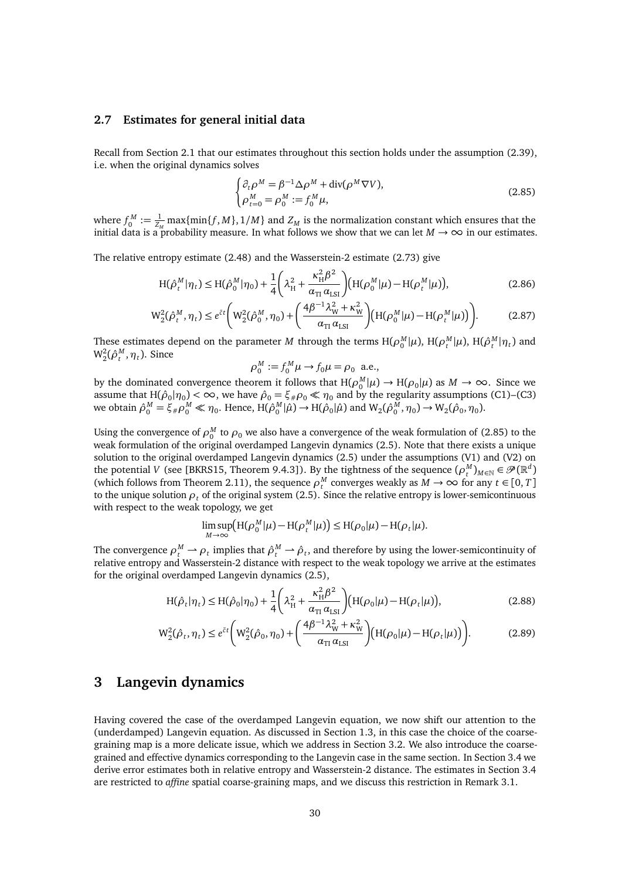## <span id="page-29-0"></span>**2.7 Estimates for general initial data**

Recall from Section [2.1](#page-9-0) that our estimates throughout this section holds under the assumption [\(2.39\)](#page-15-1), i.e. when the original dynamics solves

<span id="page-29-2"></span>
$$
\begin{cases} \partial_t \rho^M = \beta^{-1} \Delta \rho^M + \operatorname{div}(\rho^M \nabla V), \\ \rho_{t=0}^M = \rho_0^M := f_0^M \mu, \end{cases}
$$
 (2.85)

where  $f_0^M := \frac{1}{Z_M} \max\{\min\{f, M\}, 1/M\}$  and  $Z_M$  is the normalization constant which ensures that the initial data is a probability measure. In what follows we show that we can let  $M \to \infty$  in our estimates.

The relative entropy estimate [\(2.48\)](#page-18-3) and the Wasserstein-2 estimate [\(2.73\)](#page-25-4) give

$$
H(\hat{\rho}_t^M|\eta_t) \le H(\hat{\rho}_0^M|\eta_0) + \frac{1}{4} \left(\lambda_H^2 + \frac{\kappa_H^2 \beta^2}{\alpha_{\text{TI}} \alpha_{\text{LSI}}}\right) (H(\rho_0^M|\mu) - H(\rho_t^M|\mu)), \tag{2.86}
$$

$$
W_2^2(\hat{\rho}_t^M, \eta_t) \le e^{\tilde{c}t} \bigg( W_2^2(\hat{\rho}_0^M, \eta_0) + \bigg( \frac{4\beta^{-1}\lambda_W^2 + \kappa_W^2}{\alpha_{\text{TI}}\,\alpha_{\text{LSI}}} \bigg) \big( H(\rho_0^M|\mu) - H(\rho_t^M|\mu) \big) \bigg). \tag{2.87}
$$

These estimates depend on the parameter *M* through the terms  $H(\rho_0^M|\mu)$ ,  $H(\rho_t^M|\mu)$ ,  $H(\hat{\rho}_t^M|\eta_t)$  and  $W_2^2(\hat{\rho}_t^M, \eta_t)$ . Since

$$
\rho_0^M := f_0^M \mu \to f_0 \mu = \rho_0 \text{ a.e.,}
$$

by the dominated convergence theorem it follows that  $H(\rho_0^M|\mu) \to H(\rho_0|\mu)$  as  $M \to \infty$ . Since we assume that  $H(\hat{\rho}_0|\eta_0) < \infty$ , we have  $\hat{\rho}_0 = \xi_{\#}\rho_0 \ll \eta_0$  and by the regularity assumptions [\(C1\)](#page-9-3)[–\(C3\)](#page-10-0)  $\mathsf{w}$ e obtain  $\hat{\rho}_0^M = \xi_{\#} \rho_0^M \ll \eta_0$ . Hence,  $\mathsf{H}(\hat{\rho}_0^M | \hat{\mu}) \rightarrow \mathsf{H}(\hat{\rho}_0 | \hat{\mu})$  and  $\mathsf{W}_2(\hat{\rho}_0^M, \eta_0) \rightarrow \mathsf{W}_2(\hat{\rho}_0, \eta_0)$ .

Using the convergence of  $\rho_0^M$  to  $\rho_0$  we also have a convergence of the weak formulation of [\(2.85\)](#page-29-2) to the weak formulation of the original overdamped Langevin dynamics [\(2.5\)](#page-9-2). Note that there exists a unique solution to the original overdamped Langevin dynamics [\(2.5\)](#page-9-2) under the assumptions [\(V1\)](#page-9-1) and [\(V2\)](#page-9-8) on the potential *V* (see [\[BKRS15,](#page-44-6) Theorem 9.4.3]). By the tightness of the sequence  $(\rho_t^M)_{M \in \mathbb{N}} \in \mathcal{P}(\mathbb{R}^d)$ (which follows from Theorem [2.11\)](#page-16-0), the sequence  $\rho_t^M$  converges weakly as  $M \to \infty$  for any  $t \in [0, T]$ to the unique solution  $\rho_t$  of the original system [\(2.5\)](#page-9-2). Since the relative entropy is lower-semicontinuous with respect to the weak topology, we get

$$
\limsup_{M\to\infty} \left( H(\rho_0^M|\mu) - H(\rho_t^M|\mu) \right) \le H(\rho_0|\mu) - H(\rho_t|\mu).
$$

The convergence  $\rho_t^M \to \rho_t$  implies that  $\hat{\rho}_t^M \to \hat{\rho}_t$ , and therefore by using the lower-semicontinuity of relative entropy and Wasserstein-2 distance with respect to the weak topology we arrive at the estimates for the original overdamped Langevin dynamics [\(2.5\)](#page-9-2),

$$
H(\hat{\rho}_t|\eta_t) \le H(\hat{\rho}_0|\eta_0) + \frac{1}{4} \left(\lambda_H^2 + \frac{\kappa_H^2 \beta^2}{\alpha_{\text{TI}} \alpha_{\text{LSI}}}\right) (H(\rho_0|\mu) - H(\rho_t|\mu)),
$$
\n(2.88)

$$
W_2^2(\hat{\rho}_t, \eta_t) \le e^{\tilde{c}t} \left( W_2^2(\hat{\rho}_0, \eta_0) + \left( \frac{4\beta^{-1} \lambda_W^2 + \kappa_W^2}{\alpha_{\text{TI}}} \right) \left( H(\rho_0 | \mu) - H(\rho_t | \mu) \right) \right).
$$
(2.89)

## <span id="page-29-1"></span>**3 Langevin dynamics**

Having covered the case of the overdamped Langevin equation, we now shift our attention to the (underdamped) Langevin equation. As discussed in Section [1.3,](#page-4-0) in this case the choice of the coarsegraining map is a more delicate issue, which we address in Section [3.2.](#page-31-0) We also introduce the coarsegrained and effective dynamics corresponding to the Langevin case in the same section. In Section [3.4](#page-34-0) we derive error estimates both in relative entropy and Wasserstein-2 distance. The estimates in Section [3.4](#page-34-0) are restricted to *affine* spatial coarse-graining maps, and we discuss this restriction in Remark [3.1.](#page-32-1)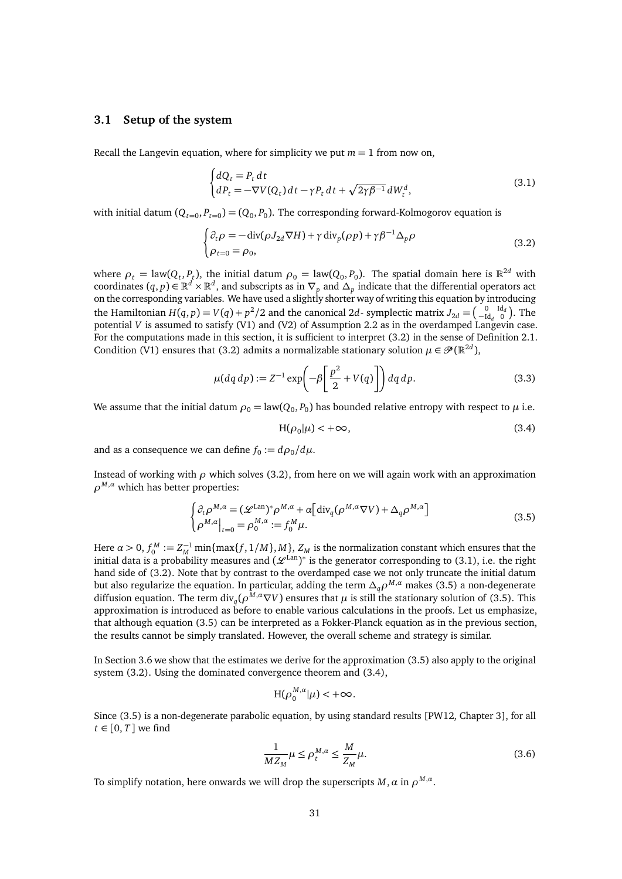## <span id="page-30-0"></span>**3.1 Setup of the system**

Recall the Langevin equation, where for simplicity we put  $m = 1$  from now on,

<span id="page-30-2"></span>
$$
\begin{cases} dQ_t = P_t dt \\ dP_t = -\nabla V(Q_t) dt - \gamma P_t dt + \sqrt{2\gamma \beta^{-1}} dW_t^d, \end{cases}
$$
\n(3.1)

with initial datum  $(Q_{t=0}, P_{t=0}) = (Q_0, P_0)$ . The corresponding forward-Kolmogorov equation is

$$
\begin{cases} \partial_t \rho = -\operatorname{div}(\rho J_{2d} \nabla H) + \gamma \operatorname{div}_p(\rho p) + \gamma \beta^{-1} \Delta_p \rho \\ \rho_{t=0} = \rho_0, \end{cases}
$$
 (3.2)

where  $\rho_t = \text{law}(Q_t, P_t)$ , the initial datum  $\rho_0 = \text{law}(Q_0, P_0)$ . The spatial domain here is  $\mathbb{R}^{2d}$  with coordinates  $(q, p) \in \mathbb{R}^d \times \mathbb{R}^d$ , and subscripts as in  $\nabla_p$  and  $\Delta_p$  indicate that the differential operators act on the corresponding variables. We have used a slightly shorter way of writing this equation by introducing the Hamiltonian  $H(q, p) = V(q) + p^2/2$  and the canonical 2*d*-symplectic matrix  $J_{2d} = \begin{pmatrix} 0 & \text{Id}_d \\ -\text{Id}_d & 0 \end{pmatrix}$ . The potential *V* is assumed to satisfy [\(V1\)](#page-9-1) and [\(V2\)](#page-9-8) of Assumption [2.2](#page-9-6) as in the overdamped Langevin case. For the computations made in this section, it is sufficient to interpret [\(3.2\)](#page-30-1) in the sense of Definition [2.1.](#page-8-4) Condition [\(V1\)](#page-9-1) ensures that [\(3.2\)](#page-30-1) admits a normalizable stationary solution  $\mu \in \mathcal{P}(\mathbb{R}^{2d})$ ,

$$
\mu(dq\,dp) := Z^{-1} \exp\left(-\beta \left[\frac{p^2}{2} + V(q)\right]\right) dq\,dp. \tag{3.3}
$$

We assume that the initial datum  $\rho_0 =$  law( $Q_0, P_0$ ) has bounded relative entropy with respect to  $\mu$  i.e.

<span id="page-30-4"></span><span id="page-30-3"></span><span id="page-30-1"></span>
$$
H(\rho_0|\mu) < +\infty,\tag{3.4}
$$

and as a consequence we can define  $f_0 := d\rho_0/d\mu$ .

Instead of working with  $\rho$  which solves [\(3.2\)](#page-30-1), from here on we will again work with an approximation *ρ <sup>M</sup>*,*<sup>α</sup>* which has better properties:

$$
\begin{cases} \partial_t \rho^{M,a} = (\mathcal{L}^{\text{Lan}})^* \rho^{M,a} + \alpha \left[ \text{div}_q(\rho^{M,a} \nabla V) + \Delta_q \rho^{M,a} \right] \\ \rho^{M,a} \Big|_{t=0} = \rho_0^{M,a} := f_0^M \mu. \end{cases} \tag{3.5}
$$

Here  $\alpha > 0$ ,  $f_0^M := Z_M^{-1} \min\{\max\{f, 1/M\}, M\}$ ,  $Z_M$  is the normalization constant which ensures that the initial data is a probability measures and  $({\cal L}^{Lan})^*$  is the generator corresponding to [\(3.1\)](#page-30-2), i.e. the right hand side of [\(3.2\)](#page-30-1). Note that by contrast to the overdamped case we not only truncate the initial datum but also regularize the equation. In particular, adding the term *∆qρ <sup>M</sup>*,*<sup>α</sup>* makes [\(3.5\)](#page-30-3) a non-degenerate diffusion equation. The term  $div_q(\rho^{M,a}\nabla V)$  ensures that  $\mu$  is still the stationary solution of [\(3.5\)](#page-30-3). This approximation is introduced as before to enable various calculations in the proofs. Let us emphasize, that although equation [\(3.5\)](#page-30-3) can be interpreted as a Fokker-Planck equation as in the previous section, the results cannot be simply translated. However, the overall scheme and strategy is similar.

In Section [3.6](#page-38-0) we show that the estimates we derive for the approximation [\(3.5\)](#page-30-3) also apply to the original system [\(3.2\)](#page-30-1). Using the dominated convergence theorem and [\(3.4\)](#page-30-4),

$$
H(\rho_0^{M,\alpha}|\mu) < +\infty.
$$

Since [\(3.5\)](#page-30-3) is a non-degenerate parabolic equation, by using standard results [\[PW12,](#page-46-2) Chapter 3], for all  $t \in [0, T]$  we find

$$
\frac{1}{MZ_M}\mu \le \rho_t^{M,\alpha} \le \frac{M}{Z_M}\mu.
$$
\n(3.6)

To simplify notation, here onwards we will drop the superscripts  $M, \alpha$  in  $\rho^{M, \alpha}.$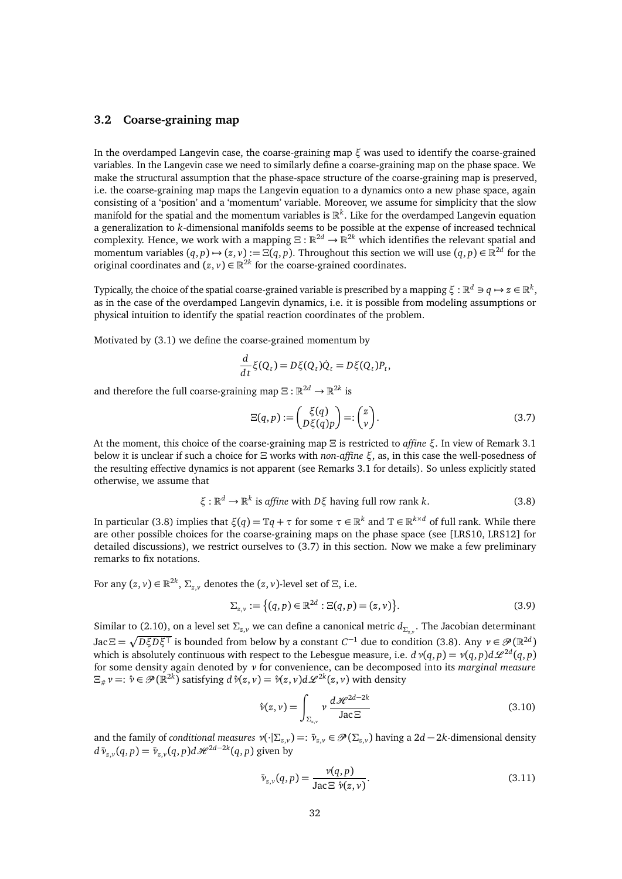## <span id="page-31-0"></span>**3.2 Coarse-graining map**

In the overdamped Langevin case, the coarse-graining map *ξ* was used to identify the coarse-grained variables. In the Langevin case we need to similarly define a coarse-graining map on the phase space. We make the structural assumption that the phase-space structure of the coarse-graining map is preserved, i.e. the coarse-graining map maps the Langevin equation to a dynamics onto a new phase space, again consisting of a 'position' and a 'momentum' variable. Moreover, we assume for simplicity that the slow manifold for the spatial and the momentum variables is R *k* . Like for the overdamped Langevin equation a generalization to *k*-dimensional manifolds seems to be possible at the expense of increased technical complexity. Hence, we work with a mapping  $\Xi : \mathbb{R}^{2d} \to \mathbb{R}^{2k}$  which identifies the relevant spatial and momentum variables  $(q, p) \mapsto (z, v) := \Xi(q, p)$ . Throughout this section we will use  $(q, p) \in \mathbb{R}^{2d}$  for the original coordinates and  $(z, v) \in \mathbb{R}^{2k}$  for the coarse-grained coordinates.

Typically, the choice of the spatial coarse-grained variable is prescribed by a mapping  $\xi:\R^d\ni q\mapsto z\in\R^k,$ as in the case of the overdamped Langevin dynamics, i.e. it is possible from modeling assumptions or physical intuition to identify the spatial reaction coordinates of the problem.

Motivated by [\(3.1\)](#page-30-2) we define the coarse-grained momentum by

$$
\frac{d}{dt}\xi(Q_t) = D\xi(Q_t)\dot{Q}_t = D\xi(Q_t)P_t,
$$

and therefore the full coarse-graining map  $\Xi : \mathbb{R}^{2d} \to \mathbb{R}^{2k}$  is

<span id="page-31-2"></span>
$$
\Xi(q,p) := \begin{pmatrix} \xi(q) \\ D\xi(q)p \end{pmatrix} =: \begin{pmatrix} z \\ v \end{pmatrix}.
$$
 (3.7)

At the moment, this choice of the coarse-graining map *Ξ* is restricted to *affine ξ*. In view of Remark [3.1](#page-32-1) below it is unclear if such a choice for *Ξ* works with *non-affine ξ*, as, in this case the well-posedness of the resulting effective dynamics is not apparent (see Remarks [3.1](#page-32-1) for details). So unless explicitly stated otherwise, we assume that

<span id="page-31-1"></span>
$$
\xi: \mathbb{R}^d \to \mathbb{R}^k \text{ is affine with } D\xi \text{ having full row rank } k. \tag{3.8}
$$

In particular [\(3.8\)](#page-31-1) implies that  $\xi(q)=\mathbb{T} q+\tau$  for some  $\tau\in\mathbb{R}^k$  and  $\mathbb{T}\in\mathbb{R}^{k\times d}$  of full rank. While there are other possible choices for the coarse-graining maps on the phase space (see [\[LRS10,](#page-45-12) [LRS12\]](#page-45-18) for detailed discussions), we restrict ourselves to [\(3.7\)](#page-31-2) in this section. Now we make a few preliminary remarks to fix notations.

For any  $(z, v) \in \mathbb{R}^{2k}$ ,  $\Sigma_{z, v}$  denotes the  $(z, v)$ -level set of  $\Xi$ , i.e.

$$
\Sigma_{z,v} := \{(q,p) \in \mathbb{R}^{2d} : \Xi(q,p) = (z,v)\}.
$$
\n(3.9)

Similar to [\(2.10\)](#page-10-2), on a level set *Σz*,*<sup>v</sup>* we can define a canonical metric *d<sup>Σ</sup>z*,*<sup>v</sup>* . The Jacobian determinant  $\text{Jac}\,\Xi=\sqrt{D\xi D\xi^\top}$  is bounded from below by a constant  $C^{-1}$  due to condition [\(3.8\)](#page-31-1). Any  $\nu\in\mathscr{P}(\mathbb{R}^{2d})$ which is absolutely continuous with respect to the Lebesgue measure, i.e.  $d\text{ }v(q,p) = v(q,p)d\mathscr{L}^{2d}(q,p)$ for some density again denoted by *ν* for convenience, can be decomposed into its *marginal measure*  $\Xi_{\#} \nu =: \hat{\nu} \in \mathscr{P}(\mathbb{R}^{2k})$  satisfying  $d\hat{\nu}(z, \nu) = \hat{\nu}(z, \nu) d\mathscr{L}^{2k}(z, \nu)$  with density

$$
\hat{\nu}(z,\nu) = \int_{\Sigma_{z,\nu}} \nu \, \frac{d\mathcal{H}^{2d-2k}}{\text{Jac}\,\Xi} \tag{3.10}
$$

and the family of *conditional measures*  $\nu(\cdot|\Sigma_{z,y}) =: \bar{\nu}_{z,y} \in \mathscr{P}(\Sigma_{z,y})$  having a 2*d* − 2*k*-dimensional density *d*  $\bar{v}_{z,v}(q, p) = \bar{v}_{z,v}(q, p) d\mathcal{H}^{2d-2k}(q, p)$  given by

$$
\bar{\nu}_{z,v}(q,p) = \frac{\nu(q,p)}{\text{Jac}\,\Xi \ \hat{\nu}(z,v)}.\tag{3.11}
$$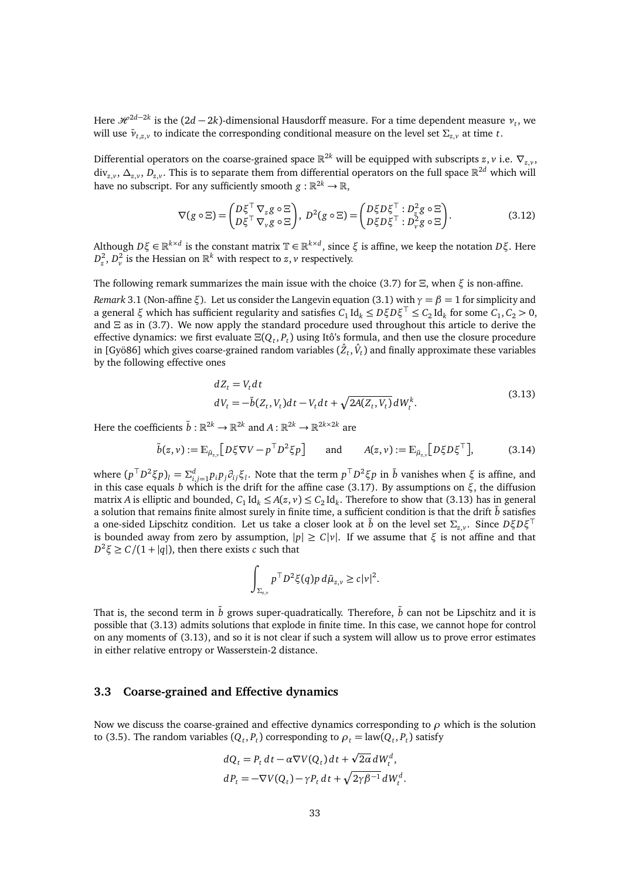Here  $\mathscr{H}^{2d-2k}$  is the  $(2d-2k)$ -dimensional Hausdorff measure. For a time dependent measure  $v_t$ , we will use  $\bar{v}_{t,z,v}$  to indicate the corresponding conditional measure on the level set  $\Sigma_{z,v}$  at time *t*.

Differential operators on the coarse-grained space  $\mathbb{R}^{2k}$  will be equipped with subscripts  $z, v$  i.e.  $\nabla_{z,v}$ , div*z*,*<sup>v</sup>* , *∆z*,*<sup>v</sup>* , *Dz*,*<sup>v</sup>* . This is to separate them from differential operators on the full space R <sup>2</sup>*<sup>d</sup>* which will have no subscript. For any sufficiently smooth  $g:\mathbb{R}^{2k}\to\mathbb{R},$ 

$$
\nabla(g \circ \Xi) = \begin{pmatrix} D\xi^{\top} \nabla_z g \circ \Xi \\ D\xi^{\top} \nabla_v g \circ \Xi \end{pmatrix}, \ D^2(g \circ \Xi) = \begin{pmatrix} D\xi D\xi^{\top} : D_z^2 g \circ \Xi \\ D\xi D\xi^{\top} : D_v^2 g \circ \Xi \end{pmatrix}.
$$
 (3.12)

Although  $D\xi \in \mathbb{R}^{k \times d}$  is the constant matrix  $\mathbb{T} \in \mathbb{R}^{k \times d}$ , since  $\xi$  is affine, we keep the notation  $D\xi$ . Here  $D_z^2$ ,  $D_v^2$  is the Hessian on  $\mathbb{R}^k$  with respect to *z*, *v* respectively.

The following remark summarizes the main issue with the choice [\(3.7\)](#page-31-2) for  $\Xi$ , when  $\xi$  is non-affine.

<span id="page-32-1"></span>*Remark* 3.1 (Non-affine *ξ*). Let us consider the Langevin equation [\(3.1\)](#page-30-2) with  $\gamma = \beta = 1$  for simplicity and  $\alpha$  general  $\xi$  which has sufficient regularity and satisfies  $C_1 \text{Id}_k \leq D \xi D \xi^\top \leq C_2 \text{Id}_k$  for some  $C_1, C_2 > 0$ , and *Ξ* as in [\(3.7\)](#page-31-2). We now apply the standard procedure used throughout this article to derive the effective dynamics: we first evaluate *Ξ*(*Q<sup>t</sup>* , *P<sup>t</sup>* ) using Itô's formula, and then use the closure procedure in [\[Gyö86\]](#page-45-11) which gives coarse-grained random variables  $(\hat{Z}_t, \hat{V}_t)$  and finally approximate these variables by the following effective ones

<span id="page-32-2"></span>
$$
dZ_t = V_t dt
$$
  
\n
$$
dV_t = -\tilde{b}(Z_t, V_t)dt - V_t dt + \sqrt{2A(Z_t, V_t)}dW_t^k.
$$
\n(3.13)

Here the coefficients  $\tilde{b} : \mathbb{R}^{2k} \to \mathbb{R}^{2k}$  and  $A : \mathbb{R}^{2k} \to \mathbb{R}^{2k \times 2k}$  are

$$
\tilde{b}(z,\nu) := \mathbb{E}_{\tilde{\mu}_{z,\nu}} \big[ D\xi \nabla V - p^{\top} D^2 \xi p \big] \quad \text{and} \quad A(z,\nu) := \mathbb{E}_{\tilde{\mu}_{z,\nu}} \big[ D\xi D\xi^{\top} \big], \tag{3.14}
$$

where  $(p^T D^2 \xi p)_l = \sum_{i,j=1}^d p_i p_j \partial_{ij} \xi_l$ . Note that the term  $p^T D^2 \xi p$  in  $\tilde{b}$  vanishes when  $\xi$  is affine, and in this case equals *b* which is the drift for the affine case [\(3.17\)](#page-33-0). By assumptions on  $\xi$ , the diffusion matrix *A* is elliptic and bounded,  $C_1$  Id<sub>k</sub>  $\leq A(z, v) \leq C_2$  Id<sub>k</sub>. Therefore to show that [\(3.13\)](#page-32-2) has in general a solution that remains finite almost surely in finite time, a sufficient condition is that the drift  $\ddot{b}$  satisfies a one-sided Lipschitz condition. Let us take a closer look at  $\tilde{b}$  on the level set  $\Sigma_{z,y}$ . Since  $D\xi D\xi^{\top}$ is bounded away from zero by assumption,  $|p| \ge C |v|$ . If we assume that  $\xi$  is not affine and that  $D^2$ *ξ* ≥ *C*/(1 + |*q*|), then there exists *c* such that

$$
\int_{\Sigma_{z,v}} p^\top D^2 \xi(q) p \, d\bar{\mu}_{z,v} \ge c |v|^2.
$$

That is, the second term in  $\tilde{b}$  grows super-quadratically. Therefore,  $\tilde{b}$  can not be Lipschitz and it is possible that [\(3.13\)](#page-32-2) admits solutions that explode in finite time. In this case, we cannot hope for control on any moments of [\(3.13\)](#page-32-2), and so it is not clear if such a system will allow us to prove error estimates in either relative entropy or Wasserstein-2 distance.

## <span id="page-32-0"></span>**3.3 Coarse-grained and Effective dynamics**

Now we discuss the coarse-grained and effective dynamics corresponding to *ρ* which is the solution to [\(3.5\)](#page-30-3). The random variables  $(Q_t, P_t)$  corresponding to  $\rho_t = \text{law}(Q_t, P_t)$  satisfy

$$
dQ_t = P_t dt - \alpha \nabla V(Q_t) dt + \sqrt{2\alpha} dW_t^d,
$$
  
\n
$$
dP_t = -\nabla V(Q_t) - \gamma P_t dt + \sqrt{2\gamma \beta^{-1}} dW_t^d.
$$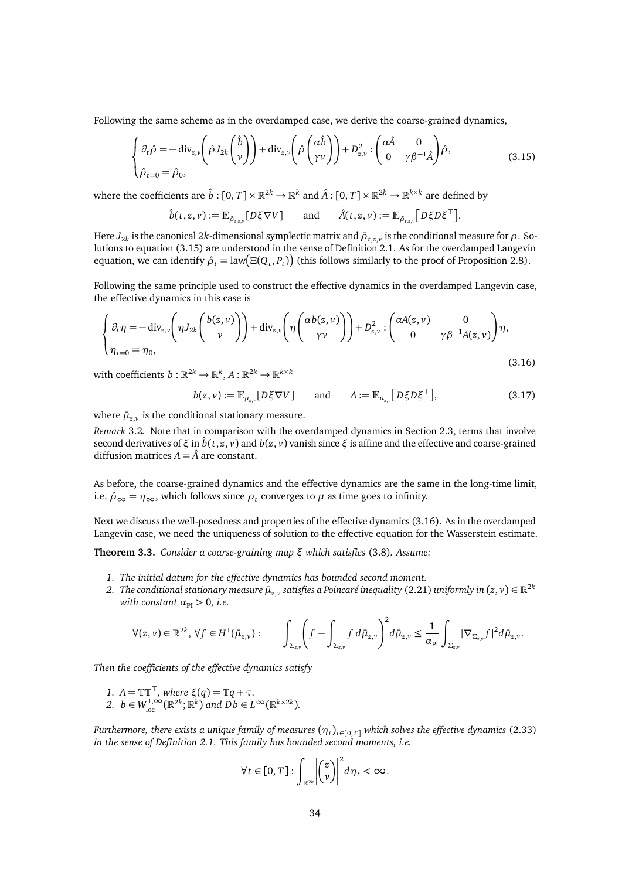Following the same scheme as in the overdamped case, we derive the coarse-grained dynamics,

<span id="page-33-1"></span>
$$
\begin{cases} \partial_t \hat{\rho} = -\operatorname{div}_{z,\nu} \left( \hat{\rho} J_{2k} \begin{pmatrix} \hat{b} \\ \nu \end{pmatrix} \right) + \operatorname{div}_{z,\nu} \left( \hat{\rho} \begin{pmatrix} \alpha \hat{b} \\ \gamma \nu \end{pmatrix} \right) + D_{z,\nu}^2 : \begin{pmatrix} \alpha \hat{A} & 0 \\ 0 & \gamma \beta^{-1} \hat{A} \end{pmatrix} \hat{\rho}, \\ \hat{\rho}_{t=0} = \hat{\rho}_0, \end{cases}
$$
(3.15)

where the coefficients are  $\hat{b}:[0,T]\times\mathbb{R}^{2k}\to\mathbb{R}^k$  and  $\hat{A}:[0,T]\times\mathbb{R}^{2k}\to\mathbb{R}^{k\times k}$  are defined by

$$
\hat{b}(t,z,v) := \mathbb{E}_{\bar{\rho}_{t,z,v}}[D\xi \nabla V] \quad \text{and} \quad \hat{A}(t,z,v) := \mathbb{E}_{\bar{\rho}_{t,z,v}}[D\xi D\xi^{\top}].
$$

Here  $J_{2k}$  is the canonical 2 $k$ -dimensional symplectic matrix and  $\bar\rho_{t,z,v}$  is the conditional measure for  $\rho$  . Solutions to equation [\(3.15\)](#page-33-1) are understood in the sense of Definition [2.1.](#page-8-4) As for the overdamped Langevin equation, we can identify  $\hat{\rho}_t = \text{law}(\Xi(Q_t, P_t))$  (this follows similarly to the proof of Proposition [2.8\)](#page-13-1).

Following the same principle used to construct the effective dynamics in the overdamped Langevin case, the effective dynamics in this case is

<span id="page-33-2"></span>
$$
\begin{cases} \partial_t \eta = -\operatorname{div}_{z,\nu} \left( \eta J_{2k} \begin{pmatrix} b(z,\nu) \\ \nu \end{pmatrix} \right) + \operatorname{div}_{z,\nu} \left( \eta \begin{pmatrix} \alpha b(z,\nu) \\ \gamma \nu \end{pmatrix} \right) + D_{z,\nu}^2 : \begin{pmatrix} \alpha A(z,\nu) & 0 \\ 0 & \gamma \beta^{-1} A(z,\nu) \end{pmatrix} \eta, \\ \eta_{t=0} = \eta_0, \end{cases}
$$
\n(3.16)

with coefficients  $b: \mathbb{R}^{2k} \to \mathbb{R}^k, A: \mathbb{R}^{2k} \to \mathbb{R}^{k \times k}$ 

<span id="page-33-0"></span>
$$
b(z, v) := \mathbb{E}_{\bar{\mu}_{z,v}}[D\xi \nabla V] \quad \text{and} \quad A := \mathbb{E}_{\bar{\mu}_{z,v}}[D\xi D\xi^{\top}], \tag{3.17}
$$

where  $\bar{\mu}_{z,v}$  is the conditional stationary measure.

*Remark* 3.2*.* Note that in comparison with the overdamped dynamics in Section [2.3,](#page-13-0) terms that involve second derivatives of *ξ* in  $\hat{b}(t, z, v)$  and  $b(z, v)$  vanish since *ξ* is affine and the effective and coarse-grained diffusion matrices  $A = \hat{A}$  are constant.

As before, the coarse-grained dynamics and the effective dynamics are the same in the long-time limit, i.e.  $\hat{\rho}_{\infty} = \eta_{\infty}$ , which follows since  $\rho_t$  converges to  $\mu$  as time goes to infinity.

Next we discuss the well-posedness and properties of the effective dynamics [\(3.16\)](#page-33-2). As in the overdamped Langevin case, we need the uniqueness of solution to the effective equation for the Wasserstein estimate.

**Theorem 3.3.** *Consider a coarse-graining map ξ which satisfies* [\(3.8\)](#page-31-1)*. Assume:*

- *1. The initial datum for the effective dynamics has bounded second moment.*
- 2. The conditional stationary measure  $\bar\mu_{z,v}$  satisfies a Poincaré inequality [\(2.21\)](#page-12-1) uniformly in  $(z,v)\in\mathbb{R}^{2k}$ *with constant*  $\alpha_{\text{PI}} > 0$ *, i.e.*

$$
\forall (z,v)\in\mathbb{R}^{2k},\,\forall f\in H^1(\bar{\mu}_{z,v}): \qquad \int_{\Sigma_{z,v}}\left(f-\int_{\Sigma_{z,v}}f\,d\bar{\mu}_{z,v}\right)^2d\bar{\mu}_{z,v}\leq \frac{1}{\alpha_{\text{PI}}}\int_{\Sigma_{z,v}}|\nabla_{\Sigma_{z,v}}f|^2d\bar{\mu}_{z,v}.
$$

*Then the coefficients of the effective dynamics satisfy*

*1.*  $A = \mathbb{T} \mathbb{T}^{\top}$ *, where*  $\xi(q) = \mathbb{T} q + \tau$ *.* 2.  $b \in W_{\text{loc}}^{1,\infty}(\mathbb{R}^{2k}; \mathbb{R}^k)$  and  $Db \in L^{\infty}(\mathbb{R}^{k \times 2k})$ .

*Furthermore, there exists a unique family of measures*  $(\eta_t)_{t\in[0,T]}$  *which solves the effective dynamics [\(2.33\)](#page-14-2) in the sense of Definition [2.1.](#page-8-4) This family has bounded second moments, i.e.*

$$
\forall t \in [0, T]: \int_{\mathbb{R}^{2k}} \left| \binom{z}{\nu} \right|^2 d\eta_t < \infty.
$$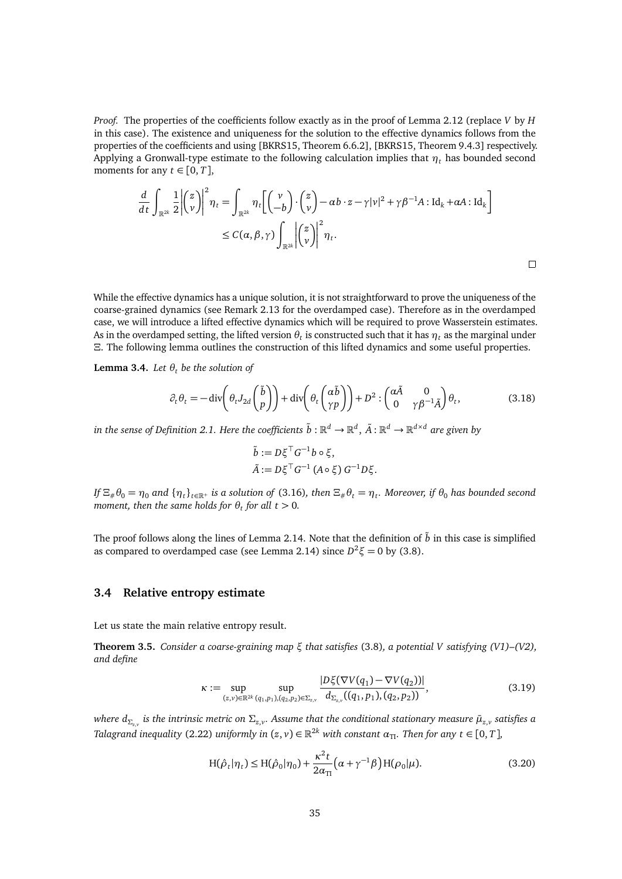*Proof.* The properties of the coefficients follow exactly as in the proof of Lemma [2.12](#page-16-1) (replace *V* by *H* in this case). The existence and uniqueness for the solution to the effective dynamics follows from the properties of the coefficients and using [\[BKRS15,](#page-44-6) Theorem 6.6.2], [BKRS15, Theorem 9.4.3] respectively. Applying a Gronwall-type estimate to the following calculation implies that *η<sup>t</sup>* has bounded second moments for any  $t \in [0, T]$ ,

$$
\frac{d}{dt} \int_{\mathbb{R}^{2k}} \frac{1}{2} \left| \begin{pmatrix} z \\ v \end{pmatrix} \right|^2 \eta_t = \int_{\mathbb{R}^{2k}} \eta_t \left[ \begin{pmatrix} v \\ -b \end{pmatrix} \cdot \begin{pmatrix} z \\ v \end{pmatrix} - \alpha b \cdot z - \gamma |v|^2 + \gamma \beta^{-1} A : \mathrm{Id}_k + \alpha A : \mathrm{Id}_k \right] \leq C(\alpha, \beta, \gamma) \int_{\mathbb{R}^{2k}} \left| \begin{pmatrix} z \\ v \end{pmatrix} \right|^2 \eta_t.
$$

While the effective dynamics has a unique solution, it is not straightforward to prove the uniqueness of the coarse-grained dynamics (see Remark [2.13](#page-17-1) for the overdamped case). Therefore as in the overdamped case, we will introduce a lifted effective dynamics which will be required to prove Wasserstein estimates. As in the overdamped setting, the lifted version  $\theta_t$  is constructed such that it has  $\eta_t$  as the marginal under *Ξ*. The following lemma outlines the construction of this lifted dynamics and some useful properties.

**Lemma 3.4.** *Let*  $\theta_t$  *be the solution of* 

<span id="page-34-3"></span>
$$
\partial_t \theta_t = -\operatorname{div}\left(\theta_t J_{2d}\begin{pmatrix} \tilde{b} \\ p \end{pmatrix}\right) + \operatorname{div}\left(\theta_t \begin{pmatrix} \alpha \tilde{b} \\ \gamma p \end{pmatrix}\right) + D^2 : \begin{pmatrix} \alpha \tilde{A} & 0 \\ 0 & \gamma \beta^{-1} \tilde{A} \end{pmatrix} \theta_t,
$$
(3.18)

 $\Box$ 

 $i$ n the sense of Definition [2.1.](#page-8-4) Here the coefficients  $\tilde{b}:\mathbb{R}^d\to\mathbb{R}^d,\,\tilde{A}:\mathbb{R}^d\to\mathbb{R}^{d\times d}$  are given by

$$
\tilde{b} := D\xi^{\top} G^{-1} b \circ \xi,
$$
  

$$
\tilde{A} := D\xi^{\top} G^{-1} (A \circ \xi) G^{-1} D\xi.
$$

If  $\Xi_{\#}\theta_0=\eta_0$  and  $\{\eta_t\}_{t\in\mathbb R^+}$  is a solution of [\(3.16\)](#page-33-2), then  $\Xi_{\#}\theta_t=\eta_t$ . Moreover, if  $\theta_0$  has bounded second *moment, then the same holds for θ<sup>t</sup> for all t >* 0*.*

The proof follows along the lines of Lemma [2.14.](#page-17-2) Note that the definition of  $\tilde{b}$  in this case is simplified as compared to overdamped case (see Lemma [2.14\)](#page-17-2) since  $D^2 \xi = 0$  by [\(3.8\)](#page-31-1).

#### <span id="page-34-0"></span>**3.4 Relative entropy estimate**

Let us state the main relative entropy result.

<span id="page-34-1"></span>**Theorem 3.5.** *Consider a coarse-graining map ξ that satisfies* [\(3.8\)](#page-31-1)*, a potential V satisfying [\(V1\)–](#page-9-1)[\(V2\),](#page-9-8) and define*

$$
\kappa := \sup_{(z,v)\in\mathbb{R}^{2k}} \sup_{(q_1,p_1),(q_2,p_2)\in\Sigma_{z,v}} \frac{|D\xi(\nabla V(q_1) - \nabla V(q_2))|}{d_{\Sigma_{z,v}}((q_1,p_1),(q_2,p_2))},\tag{3.19}
$$

*where d<sup>Σ</sup>z*,*<sup>v</sup> is the intrinsic metric on Σz*,*<sup>v</sup> . Assume that the conditional stationary measure µ*¯*z*,*<sup>v</sup> satisfies a Talagrand inequality* [\(2.22\)](#page-12-2) *uniformly in*  $(z, v) \in \mathbb{R}^{2k}$  *with constant*  $\alpha_{\text{TI}}$ *. Then for any*  $t \in [0, T]$ *,* 

<span id="page-34-4"></span><span id="page-34-2"></span>
$$
H(\hat{\rho}_t|\eta_t) \le H(\hat{\rho}_0|\eta_0) + \frac{\kappa^2 t}{2\alpha_{\rm TI}}\Big(\alpha + \gamma^{-1}\beta\Big)H(\rho_0|\mu). \tag{3.20}
$$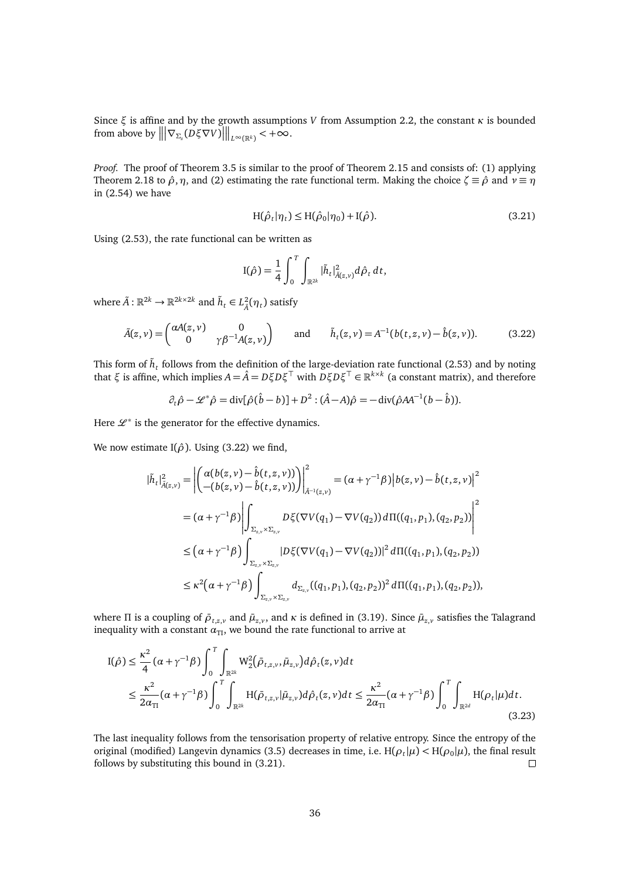Since  $ξ$  is affine and by the growth assumptions *V* from Assumption [2.2,](#page-9-6) the constant *κ* is bounded from above by  $\left\| \left| \nabla_{\Sigma_z}(D\xi \nabla V) \right| \right\|_{L^{\infty}(\mathbb{R}^k)} < +\infty$ .

*Proof.* The proof of Theorem [3.5](#page-34-1) is similar to the proof of Theorem [2.15](#page-18-1) and consists of: (1) applying Theorem [2.18](#page-20-0) to  $\hat{\rho}$ ,  $\eta$ , and (2) estimating the rate functional term. Making the choice  $\zeta \equiv \hat{\rho}$  and  $\nu \equiv \eta$ in [\(2.54\)](#page-20-1) we have

<span id="page-35-1"></span>
$$
H(\hat{\rho}_t|\eta_t) \le H(\hat{\rho}_0|\eta_0) + I(\hat{\rho}).
$$
\n(3.21)

Using [\(2.53\)](#page-19-3), the rate functional can be written as

$$
I(\hat{\rho}) = \frac{1}{4} \int_0^T \int_{\mathbb{R}^{2k}} |\tilde{h}_t|_{\tilde{A}(z,v)}^2 d\hat{\rho}_t dt,
$$

where  $\tilde{A}: \mathbb{R}^{2k} \to \mathbb{R}^{2k \times 2k}$  and  $\tilde{h}_t \in L^2_{\tilde{A}}(\eta_t)$  satisfy

<span id="page-35-0"></span>
$$
\tilde{A}(z,\nu) = \begin{pmatrix} \alpha A(z,\nu) & 0 \\ 0 & \gamma \beta^{-1} A(z,\nu) \end{pmatrix} \quad \text{and} \quad \tilde{h}_t(z,\nu) = A^{-1}(b(t,z,\nu) - \hat{b}(z,\nu)). \tag{3.22}
$$

This form of  $\tilde{h}_t$  follows from the definition of the large-deviation rate functional [\(2.53\)](#page-19-3) and by noting that  $\xi$  is affine, which implies  $A = \hat{A} = D\xi D\xi^{\top}$  with  $D\xi D\xi^{\top} \in \mathbb{R}^{k \times k}$  (a constant matrix), and therefore

$$
\partial_t \hat{\rho} - \mathcal{L}^* \hat{\rho} = \text{div}[\hat{\rho}(\hat{b} - b)] + D^2 : (\hat{A} - A)\hat{\rho} = -\text{div}(\hat{\rho} A A^{-1} (b - \hat{b})).
$$

Here  $\mathcal{L}^*$  is the generator for the effective dynamics.

We now estimate I( $\hat{\rho}$ ). Using [\(3.22\)](#page-35-0) we find,

$$
\begin{split}\n|\tilde{h}_{t}|_{\tilde{A}(z,v)}^{2} &= \left| \left( \frac{\alpha(b(z,v) - \hat{b}(t,z,v))}{-(b(z,v) - \hat{b}(t,z,v))} \right) \right|_{\tilde{A}^{-1}(z,v)}^{2} = (\alpha + \gamma^{-1}\beta) \left| b(z,v) - \hat{b}(t,z,v) \right|^{2} \\
&= (\alpha + \gamma^{-1}\beta) \left| \int_{\Sigma_{z,v} \times \Sigma_{z,v}} D\xi(\nabla V(q_{1}) - \nabla V(q_{2})) d\Pi((q_{1},p_{1}), (q_{2},p_{2})) \right|^{2} \\
&\leq (\alpha + \gamma^{-1}\beta) \int_{\Sigma_{z,v} \times \Sigma_{z,v}} |D\xi(\nabla V(q_{1}) - \nabla V(q_{2}))|^{2} d\Pi((q_{1},p_{1}), (q_{2},p_{2})) \\
&\leq \kappa^{2} (\alpha + \gamma^{-1}\beta) \int_{\Sigma_{z,v} \times \Sigma_{z,v}} d_{\Sigma_{z,v}} ((q_{1},p_{1}), (q_{2},p_{2}))^{2} d\Pi((q_{1},p_{1}), (q_{2},p_{2})),\n\end{split}
$$

where Π is a coupling of  $\bar{\rho}_{t,z,v}$  and  $\bar{\mu}_{z,v}$ , and  $\kappa$  is defined in [\(3.19\)](#page-34-2). Since  $\bar{\mu}_{z,v}$  satisfies the Talagrand inequality with a constant  $\alpha_{\text{TI}}$ , we bound the rate functional to arrive at

$$
I(\hat{\rho}) \leq \frac{\kappa^2}{4} (\alpha + \gamma^{-1}\beta) \int_0^T \int_{\mathbb{R}^{2k}} W_2^2(\bar{\rho}_{t,z,\nu}, \bar{\mu}_{z,\nu}) d\hat{\rho}_t(z,\nu) dt
$$
  

$$
\leq \frac{\kappa^2}{2\alpha_{\text{TI}}} (\alpha + \gamma^{-1}\beta) \int_0^T \int_{\mathbb{R}^{2k}} H(\bar{\rho}_{t,z,\nu}|\bar{\mu}_{z,\nu}) d\hat{\rho}_t(z,\nu) dt \leq \frac{\kappa^2}{2\alpha_{\text{TI}}} (\alpha + \gamma^{-1}\beta) \int_0^T \int_{\mathbb{R}^{2d}} H(\rho_t|\mu) dt.
$$
\n(3.23)

The last inequality follows from the tensorisation property of relative entropy. Since the entropy of the original (modified) Langevin dynamics [\(3.5\)](#page-30-3) decreases in time, i.e.  $H(\rho_t|\mu) < H(\rho_0|\mu)$ , the final result follows by substituting this bound in [\(3.21\)](#page-35-1).  $\Box$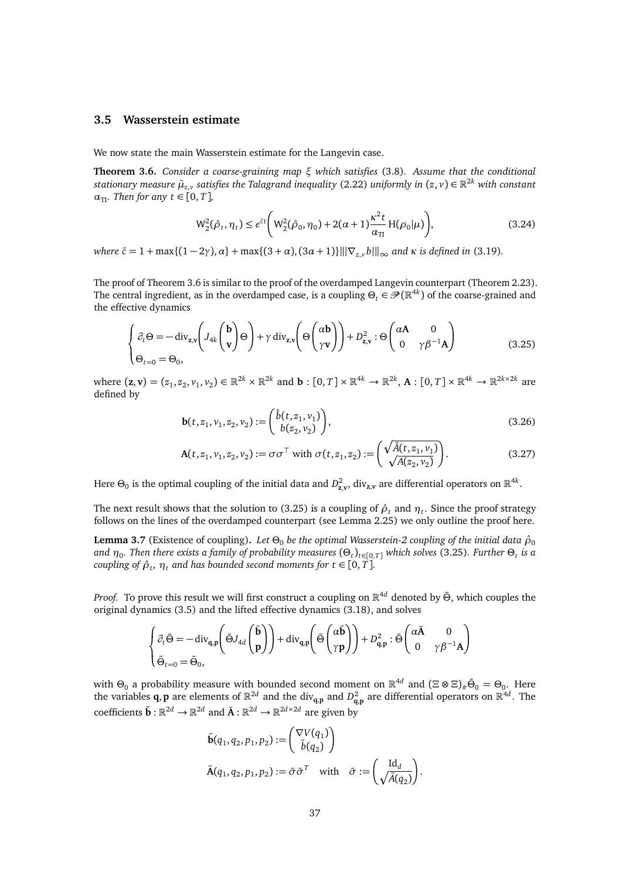## <span id="page-36-0"></span>**3.5 Wasserstein estimate**

We now state the main Wasserstein estimate for the Langevin case.

<span id="page-36-1"></span>**Theorem 3.6.** *Consider a coarse-graining map ξ which satisfies* [\(3.8\)](#page-31-1)*. Assume that the conditional*  $s$ tationary measure  $\bar{\mu}_{z,v}$  satisfies the Talagrand inequality [\(2.22\)](#page-12-2) uniformly in  $(z,v)\in\mathbb{R}^{2k}$  with constant  $\alpha_{\text{TI}}$ *. Then for any*  $t \in [0, T]$ *,* 

<span id="page-36-3"></span>
$$
W_2^2(\hat{\rho}_t, \eta_t) \le e^{\tilde{c}t} \bigg( W_2^2(\hat{\rho}_0, \eta_0) + 2(\alpha + 1) \frac{\kappa^2 t}{\alpha_{\text{TI}}} H(\rho_0 | \mu) \bigg), \tag{3.24}
$$

*where*  $\tilde{c} = 1 + \max\{(1-2\gamma), \alpha\} + \max\{(3+\alpha), (3\alpha+1)\}\|\nabla_{\alpha} v b\|\_\infty$  *and*  $\kappa$  *is defined in* [\(3.19\)](#page-34-2)*.* 

The proof of Theorem [3.6](#page-36-1) is similar to the proof of the overdamped Langevin counterpart (Theorem [2.23\)](#page-25-1). The central ingredient, as in the overdamped case, is a coupling  $\Theta_t\in\mathscr{P}(\R^{4k})$  of the coarse-grained and the effective dynamics

<span id="page-36-2"></span>
$$
\begin{cases} \partial_t \Theta = -\operatorname{div}_{z,v} \left( J_{4k} \begin{pmatrix} \mathbf{b} \\ \mathbf{v} \end{pmatrix} \Theta \right) + \gamma \operatorname{div}_{z,v} \left( \Theta \begin{pmatrix} \alpha \mathbf{b} \\ \gamma \mathbf{v} \end{pmatrix} \right) + D_{z,v}^2 : \Theta \begin{pmatrix} \alpha \mathbf{A} & 0 \\ 0 & \gamma \beta^{-1} \mathbf{A} \end{pmatrix} \\ \Theta_{t=0} = \Theta_0, \end{cases}
$$
(3.25)

where  $(\mathbf{z}, \mathbf{v}) = (z_1, z_2, v_1, v_2) \in \mathbb{R}^{2k} \times \mathbb{R}^{2k}$  and  $\mathbf{b} : [0, T] \times \mathbb{R}^{4k} \to \mathbb{R}^{2k}$ ,  $\mathbf{A} : [0, T] \times \mathbb{R}^{4k} \to \mathbb{R}^{2k \times 2k}$  are defined by

$$
\mathbf{b}(t, z_1, v_1, z_2, v_2) := \begin{pmatrix} \hat{b}(t, z_1, v_1) \\ b(z_2, v_2) \end{pmatrix},\tag{3.26}
$$

$$
\mathbf{A}(t, z_1, v_1, z_2, v_2) := \sigma \sigma^{\top} \text{ with } \sigma(t, z_1, z_2) := \begin{pmatrix} \sqrt{\hat{A}(t, z_1, v_1)} \\ \sqrt{A(z_2, v_2)} \end{pmatrix}.
$$
 (3.27)

Here  $\Theta_0$  is the optimal coupling of the initial data and  $D^2_{z,v}$ , div<sub>z,v</sub> are differential operators on  $\mathbb{R}^{4k}$ .

The next result shows that the solution to [\(3.25\)](#page-36-2) is a coupling of  $\hat{\rho}_t$  and  $\eta_t$ . Since the proof strategy follows on the lines of the overdamped counterpart (see Lemma [2.25\)](#page-26-0) we only outline the proof here.

**Lemma 3.7** (Existence of coupling). Let  $\Theta_0$  be the optimal Wasserstein-2 coupling of the initial data  $\hat{\rho}_0$ *and η*<sup>0</sup> *. Then there exists a family of probability measures* (*Θ<sup>t</sup>* )*t*∈[0,*T*] *which solves* [\(3.25\)](#page-36-2)*. Further Θ<sup>t</sup> is a*  $\mathit{coupling\ of\ } \hat{\rho}_t, \ \eta_t \ \text{and\ has\ bounded\ second\ moments\ for\ } t \in [0,T].$ 

*Proof.* To prove this result we will first construct a coupling on R <sup>4</sup>*<sup>d</sup>* denoted by *Θ*˜ , which couples the original dynamics [\(3.5\)](#page-30-3) and the lifted effective dynamics [\(3.18\)](#page-34-3), and solves

$$
\begin{cases} \partial_t \tilde{\Theta} = -\operatorname{div}_{\mathbf{q},\mathbf{p}} \left( \tilde{\Theta} J_{4d} \begin{pmatrix} \tilde{\mathbf{b}} \\ \mathbf{p} \end{pmatrix} \right) + \operatorname{div}_{\mathbf{q},\mathbf{p}} \left( \tilde{\Theta} \begin{pmatrix} \alpha \tilde{\mathbf{b}} \\ \gamma \mathbf{p} \end{pmatrix} \right) + D_{\mathbf{q},\mathbf{p}}^2 : \tilde{\Theta} \begin{pmatrix} \alpha \tilde{\mathbf{A}} & 0 \\ 0 & \gamma \beta^{-1} \mathbf{A} \end{pmatrix} \\ \tilde{\Theta}_{t=0} = \tilde{\Theta}_0, \end{cases}
$$

with  $\Theta_0$  a probability measure with bounded second moment on  $\mathbb{R}^{4d}$  and  $(\Xi \otimes \Xi)_\# \tilde{\Theta}_0 = \Theta_0$ . Here the variables **q**, **p** are elements of  $\mathbb{R}^{2d}$  and the div<sub>q,p</sub> and  $D_{q,p}^2$  are differential operators on  $\mathbb{R}^{4d}$ . The coefficients  $\tilde{\mathbf{b}} : \mathbb{R}^{2d} \to \mathbb{R}^{2d}$  and  $\tilde{\mathbf{A}} : \mathbb{R}^{2d} \to \mathbb{R}^{2d \times 2d}$  are given by

$$
\tilde{\mathbf{b}}(q_1, q_2, p_1, p_2) := \begin{pmatrix} \nabla V(q_1) \\ \tilde{b}(q_2) \end{pmatrix}
$$

$$
\tilde{\mathbf{A}}(q_1, q_2, p_1, p_2) := \tilde{\sigma} \tilde{\sigma}^T \quad \text{with} \quad \tilde{\sigma} := \begin{pmatrix} \mathrm{Id}_d \\ \sqrt{\tilde{A}(q_2)} \end{pmatrix}.
$$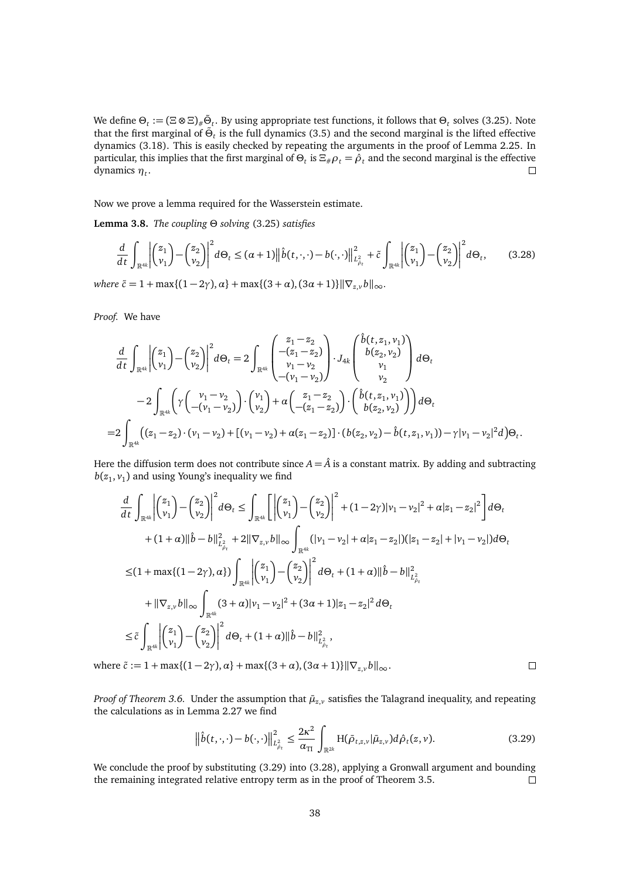We define  $\Theta_t := (\Xi \otimes \Xi)_{\#} \tilde{\Theta}_t$ . By using appropriate test functions, it follows that  $\Theta_t$  solves [\(3.25\)](#page-36-2). Note that the first marginal of  $\tilde{\Theta}_t$  is the full dynamics [\(3.5\)](#page-30-3) and the second marginal is the lifted effective dynamics [\(3.18\)](#page-34-3). This is easily checked by repeating the arguments in the proof of Lemma [2.25.](#page-26-0) In particular, this implies that the first marginal of  $\Theta_t$  is  $\Xi_\#\rho_t=\hat\rho_t$  and the second marginal is the effective dynamics *η<sup>t</sup>* .

Now we prove a lemma required for the Wasserstein estimate.

**Lemma 3.8.** *The coupling Θ solving* [\(3.25\)](#page-36-2) *satisfies*

<span id="page-37-1"></span>
$$
\frac{d}{dt} \int_{\mathbb{R}^{4k}} \left| \binom{z_1}{v_1} - \binom{z_2}{v_2} \right|^2 d\Theta_t \leq (\alpha + 1) \left\| \widehat{b}(t, \cdot, \cdot) - b(\cdot, \cdot) \right\|_{L^2_{\beta_t}}^2 + \widetilde{c} \int_{\mathbb{R}^{4k}} \left| \binom{z_1}{v_1} - \binom{z_2}{v_2} \right|^2 d\Theta_t, \tag{3.28}
$$

*where*  $\tilde{c} = 1 + \max\{(1 - 2\gamma), \alpha\} + \max\{(3 + \alpha), (3\alpha + 1)\}\|\nabla_{z} v\|_{\infty}$ .

*Proof.* We have

$$
\frac{d}{dt} \int_{\mathbb{R}^{4k}} \left| \binom{z_1}{v_1} - \binom{z_2}{v_2} \right|^2 d\Theta_t = 2 \int_{\mathbb{R}^{4k}} \binom{z_1 - z_2}{v_1 - v_2} \cdot J_{4k} \binom{\hat{b}(t, z_1, v_1)}{v_1} d\Theta_t
$$
\n
$$
-2 \int_{\mathbb{R}^{4k}} \left( \gamma \binom{v_1 - v_2}{- (v_1 - v_2)} \cdot \binom{v_1}{v_2} + \alpha \binom{z_1 - z_2}{- (z_1 - z_2)} \cdot \binom{\hat{b}(t, z_1, v_1)}{b(z_2, v_2)} \right) d\Theta_t
$$
\n
$$
= 2 \int_{\mathbb{R}^{4k}} \left( (z_1 - z_2) \cdot (v_1 - v_2) + \left[ (v_1 - v_2) + \alpha (z_1 - z_2) \right] \cdot (b(z_2, v_2) - \hat{b}(t, z_1, v_1)) - \gamma |v_1 - v_2|^2 d\Theta_t \right)
$$

Here the diffusion term does not contribute since  $A = \hat{A}$  is a constant matrix. By adding and subtracting  $b(z_1, v_1)$  and using Young's inequality we find

$$
\frac{d}{dt} \int_{\mathbb{R}^{4k}} \left| \binom{z_{1}}{v_{1}} - \binom{z_{2}}{v_{2}} \right|^{2} d\Theta_{t} \leq \int_{\mathbb{R}^{4k}} \left[ \left| \binom{z_{1}}{v_{1}} - \binom{z_{2}}{v_{2}} \right|^{2} + (1 - 2\gamma)|v_{1} - v_{2}|^{2} + \alpha|z_{1} - z_{2}|^{2} \right] d\Theta_{t}
$$
\n
$$
+ (1 + \alpha) \|\hat{b} - b\|_{L_{\beta_{t}}^{2}}^{2} + 2\|\nabla_{z,v}b\|_{\infty} \int_{\mathbb{R}^{4k}} (|v_{1} - v_{2}| + \alpha|z_{1} - z_{2}|)(|z_{1} - z_{2}| + |v_{1} - v_{2}|) d\Theta_{t}
$$
\n
$$
\leq (1 + \max\{(1 - 2\gamma), \alpha\}) \int_{\mathbb{R}^{4k}} \left| \binom{z_{1}}{v_{1}} - \binom{z_{2}}{v_{2}} \right|^{2} d\Theta_{t} + (1 + \alpha) \|\hat{b} - b\|_{L_{\beta_{t}}^{2}}^{2}
$$
\n
$$
+ \|\nabla_{z,v}b\|_{\infty} \int_{\mathbb{R}^{4k}} (3 + \alpha)|v_{1} - v_{2}|^{2} + (3\alpha + 1)|z_{1} - z_{2}|^{2} d\Theta_{t}
$$
\n
$$
\leq \tilde{c} \int_{\mathbb{R}^{4k}} \left| \binom{z_{1}}{v_{1}} - \binom{z_{2}}{v_{2}} \right|^{2} d\Theta_{t} + (1 + \alpha) \|\hat{b} - b\|_{L_{\beta_{t}}^{2}}^{2},
$$
\n
$$
\tilde{c} \leq \tilde{c} \leq 1 + \max\{(1 - 2\gamma), \alpha\} + \max\{(3 + \alpha), (3\alpha + 1)\} \|\nabla_{z,v}b\|_{\infty}.
$$

where  $\tilde{c} := 1 + \max\{(1 - 2\gamma), \alpha\} + \max\{(3 + \alpha), (3\alpha + 1)\}\|\nabla_{z,v} b\|_{\infty}.$ 

*Proof of Theorem 3.6*. Under the assumption that  $\bar{\mu}_{z,v}$  satisfies the Talagrand inequality, and repeating the calculations as in Lemma [2.27](#page-28-2) we find

<span id="page-37-0"></span>
$$
\left\|\hat{b}(t,\cdot,\cdot)-b(\cdot,\cdot)\right\|_{L^2_{\hat{\rho}_t}}^2 \le \frac{2\kappa^2}{\alpha_{\text{TI}}}\int_{\mathbb{R}^{2k}}\text{H}(\bar{\rho}_{t,z,\nu}|\bar{\mu}_{z,\nu})d\hat{\rho}_t(z,\nu). \tag{3.29}
$$

We conclude the proof by substituting  $(3.29)$  into  $(3.28)$ , applying a Gronwall argument and bounding the remaining integrated relative entropy term as in the proof of Theorem [3.5.](#page-34-1)  $\Box$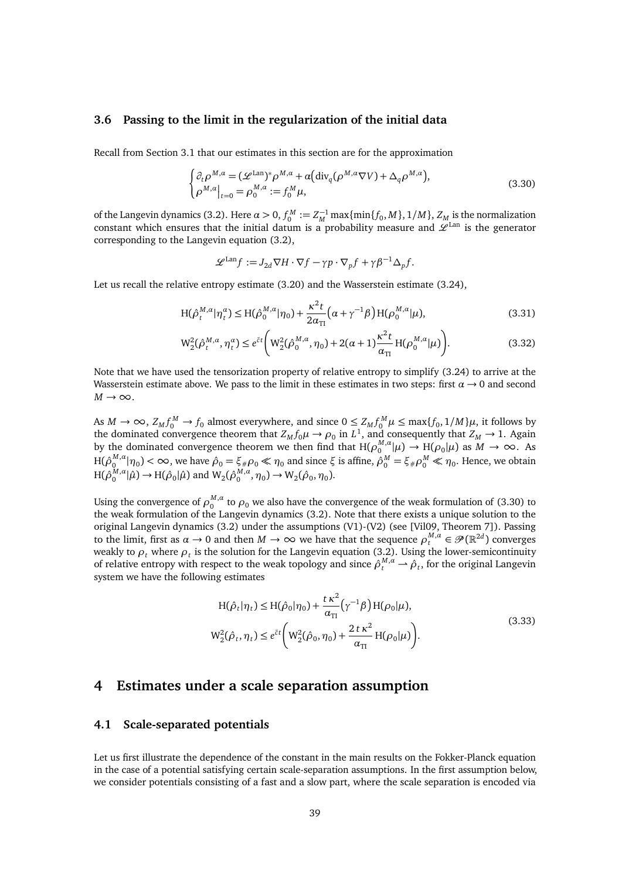### <span id="page-38-0"></span>**3.6 Passing to the limit in the regularization of the initial data**

Recall from Section [3.1](#page-30-0) that our estimates in this section are for the approximation

$$
\begin{cases} \partial_t \rho^{M,a} = (\mathcal{L}^{\text{Lan}})^* \rho^{M,a} + \alpha \big( \text{div}_q(\rho^{M,a} \nabla V) + \Delta_q \rho^{M,a} \big), \\ \rho^{M,a} \big|_{t=0} = \rho_0^{M,a} := f_0^M \mu, \end{cases} \tag{3.30}
$$

of the Langevin dynamics [\(3.2\)](#page-30-1). Here  $\alpha > 0$ ,  $f_0^M := Z_M^{-1} \max\{\min\{f_0, M\}, 1/M\}$ ,  $Z_{M}$  is the normalization constant which ensures that the initial datum is a probability measure and  $\mathcal{L}^{\text{Lan}}$  is the generator corresponding to the Langevin equation [\(3.2\)](#page-30-1),

<span id="page-38-3"></span>
$$
\mathcal{L}^{\text{Lan}}f := J_{2d} \nabla H \cdot \nabla f - \gamma p \cdot \nabla_p f + \gamma \beta^{-1} \Delta_p f.
$$

Let us recall the relative entropy estimate [\(3.20\)](#page-34-4) and the Wasserstein estimate [\(3.24\)](#page-36-3),

$$
H(\hat{\rho}_t^{M,\alpha}|\eta_t^{\alpha}) \le H(\hat{\rho}_0^{M,\alpha}|\eta_0) + \frac{\kappa^2 t}{2\alpha_{\text{TI}}} \left(\alpha + \gamma^{-1}\beta\right) H(\rho_0^{M,\alpha}|\mu),\tag{3.31}
$$

$$
W_2^2(\hat{\rho}_t^{M,\alpha}, \eta_t^{\alpha}) \le e^{\tilde{c}t} \bigg( W_2^2(\hat{\rho}_0^{M,\alpha}, \eta_0) + 2(\alpha + 1) \frac{\kappa^2 t}{\alpha_{\text{TI}}} H(\rho_0^{M,\alpha} | \mu) \bigg). \tag{3.32}
$$

Note that we have used the tensorization property of relative entropy to simplify [\(3.24\)](#page-36-3) to arrive at the Wasserstein estimate above. We pass to the limit in these estimates in two steps: first  $\alpha \rightarrow 0$  and second  $M \rightarrow \infty$ .

As  $M \to \infty$ ,  $Z_M f_0^M \to f_0$  almost everywhere, and since  $0 \le Z_M f_0^M \mu \le \max\{f_0, 1/M\} \mu$ , it follows by the dominated convergence theorem that  $Z_M f_0 \mu \to \rho_0$  in  $L^1$ , and consequently that  $Z_M \to 1$ . Again by the dominated convergence theorem we then find that  $H(\rho_0^{M,\alpha}|\mu) \to H(\rho_0|\mu)$  as  $M \to \infty$ . As  $H(ρ<sub>0</sub><sup>M,α</sup> |η<sub>0</sub>) < ∞$ , we have  $ρ̃<sub>0</sub> = ξ<sub>#</sub> ρ<sub>0</sub> ≪ η<sub>0</sub>$  and since *ξ* is affine,  $ρ̂<sub>0</sub><sup>M</sup> = ξ<sub>#</sub> ρ<sub>0</sub><sup>M</sup> ≪ η<sub>0</sub>.$  Hence, we obtain  $H(\hat{\rho}_0^{M,\alpha}|\hat{\mu}) \to H(\hat{\rho}_0|\hat{\mu})$  and  $W_2(\hat{\rho}_0^{M,\alpha}, \eta_0) \to W_2(\hat{\rho}_0, \eta_0)$ .

Using the convergence of  $\rho_0^{M,a}$  to  $\rho_0$  we also have the convergence of the weak formulation of [\(3.30\)](#page-38-3) to the weak formulation of the Langevin dynamics [\(3.2\)](#page-30-1). Note that there exists a unique solution to the original Langevin dynamics [\(3.2\)](#page-30-1) under the assumptions [\(V1\)-](#page-9-1)[\(V2\)](#page-9-8) (see [\[Vil09,](#page-46-3) Theorem 7]). Passing to the limit, first as  $\alpha \to 0$  and then  $M \to \infty$  we have that the sequence  $\rho_t^{M,\alpha} \in \mathcal{P}(\mathbb{R}^{2d})$  converges weakly to  $\rho_t$  where  $\rho_t$  is the solution for the Langevin equation [\(3.2\)](#page-30-1). Using the lower-semicontinuity of relative entropy with respect to the weak topology and since  $\hat{\rho}_t^{M,a} \to \hat{\rho}_t$ , for the original Langevin system we have the following estimates

$$
H(\hat{\rho}_t|\eta_t) \le H(\hat{\rho}_0|\eta_0) + \frac{t\kappa^2}{\alpha_{\text{II}}} (\gamma^{-1}\beta) H(\rho_0|\mu),
$$
  
\n
$$
W_2^2(\hat{\rho}_t, \eta_t) \le e^{\tilde{\epsilon}t} \bigg(W_2^2(\hat{\rho}_0, \eta_0) + \frac{2t\kappa^2}{\alpha_{\text{II}}} H(\rho_0|\mu) \bigg).
$$
\n(3.33)

## <span id="page-38-1"></span>**4 Estimates under a scale separation assumption**

## <span id="page-38-2"></span>**4.1 Scale-separated potentials**

Let us first illustrate the dependence of the constant in the main results on the Fokker-Planck equation in the case of a potential satisfying certain scale-separation assumptions. In the first assumption below, we consider potentials consisting of a fast and a slow part, where the scale separation is encoded via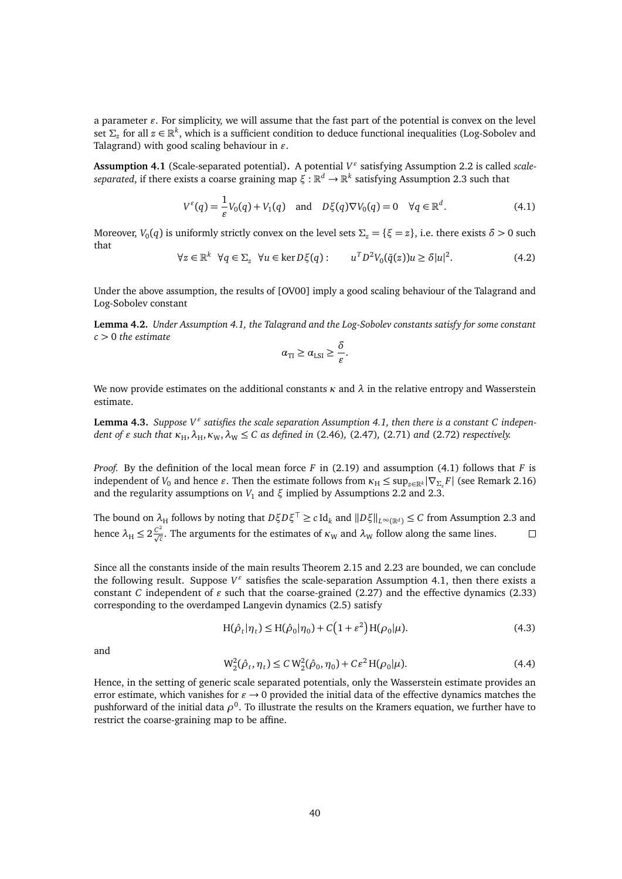a parameter  $\varepsilon$ . For simplicity, we will assume that the fast part of the potential is convex on the level set  $\Sigma_z$  for all  $z \in \mathbb{R}^k$ , which is a sufficient condition to deduce functional inequalities (Log-Sobolev and Talagrand) with good scaling behaviour in  $\varepsilon$ .

<span id="page-39-0"></span>**Assumption 4.1** (Scale-separated potential)**.** A potential *V "* satisfying Assumption [2.2](#page-9-6) is called *scaleseparated*, if there exists a coarse graining map *ξ* : R *<sup>d</sup>* → R *k* satisfying Assumption [2.3](#page-9-5) such that

$$
V^{\varepsilon}(q) = \frac{1}{\varepsilon} V_0(q) + V_1(q) \quad \text{and} \quad D\xi(q)\nabla V_0(q) = 0 \quad \forall q \in \mathbb{R}^d.
$$
 (4.1)

Moreover,  $V_0(q)$  is uniformly strictly convex on the level sets  $\Sigma_z = {\xi = z}$ , i.e. there exists  $\delta > 0$  such that

$$
\forall z \in \mathbb{R}^k \ \forall q \in \Sigma_z \ \forall u \in \ker D\xi(q): \qquad u^T D^2 V_0(\bar{q}(z)) u \ge \delta |u|^2. \tag{4.2}
$$

Under the above assumption, the results of [\[OV00\]](#page-45-15) imply a good scaling behaviour of the Talagrand and Log-Sobolev constant

**Lemma 4.2.** *Under Assumption [4.1,](#page-39-0) the Talagrand and the Log-Sobolev constants satisfy for some constant c >* 0 *the estimate*

<span id="page-39-1"></span>
$$
\alpha_{\rm TI} \ge \alpha_{\rm LSI} \ge \frac{\delta}{\varepsilon}.
$$

We now provide estimates on the additional constants  $\kappa$  and  $\lambda$  in the relative entropy and Wasserstein estimate.

**Lemma 4.3.** Suppose  $V^{\varepsilon}$  satisfies the scale separation Assumption [4.1,](#page-39-0) then there is a constant C indepen*dent of*  $\varepsilon$  *such that*  $\kappa_H$ ,  $\lambda_H$ ,  $\kappa_W$ ,  $\lambda_W \leq C$  *as defined in* [\(2.46\)](#page-18-4), [\(2.47\)](#page-18-2), [\(2.71\)](#page-25-5) *and* [\(2.72\)](#page-25-3) *respectively.* 

*Proof.* By the definition of the local mean force *F* in [\(2.19\)](#page-11-3) and assumption [\(4.1\)](#page-39-1) follows that *F* is independent of *V*<sub>0</sub> and hence *ε*. Then the estimate follows from  $\kappa_H \le \sup_{z \in \mathbb{R}^k} |\nabla_{\Sigma_z} F|$  (see Remark [2.16\)](#page-18-6) and the regularity assumptions on  $V_1$  and  $\xi$  implied by Assumptions [2.2](#page-9-6) and [2.3.](#page-9-5)

The bound on  $\lambda_H$  follows by noting that  $D\xi D\xi^\top \ge c\,\text{Id}_k$  and  $\|D\xi\|_{L^\infty(\mathbb{R}^d)} \le C$  from Assumption [2.3](#page-9-5) and hence  $\lambda_H \le 2 \frac{C^2}{\sqrt{c}}$ . The arguments for the estimates of  $\kappa_W$  and  $\lambda_W$  follow along the same lines.  $\Box$ 

Since all the constants inside of the main results Theorem [2.15](#page-18-1) and [2.23](#page-25-1) are bounded, we can conclude the following result. Suppose  $V^{\varepsilon}$  satisfies the scale-separation Assumption [4.1,](#page-39-0) then there exists a constant *C* independent of  $\varepsilon$  such that the coarse-grained [\(2.27\)](#page-13-5) and the effective dynamics [\(2.33\)](#page-14-2) corresponding to the overdamped Langevin dynamics [\(2.5\)](#page-9-2) satisfy

<span id="page-39-2"></span>
$$
H(\hat{\rho}_t|\eta_t) \le H(\hat{\rho}_0|\eta_0) + C\left(1 + \varepsilon^2\right)H(\rho_0|\mu). \tag{4.3}
$$

and

<span id="page-39-3"></span>
$$
W_2^2(\hat{\rho}_t, \eta_t) \le C W_2^2(\hat{\rho}_0, \eta_0) + C\varepsilon^2 H(\rho_0|\mu).
$$
 (4.4)

Hence, in the setting of generic scale separated potentials, only the Wasserstein estimate provides an error estimate, which vanishes for  $\varepsilon \to 0$  provided the initial data of the effective dynamics matches the pushforward of the initial data *ρ*<sup>0</sup>. To illustrate the results on the Kramers equation, we further have to restrict the coarse-graining map to be affine.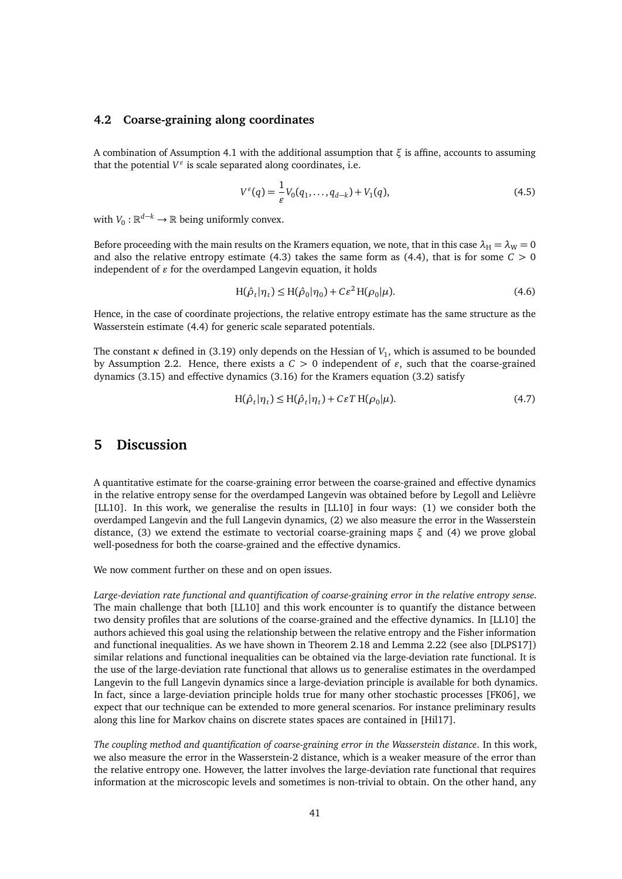## <span id="page-40-0"></span>**4.2 Coarse-graining along coordinates**

A combination of Assumption [4.1](#page-39-0) with the additional assumption that  $\xi$  is affine, accounts to assuming that the potential  $V^{\varepsilon}$  is scale separated along coordinates, i.e.

$$
V^{\varepsilon}(q) = \frac{1}{\varepsilon} V_0(q_1, \dots, q_{d-k}) + V_1(q), \tag{4.5}
$$

with  $V_0: \mathbb{R}^{d-k} \to \mathbb{R}$  being uniformly convex.

Before proceeding with the main results on the Kramers equation, we note, that in this case  $\lambda_H = \lambda_W = 0$ and also the relative entropy estimate [\(4.3\)](#page-39-2) takes the same form as [\(4.4\)](#page-39-3), that is for some  $C > 0$ independent of  $\varepsilon$  for the overdamped Langevin equation, it holds

$$
H(\hat{\rho}_t|\eta_t) \le H(\hat{\rho}_0|\eta_0) + C\varepsilon^2 H(\rho_0|\mu). \tag{4.6}
$$

Hence, in the case of coordinate projections, the relative entropy estimate has the same structure as the Wasserstein estimate [\(4.4\)](#page-39-3) for generic scale separated potentials.

The constant  $\kappa$  defined in [\(3.19\)](#page-34-2) only depends on the Hessian of  $V_1$ , which is assumed to be bounded by Assumption [2.2.](#page-9-6) Hence, there exists a  $C > 0$  independent of  $\varepsilon$ , such that the coarse-grained dynamics [\(3.15\)](#page-33-1) and effective dynamics [\(3.16\)](#page-33-2) for the Kramers equation [\(3.2\)](#page-30-1) satisfy

$$
H(\hat{\rho}_t|\eta_t) \le H(\hat{\rho}_t|\eta_t) + C\epsilon T H(\rho_0|\mu). \tag{4.7}
$$

## <span id="page-40-1"></span>**5 Discussion**

A quantitative estimate for the coarse-graining error between the coarse-grained and effective dynamics in the relative entropy sense for the overdamped Langevin was obtained before by Legoll and Lelièvre [\[LL10\]](#page-45-6). In this work, we generalise the results in [LL10] in four ways: (1) we consider both the overdamped Langevin and the full Langevin dynamics, (2) we also measure the error in the Wasserstein distance, (3) we extend the estimate to vectorial coarse-graining maps *ξ* and (4) we prove global well-posedness for both the coarse-grained and the effective dynamics.

We now comment further on these and on open issues.

*Large-deviation rate functional and quantification of coarse-graining error in the relative entropy sense.* The main challenge that both [\[LL10\]](#page-45-6) and this work encounter is to quantify the distance between two density profiles that are solutions of the coarse-grained and the effective dynamics. In [\[LL10\]](#page-45-6) the authors achieved this goal using the relationship between the relative entropy and the Fisher information and functional inequalities. As we have shown in Theorem [2.18](#page-20-0) and Lemma [2.22](#page-23-4) (see also [\[DLPS17\]](#page-44-2)) similar relations and functional inequalities can be obtained via the large-deviation rate functional. It is the use of the large-deviation rate functional that allows us to generalise estimates in the overdamped Langevin to the full Langevin dynamics since a large-deviation principle is available for both dynamics. In fact, since a large-deviation principle holds true for many other stochastic processes [\[FK06\]](#page-45-17), we expect that our technique can be extended to more general scenarios. For instance preliminary results along this line for Markov chains on discrete states spaces are contained in [\[Hil17\]](#page-45-19).

*The coupling method and quantification of coarse-graining error in the Wasserstein distance*. In this work, we also measure the error in the Wasserstein-2 distance, which is a weaker measure of the error than the relative entropy one. However, the latter involves the large-deviation rate functional that requires information at the microscopic levels and sometimes is non-trivial to obtain. On the other hand, any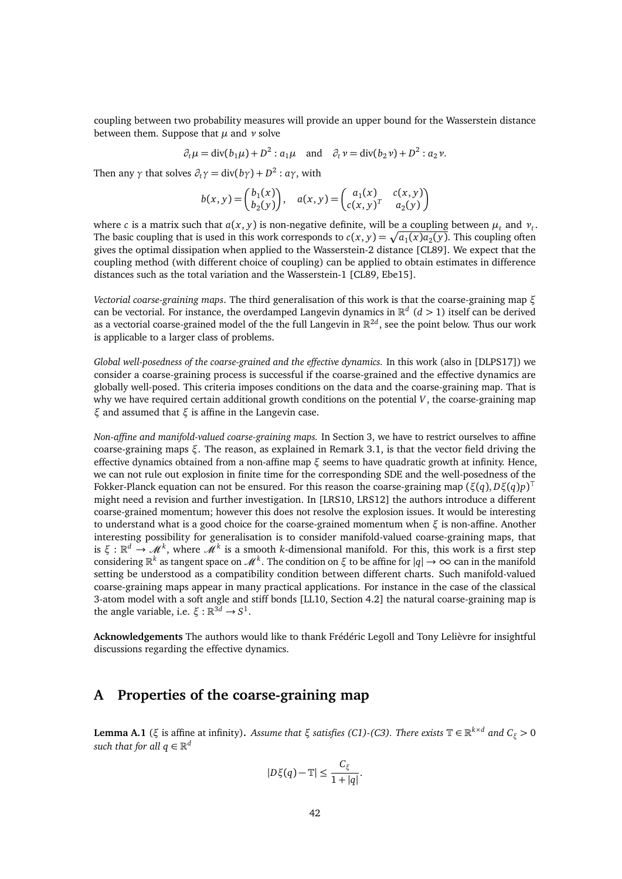coupling between two probability measures will provide an upper bound for the Wasserstein distance between them. Suppose that *µ* and *ν* solve

$$
\partial_t \mu = \text{div}(b_1 \mu) + D^2 : a_1 \mu \quad \text{and} \quad \partial_t \nu = \text{div}(b_2 \nu) + D^2 : a_2 \nu.
$$

Then any  $\gamma$  that solves  $\partial_t \gamma = \text{div}(b\gamma) + D^2 : a\gamma$ , with

$$
b(x,y) = \begin{pmatrix} b_1(x) \\ b_2(y) \end{pmatrix}, \quad a(x,y) = \begin{pmatrix} a_1(x) & c(x,y) \\ c(x,y)^T & a_2(y) \end{pmatrix}
$$

where *c* is a matrix such that  $a(x, y)$  is non-negative definite, will be <u>a coupling</u> between  $\mu_t$  and  $\nu_t$ . The basic coupling that is used in this work corresponds to  $c(x, y) = \sqrt{a_1(x)a_2(y)}$ . This coupling often gives the optimal dissipation when applied to the Wasserstein-2 distance [\[CL89\]](#page-44-5). We expect that the coupling method (with different choice of coupling) can be applied to obtain estimates in difference distances such as the total variation and the Wasserstein-1 [\[CL89,](#page-44-5) [Ebe15\]](#page-45-13).

*Vectorial coarse-graining maps*. The third generalisation of this work is that the coarse-graining map *ξ* can be vectorial. For instance, the overdamped Langevin dynamics in  $\mathbb{R}^d$  ( $d > 1$ ) itself can be derived as a vectorial coarse-grained model of the the full Langevin in R 2*d* , see the point below. Thus our work is applicable to a larger class of problems.

*Global well-posedness of the coarse-grained and the effective dynamics.* In this work (also in [\[DLPS17\]](#page-44-2)) we consider a coarse-graining process is successful if the coarse-grained and the effective dynamics are globally well-posed. This criteria imposes conditions on the data and the coarse-graining map. That is why we have required certain additional growth conditions on the potential *V*, the coarse-graining map *ξ* and assumed that *ξ* is affine in the Langevin case.

*Non-affine and manifold-valued coarse-graining maps.* In Section [3,](#page-29-1) we have to restrict ourselves to affine coarse-graining maps *ξ*. The reason, as explained in Remark [3.1,](#page-32-1) is that the vector field driving the effective dynamics obtained from a non-affine map *ξ* seems to have quadratic growth at infinity. Hence, we can not rule out explosion in finite time for the corresponding SDE and the well-posedness of the Fokker-Planck equation can not be ensured. For this reason the coarse-graining map (*ξ*(*q*), *Dξ*(*q*)*p*) > might need a revision and further investigation. In [\[LRS10,](#page-45-12) [LRS12\]](#page-45-18) the authors introduce a different coarse-grained momentum; however this does not resolve the explosion issues. It would be interesting to understand what is a good choice for the coarse-grained momentum when  $\xi$  is non-affine. Another interesting possibility for generalisation is to consider manifold-valued coarse-graining maps, that is  $\xi : \mathbb{R}^d \to \mathcal{M}^k$ , where  $\mathcal{M}^k$  is a smooth *k*-dimensional manifold. For this, this work is a first step considering  $\mathbb{R}^k$  as tangent space on  $\mathcal{M}^k$ . The condition on *ξ* to be affine for  $|q| \to \infty$  can in the manifold setting be understood as a compatibility condition between different charts. Such manifold-valued coarse-graining maps appear in many practical applications. For instance in the case of the classical 3-atom model with a soft angle and stiff bonds [\[LL10,](#page-45-6) Section 4.2] the natural coarse-graining map is the angle variable, i.e.  $\xi : \mathbb{R}^{3d} \to S^1$ .

**Acknowledgements** The authors would like to thank Frédéric Legoll and Tony Lelièvre for insightful discussions regarding the effective dynamics.

## <span id="page-41-0"></span>**A Properties of the coarse-graining map**

<span id="page-41-1"></span>**Lemma A.1** (*ξ* is affine at infinity). *Assume that ξ satisfies* (*C1*)*[-\(C3\).](#page-10-0) There exists*  $\mathbb{T} \in \mathbb{R}^{k \times d}$  *and*  $C_{\xi}$  > 0 such that for all  $q \in \mathbb{R}^d$ 

$$
|D\xi(q)-\mathbb{T}|\leq \frac{C_{\xi}}{1+|q|}.
$$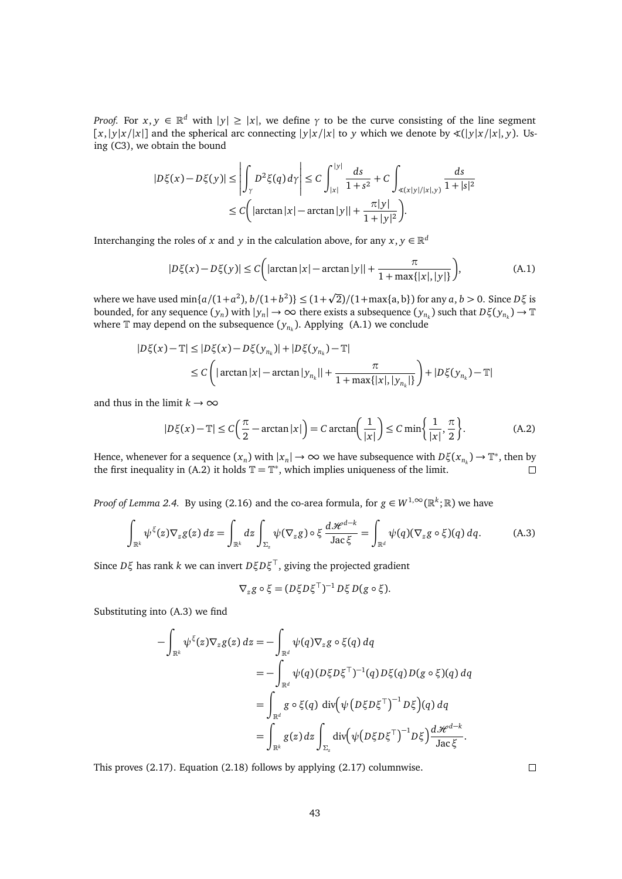*Proof.* For  $x, y \in \mathbb{R}^d$  with  $|y| \ge |x|$ , we define  $\gamma$  to be the curve consisting of the line segment  $[x, |y|x/|x|]$  and the spherical arc connecting  $|y|x/|x|$  to *y* which we denote by  $\angle(|y|x/|x|, y)$ . Using [\(C3\),](#page-10-0) we obtain the bound

$$
|D\xi(x) - D\xi(y)| \le \left| \int_{\gamma} D^2 \xi(q) d\gamma \right| \le C \int_{|x|}^{|y|} \frac{ds}{1 + s^2} + C \int_{\mathcal{L}(x|y|/|x|, y)} \frac{ds}{1 + |s|^2}
$$
  

$$
\le C \left( |\arctan|x| - \arctan|y| | + \frac{\pi |y|}{1 + |y|^2} \right).
$$

Interchanging the roles of *x* and *y* in the calculation above, for any  $x, y \in \mathbb{R}^d$ 

<span id="page-42-0"></span>
$$
|D\xi(x) - D\xi(y)| \le C\left(|\arctan|x| - \arctan|y|| + \frac{\pi}{1 + \max\{|x|, |y|\}}\right),\tag{A.1}
$$

where we have used  $\min\{a/(1+a^2), b/(1+b^2)\} \le (1+\sqrt{2})/(1+\max\{a,b\})$  for any  $a, b > 0$ . Since  $D\xi$  is bounded, for any sequence  $(y_n)$  with  $|y_n| \to \infty$  there exists a subsequence  $(y_{n_k})$  such that  $D\xi(y_{n_k}) \to \mathbb{T}$ where  $\mathbb T$  may depend on the subsequence  $(y_{n_k})$ . Applying  $(A.1)$  we conclude

$$
|D\xi(x) - \mathbb{T}| \le |D\xi(x) - D\xi(y_{n_k})| + |D\xi(y_{n_k}) - \mathbb{T}|
$$
  
\n
$$
\le C \left( |\arctan|x| - \arctan|y_{n_k}|| + \frac{\pi}{1 + \max\{|x|, |y_{n_k}|\}} \right) + |D\xi(y_{n_k}) - \mathbb{T}|
$$

and thus in the limit  $k \to \infty$ 

$$
|D\xi(x) - \mathbb{T}| \le C\left(\frac{\pi}{2} - \arctan|x|\right) = C \arctan\left(\frac{1}{|x|}\right) \le C \min\left\{\frac{1}{|x|}, \frac{\pi}{2}\right\}.
$$
 (A.2)

Hence, whenever for a sequence  $(x_n)$  with  $|x_n| \to \infty$  we have subsequence with  $D\xi(x_{n_k}) \to \mathbb{T}^*$ , then by the first inequality in [\(A.2\)](#page-42-1) it holds  $\mathbb{T} = \mathbb{T}^*$ , which implies uniqueness of the limit.  $\Box$ 

*Proof of Lemma [2.4.](#page-11-1)* By using [\(2.16\)](#page-11-0) and the co-area formula, for  $g \in W^{1,\infty}(\mathbb{R}^k;\mathbb{R})$  we have

<span id="page-42-2"></span>
$$
\int_{\mathbb{R}^k} \psi^{\xi}(z) \nabla_z g(z) \, dz = \int_{\mathbb{R}^k} dz \int_{\Sigma_z} \psi(\nabla_z g) \circ \xi \, \frac{d\mathcal{H}^{d-k}}{\text{Jac}\,\xi} = \int_{\mathbb{R}^d} \psi(q) (\nabla_z g \circ \xi)(q) \, dq. \tag{A.3}
$$

Since *Dξ* has rank *k* we can invert *DξDξ* <sup>&</sup>gt;, giving the projected gradient

<span id="page-42-1"></span>
$$
\nabla_z g \circ \xi = (D\xi D\xi^\top)^{-1} D\xi D(g \circ \xi).
$$

Substituting into [\(A.3\)](#page-42-2) we find

$$
-\int_{\mathbb{R}^k} \psi^{\xi}(z) \nabla_z g(z) dz = -\int_{\mathbb{R}^d} \psi(q) \nabla_z g \circ \xi(q) dq
$$
  

$$
= -\int_{\mathbb{R}^d} \psi(q) (D\xi D\xi^{\top})^{-1}(q) D\xi(q) D(g \circ \xi)(q) dq
$$
  

$$
= \int_{\mathbb{R}^d} g \circ \xi(q) \operatorname{div} (\psi (D\xi D\xi^{\top})^{-1} D\xi)(q) dq
$$
  

$$
= \int_{\mathbb{R}^k} g(z) dz \int_{\Sigma_z} \operatorname{div} (\psi (D\xi D\xi^{\top})^{-1} D\xi) \frac{d\mathcal{H}^{d-k}}{\operatorname{Jac}\xi}.
$$

This proves [\(2.17\)](#page-11-4). Equation [\(2.18\)](#page-11-5) follows by applying [\(2.17\)](#page-11-4) columnwise.

 $\Box$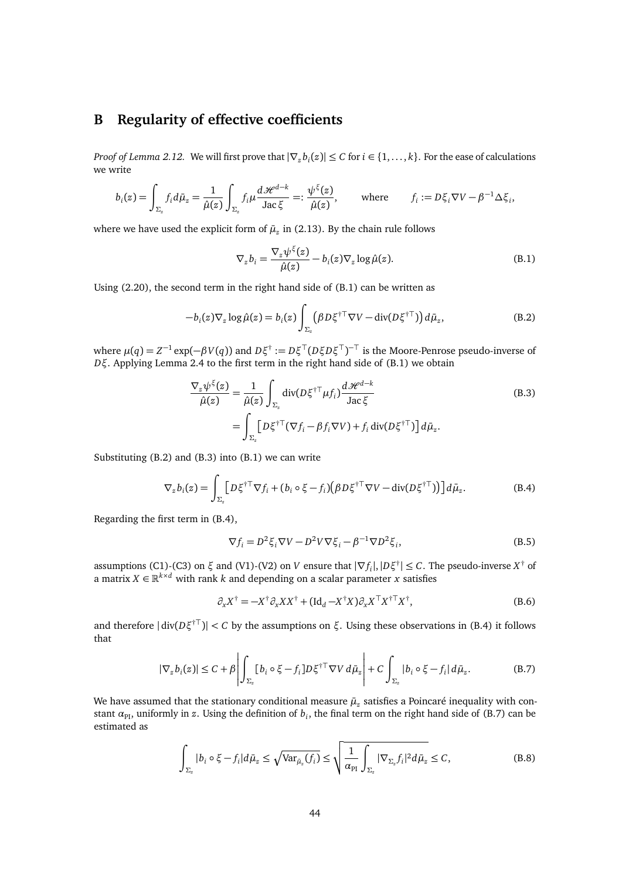## <span id="page-43-0"></span>**B Regularity of effective coefficients**

*Proof of Lemma [2.12.](#page-16-1)* We will first prove that  $|\nabla_z b_i(z)| \le C$  for  $i \in \{1, ..., k\}$ . For the ease of calculations we write

$$
b_i(z) = \int_{\Sigma_z} f_i d\bar{\mu}_z = \frac{1}{\hat{\mu}(z)} \int_{\Sigma_z} f_i \mu \frac{d\mathcal{H}^{d-k}}{\text{Jac}\,\xi} =: \frac{\psi^{\xi}(z)}{\hat{\mu}(z)}, \quad \text{where} \quad f_i := D\xi_i \nabla V - \beta^{-1} \Delta \xi_i,
$$

where we have used the explicit form of  $\bar{\mu}_z$  in [\(2.13\)](#page-10-1). By the chain rule follows

<span id="page-43-3"></span><span id="page-43-2"></span><span id="page-43-1"></span>
$$
\nabla_z b_i = \frac{\nabla_z \psi^{\xi}(z)}{\hat{\mu}(z)} - b_i(z) \nabla_z \log \hat{\mu}(z). \tag{B.1}
$$

Using [\(2.20\)](#page-11-2), the second term in the right hand side of [\(B.1\)](#page-43-1) can be written as

$$
-b_i(z)\nabla_z \log \hat{\mu}(z) = b_i(z) \int_{\Sigma_z} (\beta D \xi^{\dagger \top} \nabla V - \text{div}(D \xi^{\dagger \top})) d\bar{\mu}_z, \tag{B.2}
$$

where  $\mu(q) = Z^{-1} \exp(-\beta V(q))$  and  $D\xi^{\dagger} := D\xi^{\dagger}(D\xi D\xi^{\dagger})^{-\dagger}$  is the Moore-Penrose pseudo-inverse of *Dξ*. Applying Lemma [2.4](#page-11-1) to the first term in the right hand side of [\(B.1\)](#page-43-1) we obtain

$$
\frac{\nabla_z \psi^{\xi}(z)}{\hat{\mu}(z)} = \frac{1}{\hat{\mu}(z)} \int_{\Sigma_z} \text{div}(D\xi^{\dagger \top} \mu f_i) \frac{d\mathcal{H}^{d-k}}{\text{Jac}\,\xi} \n= \int_{\Sigma_z} \left[ D\xi^{\dagger \top} (\nabla f_i - \beta f_i \nabla V) + f_i \operatorname{div}(D\xi^{\dagger \top}) \right] d\bar{\mu}_z.
$$
\n(B.3)

Substituting [\(B.2\)](#page-43-2) and [\(B.3\)](#page-43-3) into [\(B.1\)](#page-43-1) we can write

$$
\nabla_{z} b_{i}(z) = \int_{\Sigma_{z}} \left[ D\xi^{\dagger \top} \nabla f_{i} + (b_{i} \circ \xi - f_{i}) (\beta D\xi^{\dagger \top} \nabla V - \text{div}(D\xi^{\dagger \top})) \right] d\bar{\mu}_{z}.
$$
 (B.4)

Regarding the first term in [\(B.4\)](#page-43-4),

<span id="page-43-4"></span>
$$
\nabla f_i = D^2 \xi_i \nabla V - D^2 V \nabla \xi_i - \beta^{-1} \nabla D^2 \xi_i,
$$
\n(B.5)

assumptions [\(C1\)-](#page-9-3)[\(C3\)](#page-10-0) on  $\xi$  and (V1)-(V2) on *V* ensure that  $|\nabla f_i|, |D\xi^{\dagger}| \leq C$ . The pseudo-inverse  $X^{\dagger}$  of a matrix  $X \in \mathbb{R}^{k \times d}$  with rank *k* and depending on a scalar parameter *x* satisfies

<span id="page-43-5"></span>
$$
\partial_x X^{\dagger} = -X^{\dagger} \partial_x X X^{\dagger} + (\mathrm{Id}_d - X^{\dagger} X) \partial_x X^{\top} X^{\dagger T} X^{\dagger}, \tag{B.6}
$$

and therefore |div(*Dξ* †<sup>&</sup>gt;)<sup>|</sup> *<sup>&</sup>lt; <sup>C</sup>* by the assumptions on *<sup>ξ</sup>*. Using these observations in [\(B.4\)](#page-43-4) it follows that

$$
|\nabla_z b_i(z)| \le C + \beta \left| \int_{\Sigma_z} [b_i \circ \xi - f_i] D \xi^{+ \top} \nabla V d\bar{\mu}_z \right| + C \int_{\Sigma_z} |b_i \circ \xi - f_i| d\bar{\mu}_z. \tag{B.7}
$$

We have assumed that the stationary conditional measure  $\bar{\mu}_z$  satisfies a Poincaré inequality with constant  $\alpha_{\text{PI}}$ , uniformly in *z*. Using the definition of  $b_i$ , the final term on the right hand side of [\(B.7\)](#page-43-5) can be estimated as

<span id="page-43-6"></span>
$$
\int_{\Sigma_z} |b_i \circ \xi - f_i| d\bar{\mu}_z \le \sqrt{\text{Var}_{\bar{\mu}_z}(f_i)} \le \sqrt{\frac{1}{\alpha_{\text{PI}}}\int_{\Sigma_z} |\nabla_{\Sigma_z} f_i|^2 d\bar{\mu}_z} \le C,
$$
\n(B.8)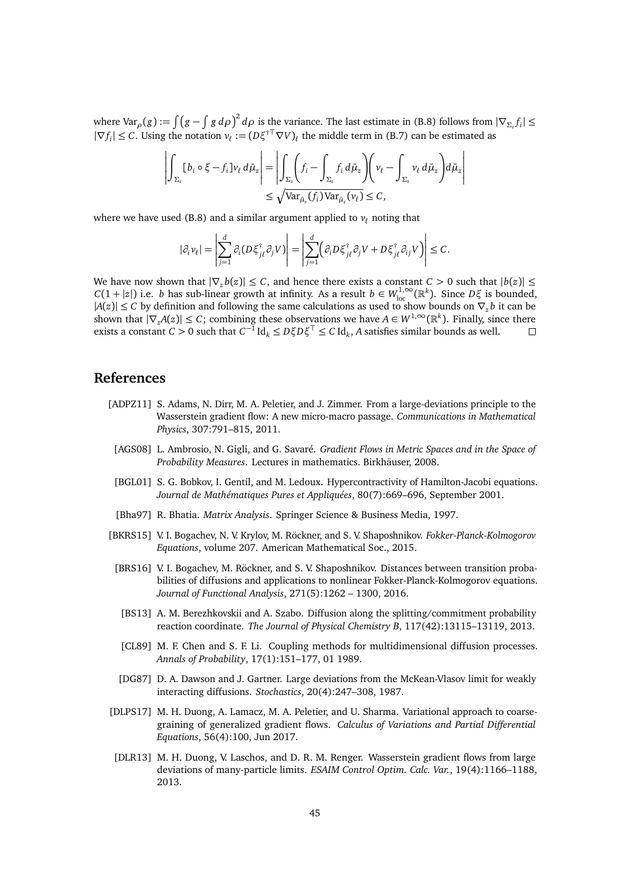where Var $_{\rho}(g) := \int (g - \int g \, d\rho)^2 d\rho$  is the variance. The last estimate in [\(B.8\)](#page-43-6) follows from  $|\nabla_{\Sigma_z} f_i| \le$  $|\nabla f_i| \leq C$ . Using the notation  $v_\ell := (D\xi^{\dagger \top} \nabla V)_\ell$  the middle term in [\(B.7\)](#page-43-5) can be estimated as

$$
\left| \int_{\Sigma_z} [b_i \circ \xi - f_i] \nu_\ell \, d\bar{\mu}_z \right| = \left| \int_{\Sigma_z} \left( f_i - \int_{\Sigma_z} f_i \, d\bar{\mu}_z \right) \left( \nu_\ell - \int_{\Sigma_z} \nu_\ell \, d\bar{\mu}_z \right) d\bar{\mu}_z \right|
$$
  

$$
\leq \sqrt{\text{Var}_{\bar{\mu}_z}(f_i) \text{Var}_{\bar{\mu}_z}(\nu_\ell)} \leq C,
$$

where we have used [\(B.8\)](#page-43-6) and a similar argument applied to  $v_\ell$  noting that

$$
|\partial_i v_\ell| = \left| \sum_{j=1}^d \partial_i (D \xi_{j\ell}^\dagger \partial_j V) \right| = \left| \sum_{j=1}^d \left( \partial_i D \xi_{j\ell}^\dagger \partial_j V + D \xi_{j\ell}^\dagger \partial_{ij} V \right) \right| \leq C.
$$

We have now shown that  $|\nabla_z b(z)| \leq C$ , and hence there exists a constant  $C > 0$  such that  $|b(z)| \leq C$  $C(1 + |z|)$  i.e. *b* has sub-linear growth at infinity. As a result  $b \in W^{1,\infty}_{loc}(\mathbb{R}^k)$ . Since  $D\xi$  is bounded,  $|A(z)|$  ≤ *C* by definition and following the same calculations as used to show bounds on  $\nabla_z b$  it can be shown that  $|\nabla_z A(z)| \leq C$ ; combining these observations we have  $A \in W^{1,\infty}(\mathbb{R}^k)$ . Finally, since there exists a constant  $C > 0$  such that  $C^{-1}$  Id<sub>k</sub>  $\leq D\xi D\xi^{\top} \leq C$  Id<sub>k</sub>, A satisfies similar bounds as well.  $\Box$ 

## **References**

- <span id="page-44-3"></span><span id="page-44-1"></span>[ADPZ11] S. Adams, N. Dirr, M. A. Peletier, and J. Zimmer. From a large-deviations principle to the Wasserstein gradient flow: A new micro-macro passage. *Communications in Mathematical Physics*, 307:791–815, 2011.
	- [AGS08] L. Ambrosio, N. Gigli, and G. Savaré. *Gradient Flows in Metric Spaces and in the Space of Probability Measures*. Lectures in mathematics. Birkhäuser, 2008.
	- [BGL01] S. G. Bobkov, I. Gentil, and M. Ledoux. Hypercontractivity of Hamilton-Jacobi equations. *Journal de Mathématiques Pures et Appliquées*, 80(7):669–696, September 2001.
	- [Bha97] R. Bhatia. *Matrix Analysis*. Springer Science & Business Media, 1997.
- <span id="page-44-10"></span><span id="page-44-7"></span><span id="page-44-6"></span><span id="page-44-4"></span><span id="page-44-0"></span>[BKRS15] V. I. Bogachev, N. V. Krylov, M. Röckner, and S. V. Shaposhnikov. *Fokker-Planck-Kolmogorov Equations*, volume 207. American Mathematical Soc., 2015.
	- [BRS16] V. I. Bogachev, M. Röckner, and S. V. Shaposhnikov. Distances between transition probabilities of diffusions and applications to nonlinear Fokker-Planck-Kolmogorov equations. *Journal of Functional Analysis*, 271(5):1262 – 1300, 2016.
	- [BS13] A. M. Berezhkovskii and A. Szabo. Diffusion along the splitting/commitment probability reaction coordinate. *The Journal of Physical Chemistry B*, 117(42):13115–13119, 2013.
	- [CL89] M. F. Chen and S. F. Li. Coupling methods for multidimensional diffusion processes. *Annals of Probability*, 17(1):151–177, 01 1989.
	- [DG87] D. A. Dawson and J. Gartner. Large deviations from the McKean-Vlasov limit for weakly interacting diffusions. *Stochastics*, 20(4):247–308, 1987.
- <span id="page-44-9"></span><span id="page-44-5"></span><span id="page-44-2"></span>[DLPS17] M. H. Duong, A. Lamacz, M. A. Peletier, and U. Sharma. Variational approach to coarsegraining of generalized gradient flows. *Calculus of Variations and Partial Differential Equations*, 56(4):100, Jun 2017.
- <span id="page-44-8"></span>[DLR13] M. H. Duong, V. Laschos, and D. R. M. Renger. Wasserstein gradient flows from large deviations of many-particle limits. *ESAIM Control Optim. Calc. Var.*, 19(4):1166–1188, 2013.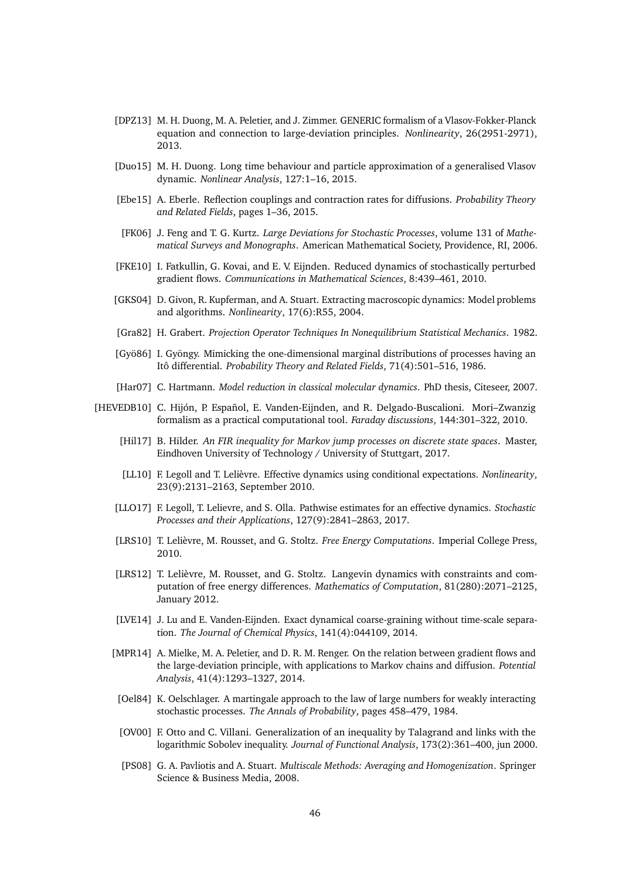- <span id="page-45-8"></span>[DPZ13] M. H. Duong, M. A. Peletier, and J. Zimmer. GENERIC formalism of a Vlasov-Fokker-Planck equation and connection to large-deviation principles. *Nonlinearity*, 26(2951-2971), 2013.
- <span id="page-45-14"></span>[Duo15] M. H. Duong. Long time behaviour and particle approximation of a generalised Vlasov dynamic. *Nonlinear Analysis*, 127:1–16, 2015.
- <span id="page-45-13"></span>[Ebe15] A. Eberle. Reflection couplings and contraction rates for diffusions. *Probability Theory and Related Fields*, pages 1–36, 2015.
- <span id="page-45-17"></span>[FK06] J. Feng and T. G. Kurtz. *Large Deviations for Stochastic Processes*, volume 131 of *Mathematical Surveys and Monographs*. American Mathematical Society, Providence, RI, 2006.
- <span id="page-45-10"></span>[FKE10] I. Fatkullin, G. Kovai, and E. V. Eijnden. Reduced dynamics of stochastically perturbed gradient flows. *Communications in Mathematical Sciences*, 8:439–461, 2010.
- <span id="page-45-1"></span>[GKS04] D. Givon, R. Kupferman, and A. Stuart. Extracting macroscopic dynamics: Model problems and algorithms. *Nonlinearity*, 17(6):R55, 2004.
- <span id="page-45-0"></span>[Gra82] H. Grabert. *Projection Operator Techniques In Nonequilibrium Statistical Mechanics*. 1982.
- <span id="page-45-11"></span>[Gyö86] I. Gyöngy. Mimicking the one-dimensional marginal distributions of processes having an Itô differential. *Probability Theory and Related Fields*, 71(4):501–516, 1986.
- <span id="page-45-3"></span>[Har07] C. Hartmann. *Model reduction in classical molecular dynamics*. PhD thesis, Citeseer, 2007.
- <span id="page-45-19"></span><span id="page-45-18"></span><span id="page-45-16"></span><span id="page-45-15"></span><span id="page-45-12"></span><span id="page-45-9"></span><span id="page-45-7"></span><span id="page-45-6"></span><span id="page-45-5"></span><span id="page-45-4"></span><span id="page-45-2"></span>[HEVEDB10] C. Hijón, P. Español, E. Vanden-Eijnden, and R. Delgado-Buscalioni. Mori–Zwanzig formalism as a practical computational tool. *Faraday discussions*, 144:301–322, 2010.
	- [Hil17] B. Hilder. *An FIR inequality for Markov jump processes on discrete state spaces*. Master, Eindhoven University of Technology / University of Stuttgart, 2017.
	- [LL10] F. Legoll and T. Lelièvre. Effective dynamics using conditional expectations. *Nonlinearity*, 23(9):2131–2163, September 2010.
	- [LLO17] F. Legoll, T. Lelievre, and S. Olla. Pathwise estimates for an effective dynamics. *Stochastic Processes and their Applications*, 127(9):2841–2863, 2017.
	- [LRS10] T. Lelièvre, M. Rousset, and G. Stoltz. *Free Energy Computations*. Imperial College Press, 2010.
	- [LRS12] T. Lelièvre, M. Rousset, and G. Stoltz. Langevin dynamics with constraints and computation of free energy differences. *Mathematics of Computation*, 81(280):2071–2125, January 2012.
	- [LVE14] J. Lu and E. Vanden-Eijnden. Exact dynamical coarse-graining without time-scale separation. *The Journal of Chemical Physics*, 141(4):044109, 2014.
	- [MPR14] A. Mielke, M. A. Peletier, and D. R. M. Renger. On the relation between gradient flows and the large-deviation principle, with applications to Markov chains and diffusion. *Potential Analysis*, 41(4):1293–1327, 2014.
	- [Oel84] K. Oelschlager. A martingale approach to the law of large numbers for weakly interacting stochastic processes. *The Annals of Probability*, pages 458–479, 1984.
	- [OV00] F. Otto and C. Villani. Generalization of an inequality by Talagrand and links with the logarithmic Sobolev inequality. *Journal of Functional Analysis*, 173(2):361–400, jun 2000.
	- [PS08] G. A. Pavliotis and A. Stuart. *Multiscale Methods: Averaging and Homogenization*. Springer Science & Business Media, 2008.